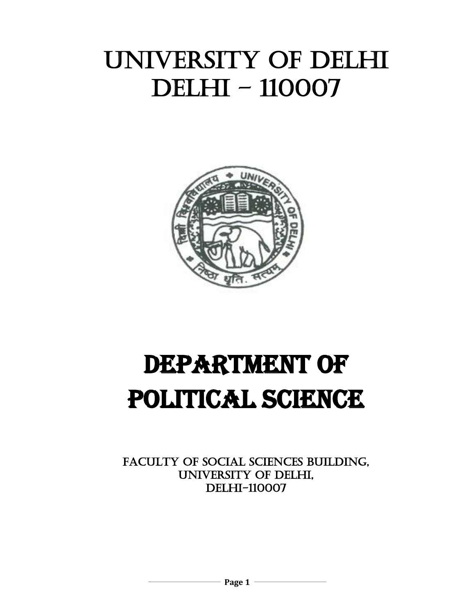# UNIVERSITY OF DELHI DELHI – 110007



# DEPARTMENT OF POLITICAL SCIENCE

FACULTY OF SOCIAL SCIENCES BUILDING, UNIVERSITY OF DELHI, DELHI-110007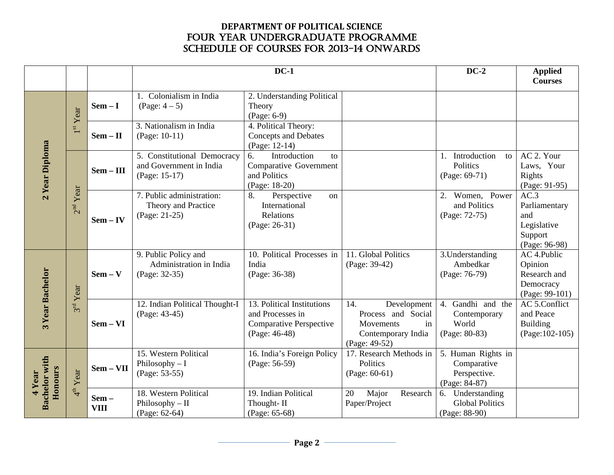#### **DEPARTMENT OF POLITICAL SCIENCE** FOUR YEAR UNDERGRADUATE PROGRAMME SCHEDULE OF COURSES FOR 2013-14 onwards

|                         |                                                                                    |             |                                                                         | $DC-1$                                                                                     |                                                                                                    | $DC-2$                                                             | <b>Applied</b><br><b>Courses</b>                                        |
|-------------------------|------------------------------------------------------------------------------------|-------------|-------------------------------------------------------------------------|--------------------------------------------------------------------------------------------|----------------------------------------------------------------------------------------------------|--------------------------------------------------------------------|-------------------------------------------------------------------------|
|                         | Year                                                                               | $Sem - I$   | 1. Colonialism in India<br>$(Page: 4-5)$                                | 2. Understanding Political<br>Theory<br>(Page: 6-9)                                        |                                                                                                    |                                                                    |                                                                         |
|                         | 1 <sup>st</sup>                                                                    | $Sem - II$  | 3. Nationalism in India<br>(Page: 10-11)                                | 4. Political Theory:<br><b>Concepts and Debates</b><br>(Page: 12-14)                       |                                                                                                    |                                                                    |                                                                         |
| 2 Year Diploma          |                                                                                    | $Sem - III$ | 5. Constitutional Democracy<br>and Government in India<br>(Page: 15-17) | Introduction<br>6.<br>to<br>Comparative Government<br>and Politics<br>(Page: 18-20)        |                                                                                                    | 1. Introduction<br>to<br>Politics<br>(Page: 69-71)                 | AC 2. Your<br>Laws, Your<br>Rights<br>(Page: 91-95)                     |
|                         | 2 <sup>nd</sup>                                                                    | $Sem - IV$  | 7. Public administration:<br>Theory and Practice<br>(Page: 21-25)       | 8.<br>Perspective<br>on<br>International<br>Relations<br>(Page: 26-31)                     |                                                                                                    | 2. Women, Power<br>and Politics<br>(Page: 72-75)                   | AC.3<br>Parliamentary<br>and<br>Legislative<br>Support<br>(Page: 96-98) |
|                         |                                                                                    | $Sem - V$   | 9. Public Policy and<br>Administration in India<br>(Page: 32-35)        | 10. Political Processes in<br>India<br>(Page: 36-38)                                       | 11. Global Politics<br>(Page: 39-42)                                                               | 3. Understanding<br>Ambedkar<br>(Page: 76-79)                      | AC 4.Public<br>Opinion<br>Research and<br>Democracy<br>(Page: 99-101)   |
| Year<br>3 <sup>rd</sup> |                                                                                    | $Sem - VI$  | 12. Indian Political Thought-I<br>(Page: 43-45)                         | 13. Political Institutions<br>and Processes in<br>Comparative Perspective<br>(Page: 46-48) | 14.<br>Development<br>Process and Social<br>Movements<br>in<br>Contemporary India<br>(Page: 49-52) | 4. Gandhi and the<br>Contemporary<br>World<br>(Page: 80-83)        | AC 5.Conflict<br>and Peace<br>Building<br>$(Page:102-105)$              |
|                         |                                                                                    | Sem - VII   | 15. Western Political<br>Philosophy $-I$<br>(Page: 53-55)               | 16. India's Foreign Policy<br>(Page: 56-59)                                                | 17. Research Methods in<br>Politics<br>$(Page: 60-61)$                                             | 5. Human Rights in<br>Comparative<br>Perspective.<br>(Page: 84-87) |                                                                         |
|                         | Year<br>3 Year Bachelor<br><b>Bachelor with</b><br>Honours<br>$4th$ Year<br>4 Year |             | 18. Western Political<br>Philosophy - II<br>(Page: 62-64)               | 19. Indian Political<br>Thought-II<br>(Page: 65-68)                                        | 20<br>Major<br>Research<br>Paper/Project                                                           | 6. Understanding<br><b>Global Politics</b><br>(Page: 88-90)        |                                                                         |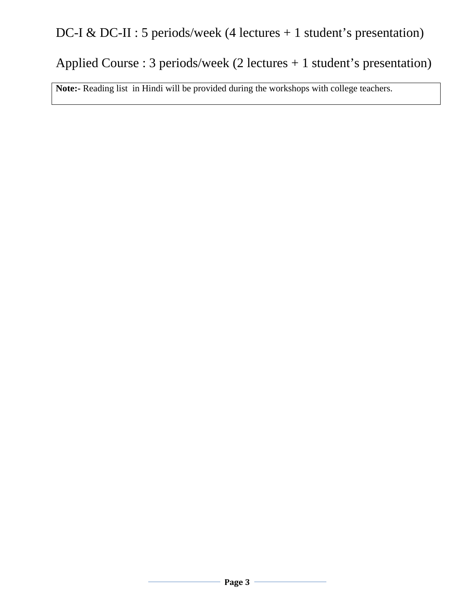## DC-I & DC-II : 5 periods/week (4 lectures + 1 student's presentation)

## Applied Course : 3 periods/week (2 lectures + 1 student's presentation)

**Note:-** Reading list in Hindi will be provided during the workshops with college teachers.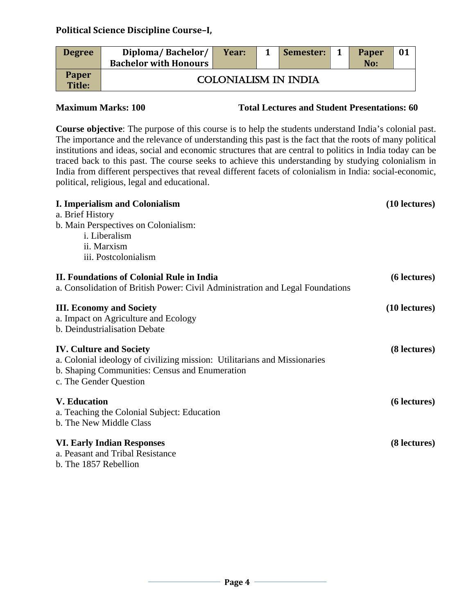| <b>Degree</b>                 | Diploma/Bachelor/<br><b>Bachelor with Honours</b> | Year:                       | Semester: | <b>Paper</b><br>No: | 01 |
|-------------------------------|---------------------------------------------------|-----------------------------|-----------|---------------------|----|
| <b>Paper</b><br><b>Title:</b> |                                                   | <b>COLONIALISM IN INDIA</b> |           |                     |    |

**Maximum Marks: 100 Total Lectures and Student Presentations: 60**

**Course objective**: The purpose of this course is to help the students understand India's colonial past. The importance and the relevance of understanding this past is the fact that the roots of many political institutions and ideas, social and economic structures that are central to politics in India today can be traced back to this past. The course seeks to achieve this understanding by studying colonialism in India from different perspectives that reveal different facets of colonialism in India: social-economic, political, religious, legal and educational.

| <b>I. Imperialism and Colonialism</b>                                         | (10 lectures)   |
|-------------------------------------------------------------------------------|-----------------|
| a. Brief History                                                              |                 |
| b. Main Perspectives on Colonialism:                                          |                 |
| i. Liberalism                                                                 |                 |
| ii. Marxism                                                                   |                 |
| iii. Postcolonialism                                                          |                 |
| <b>II. Foundations of Colonial Rule in India</b>                              | (6 lectures)    |
| a. Consolidation of British Power: Civil Administration and Legal Foundations |                 |
| <b>III. Economy and Society</b>                                               | $(10$ lectures) |
| a. Impact on Agriculture and Ecology                                          |                 |
| b. Deindustrialisation Debate                                                 |                 |
| <b>IV. Culture and Society</b>                                                | (8 lectures)    |
| a. Colonial ideology of civilizing mission: Utilitarians and Missionaries     |                 |
| b. Shaping Communities: Census and Enumeration                                |                 |
| c. The Gender Question                                                        |                 |
| <b>V.</b> Education                                                           | (6 lectures)    |
| a. Teaching the Colonial Subject: Education                                   |                 |
| b. The New Middle Class                                                       |                 |
| <b>VI. Early Indian Responses</b>                                             | (8 lectures)    |
| a. Peasant and Tribal Resistance                                              |                 |
| b. The 1857 Rebellion                                                         |                 |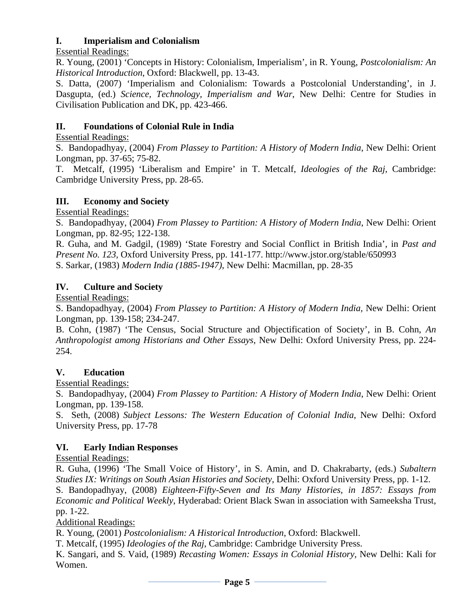#### **I. Imperialism and Colonialism**

Essential Readings:

R. Young, (2001) 'Concepts in History: Colonialism, Imperialism', in R. Young, *Postcolonialism: An Historical Introduction*, Oxford: Blackwell, pp. 13-43.

S. Datta, (2007) 'Imperialism and Colonialism: Towards a Postcolonial Understanding', in J. Dasgupta, (ed.) *Science, Technology, Imperialism and War*, New Delhi: Centre for Studies in Civilisation Publication and DK, pp. 423-466.

### **II. Foundations of Colonial Rule in India**

Essential Readings:

S. Bandopadhyay, (2004) *From Plassey to Partition: A History of Modern India*, New Delhi: Orient Longman, pp. 37-65; 75-82.

T. Metcalf, (1995) 'Liberalism and Empire' in T. Metcalf, *Ideologies of the Raj*, Cambridge: Cambridge University Press, pp. 28-65.

#### **III. Economy and Society**

Essential Readings:

S. Bandopadhyay, (2004) *From Plassey to Partition: A History of Modern India*, New Delhi: Orient Longman, pp. 82-95; 122-138.

R. Guha, and M. Gadgil, (1989) 'State Forestry and Social Conflict in British India', in *Past and Present No. 123,* Oxford University Press, pp. 141-177. http://www.jstor.org/stable/650993 S. Sarkar, (1983) *Modern India (1885-1947)*, New Delhi: Macmillan, pp. 28-35

#### **IV. Culture and Society**

Essential Readings:

S. Bandopadhyay, (2004) *From Plassey to Partition: A History of Modern India*, New Delhi: Orient Longman, pp. 139-158; 234-247.

B. Cohn, (1987) 'The Census, Social Structure and Objectification of Society', in B. Cohn, *An Anthropologist among Historians and Other Essays*, New Delhi: Oxford University Press, pp. 224- 254.

### **V. Education**

Essential Readings:

S. Bandopadhyay, (2004) *From Plassey to Partition: A History of Modern India*, New Delhi: Orient Longman, pp. 139-158.

S. Seth, (2008) *Subject Lessons: The Western Education of Colonial India*, New Delhi: Oxford University Press, pp. 17-78

#### **VI. Early Indian Responses**

### Essential Readings:

R. Guha, (1996) 'The Small Voice of History', in S. Amin, and D. Chakrabarty, (eds.) *Subaltern Studies IX: Writings on South Asian Histories and Society*, Delhi: Oxford University Press, pp. 1-12.

S. Bandopadhyay, (2008) *Eighteen-Fifty-Seven and Its Many Histories, in 1857: Essays from Economic and Political Weekly*, Hyderabad: Orient Black Swan in association with Sameeksha Trust, pp. 1-22.

Additional Readings:

R. Young, (2001) *Postcolonialism: A Historical Introduction*, Oxford: Blackwell.

T. Metcalf, (1995) *Ideologies of the Raj*, Cambridge: Cambridge University Press.

K. Sangari, and S. Vaid, (1989) *Recasting Women: Essays in Colonial History*, New Delhi: Kali for Women.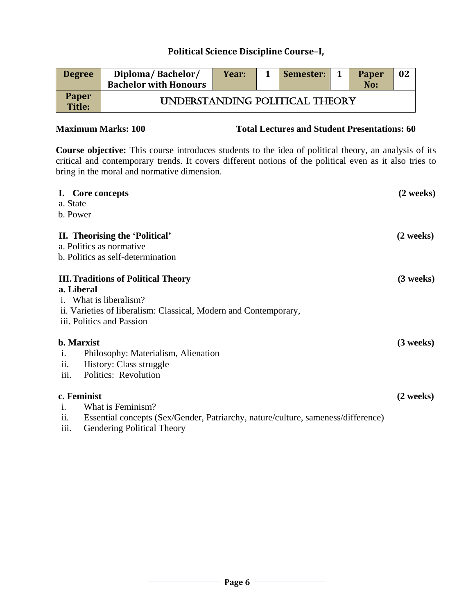| <b>Degree</b>          | Diploma/Bachelor/<br><b>Bachelor with Honours</b> | Year: | Semester: | <b>Paper</b><br>No: | 02 |
|------------------------|---------------------------------------------------|-------|-----------|---------------------|----|
| <b>Paper</b><br>Title: | UNDERSTANDING POLITICAL THEORY                    |       |           |                     |    |

#### **Maximum Marks: 100 Total Lectures and Student Presentations: 60**

**Course objective:** This course introduces students to the idea of political theory, an analysis of its critical and contemporary trends. It covers different notions of the political even as it also tries to bring in the moral and normative dimension.

| I. Core concepts<br>a. State                                                                                                                                                               | $(2 \text{ weeks})$ |
|--------------------------------------------------------------------------------------------------------------------------------------------------------------------------------------------|---------------------|
| b. Power                                                                                                                                                                                   |                     |
| II. Theorising the 'Political'<br>a. Politics as normative<br>b. Politics as self-determination                                                                                            | $(2 \text{ weeks})$ |
| <b>III. Traditions of Political Theory</b><br>a. Liberal<br>i. What is liberalism?<br>ii. Varieties of liberalism: Classical, Modern and Contemporary,<br>iii. Politics and Passion        | $(3$ weeks)         |
| <b>b.</b> Marxist<br>Philosophy: Materialism, Alienation<br>$\mathbf{1}$ .<br>ii.<br>History: Class struggle<br>iii.<br>Politics: Revolution                                               | $(3$ weeks)         |
| c. Feminist<br>What is Feminism?<br>$\mathbf{1}$ .<br>ii.<br>Essential concepts (Sex/Gender, Patriarchy, nature/culture, sameness/difference)<br>iii.<br><b>Gendering Political Theory</b> | $(2 \text{ weeks})$ |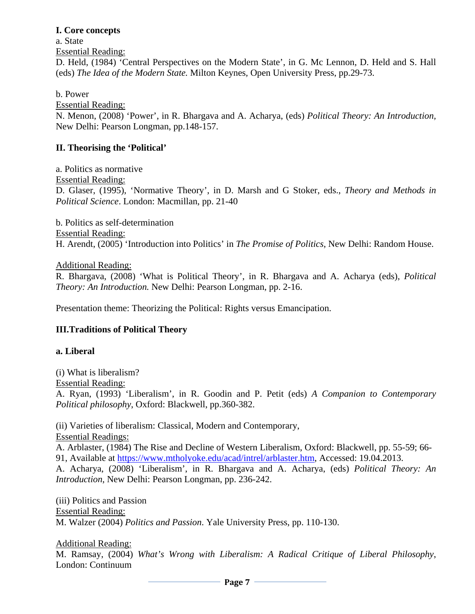#### **I. Core concepts**

a. State Essential Reading: D. Held, (1984) 'Central Perspectives on the Modern State', in G. Mc Lennon, D. Held and S. Hall (eds) *The Idea of the Modern State.* Milton Keynes*,* Open University Press, pp.29-73.

b. Power

Essential Reading:

N. Menon, (2008) 'Power', in R. Bhargava and A. Acharya, (eds) *Political Theory: An Introduction,* New Delhi: Pearson Longman, pp.148-157.

#### **II. Theorising the 'Political'**

a. Politics as normative Essential Reading: D. Glaser, (1995), 'Normative Theory', in D. Marsh and G Stoker, eds., *Theory and Methods in Political Science*. London: Macmillan, pp. 21-40

 b. Politics as self-determination Essential Reading: H. Arendt, (2005) 'Introduction into Politics' in *The Promise of Politics*, New Delhi: Random House.

Additional Reading:

R. Bhargava, (2008) 'What is Political Theory', in R. Bhargava and A. Acharya (eds), *Political Theory: An Introduction.* New Delhi: Pearson Longman, pp. 2-16.

Presentation theme: Theorizing the Political: Rights versus Emancipation.

#### **III.Traditions of Political Theory**

#### **a. Liberal**

(i) What is liberalism?

Essential Reading:

A. Ryan, (1993) 'Liberalism', in R. Goodin and P. Petit (eds) *A Companion to Contemporary Political philosophy*, Oxford: Blackwell, pp.360-382.

(ii) Varieties of liberalism: Classical, Modern and Contemporary, Essential Readings:

A. Arblaster, (1984) The Rise and Decline of Western Liberalism, Oxford: Blackwell, pp. 55-59; 66- 91, Available at [https://www.mtholyoke.edu/acad/intrel/arblaster.htm,](https://www.mtholyoke.edu/acad/intrel/arblaster.htm) Accessed: 19.04.2013.

A. Acharya, (2008) 'Liberalism', in R. Bhargava and A. Acharya, (eds) *Political Theory: An Introduction*, New Delhi: Pearson Longman, pp. 236-242.

(iii) Politics and Passion Essential Reading: M. Walzer (2004) *Politics and Passion*. Yale University Press, pp. 110-130.

Additional Reading:

M. Ramsay, (2004) *What's Wrong with Liberalism: A Radical Critique of Liberal Philosophy*, London: Continuum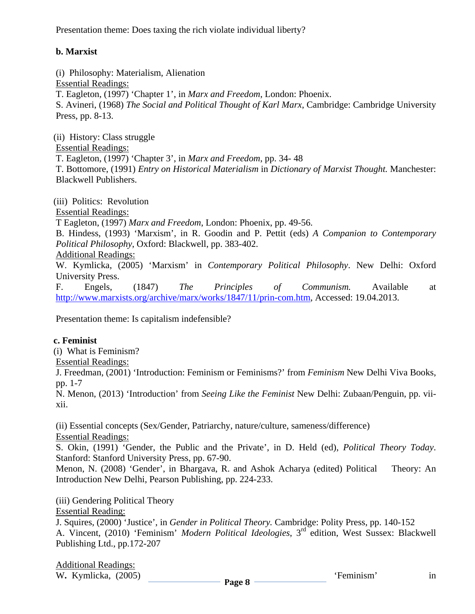Presentation theme: Does taxing the rich violate individual liberty?

### **b. Marxist**

(i) Philosophy: Materialism, Alienation

Essential Readings:

T. Eagleton, (1997) 'Chapter 1', in *Marx and Freedom*, London: Phoenix. S. Avineri, (1968) *The Social and Political Thought of Karl Marx*, Cambridge: Cambridge University Press, pp. 8-13.

 (ii) History: Class struggle Essential Readings: T. Eagleton, (1997) 'Chapter 3', in *Marx and Freedom*, pp. 34- 48 T. Bottomore, (1991) *Entry on Historical Materialism* in *Dictionary of Marxist Thought.* Manchester: Blackwell Publishers.

(iii) Politics: Revolution

Essential Readings:

T Eagleton, (1997) *Marx and Freedom*, London: Phoenix, pp. 49-56.

B. Hindess, (1993) 'Marxism', in R. Goodin and P. Pettit (eds) *A Companion to Contemporary Political Philosophy*, Oxford: Blackwell, pp. 383-402.

Additional Readings:

W. Kymlicka, (2005) 'Marxism' in *Contemporary Political Philosophy*. New Delhi: Oxford University Press.

F. Engels, (1847) *The Principles of Communism.* Available at [http://www.marxists.org/archive/marx/works/1847/11/prin-com.htm,](http://www.marxists.org/archive/marx/works/1847/11/prin-com.htm) Accessed: 19.04.2013.

Presentation theme: Is capitalism indefensible?

### **c. Feminist**

(i) What is Feminism?

Essential Readings:

J. Freedman, (2001) 'Introduction: Feminism or Feminisms?' from *Feminism* New Delhi Viva Books, pp. 1-7

N. Menon, (2013) 'Introduction' from *Seeing Like the Feminist* New Delhi: Zubaan/Penguin, pp. viixii.

(ii) Essential concepts (Sex/Gender, Patriarchy, nature/culture, sameness/difference) Essential Readings:

S. Okin, (1991) 'Gender, the Public and the Private', in D. Held (ed), *Political Theory Today*. Stanford: Stanford University Press, pp. 67-90.

Menon, N. (2008) 'Gender', in Bhargava, R. and Ashok Acharya (edited) Political Theory: An Introduction New Delhi, Pearson Publishing, pp. 224-233.

(iii) Gendering Political Theory

Essential Reading:

J. Squires, (2000) 'Justice', in *Gender in Political Theory.* Cambridge: Polity Press, pp. 140-152 A. Vincent, (2010) 'Feminism' *Modern Political Ideologies*, 3rd edition, West Sussex: Blackwell Publishing Ltd., pp.172-207

Additional Readings: W. Kymlicka, (2005) **in** the same of the same of the same of the same of the same of the same of the same of the same of the same of the same of the same of the same of the same of the same of the same of the same of the s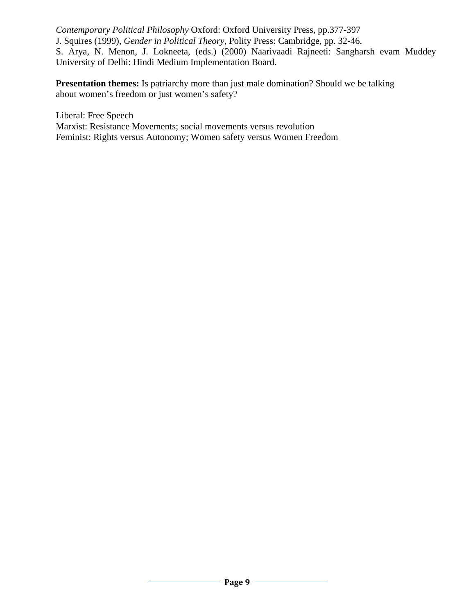*Contemporary Political Philosophy* Oxford: Oxford University Press, pp.377-397 J. Squires (1999), *Gender in Political Theory*, Polity Press: Cambridge, pp. 32-46. S. Arya, N. Menon, J. Lokneeta, (eds.) (2000) Naarivaadi Rajneeti: Sangharsh evam Muddey University of Delhi: Hindi Medium Implementation Board.

**Presentation themes:** Is patriarchy more than just male domination? Should we be talking about women's freedom or just women's safety?

Liberal: Free Speech Marxist: Resistance Movements; social movements versus revolution Feminist: Rights versus Autonomy; Women safety versus Women Freedom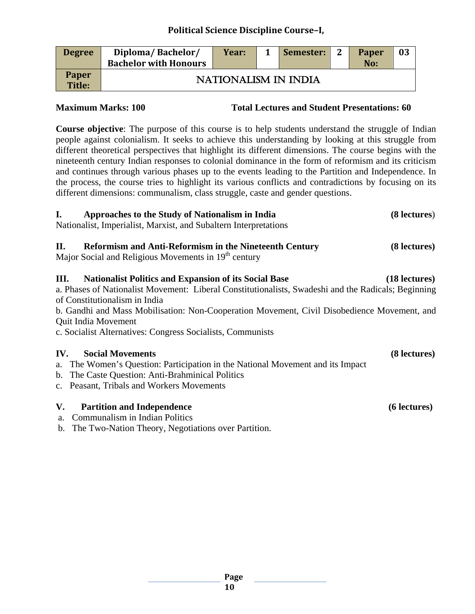| <b>Degree</b>   | Diploma/Bachelor/<br><b>Bachelor with Honours</b> | Year:                | Semester: 2 | <b>Paper</b><br>No: | 03 |
|-----------------|---------------------------------------------------|----------------------|-------------|---------------------|----|
| Paper<br>Title: |                                                   | NATIONALISM IN INDIA |             |                     |    |

**Maximum Marks: 100 Total Lectures and Student Presentations: 60**

**Course objective**: The purpose of this course is to help students understand the struggle of Indian people against colonialism. It seeks to achieve this understanding by looking at this struggle from different theoretical perspectives that highlight its different dimensions. The course begins with the nineteenth century Indian responses to colonial dominance in the form of reformism and its criticism and continues through various phases up to the events leading to the Partition and Independence. In the process, the course tries to highlight its various conflicts and contradictions by focusing on its different dimensions: communalism, class struggle, caste and gender questions.

| $\mathbf{I}$ .<br>Approaches to the Study of Nationalism in India                                                                                                         | (8 lectures)  |
|---------------------------------------------------------------------------------------------------------------------------------------------------------------------------|---------------|
| Nationalist, Imperialist, Marxist, and Subaltern Interpretations                                                                                                          |               |
| П.<br><b>Reformism and Anti-Reformism in the Nineteenth Century</b><br>Major Social and Religious Movements in 19 <sup>th</sup> century                                   | (8 lectures)  |
| <b>Nationalist Politics and Expansion of its Social Base</b><br>Ш.<br>a. Phases of Nationalist Movement: Liberal Constitutionalists, Swadeshi and the Radicals; Beginning | (18 lectures) |
| of Constitutionalism in India                                                                                                                                             |               |
| b. Gandhi and Mass Mobilisation: Non-Cooperation Movement, Civil Disobedience Movement, and                                                                               |               |
| Quit India Movement                                                                                                                                                       |               |
| c. Socialist Alternatives: Congress Socialists, Communists                                                                                                                |               |
| <b>Social Movements</b><br>IV.                                                                                                                                            | (8 lectures)  |
| a. The Women's Question: Participation in the National Movement and its Impact                                                                                            |               |
| b. The Caste Question: Anti-Brahminical Politics                                                                                                                          |               |
| c. Peasant, Tribals and Workers Movements                                                                                                                                 |               |
| V.<br><b>Partition and Independence</b>                                                                                                                                   | (6 lectures)  |

a. Communalism in Indian Politics

b. The Two-Nation Theory, Negotiations over Partition.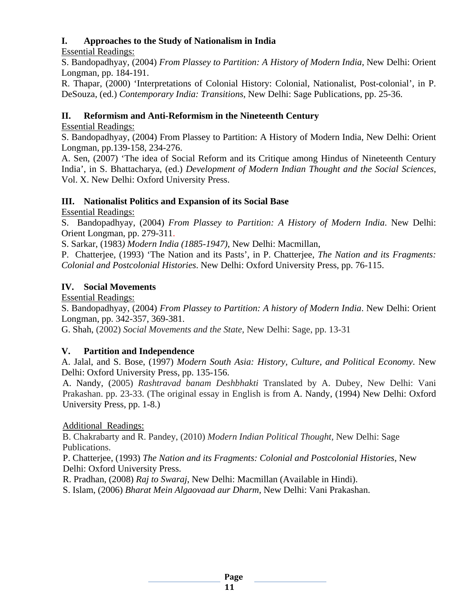### **I. Approaches to the Study of Nationalism in India**

Essential Readings:

S. Bandopadhyay, (2004) *From Plassey to Partition: A History of Modern India*, New Delhi: Orient Longman, pp. 184-191.

R. Thapar, (2000) 'Interpretations of Colonial History: Colonial, Nationalist, Post-colonial', in P. DeSouza, (ed.) *Contemporary India: Transitions*, New Delhi: Sage Publications, pp. 25-36.

### **II. Reformism and Anti-Reformism in the Nineteenth Century**

### Essential Readings:

S. Bandopadhyay, (2004) From Plassey to Partition: A History of Modern India, New Delhi: Orient Longman, pp.139-158, 234-276.

A. Sen, (2007) 'The idea of Social Reform and its Critique among Hindus of Nineteenth Century India', in S. Bhattacharya, (ed.) *Development of Modern Indian Thought and the Social Sciences*, Vol. X. New Delhi: Oxford University Press.

### **III. Nationalist Politics and Expansion of its Social Base**

Essential Readings:

S. Bandopadhyay, (2004) *From Plassey to Partition: A History of Modern India*. New Delhi: Orient Longman, pp. 279-311.

S. Sarkar, (1983*) Modern India (1885-1947)*, New Delhi: Macmillan,

P. Chatterjee, (1993) 'The Nation and its Pasts', in P. Chatterjee, *The Nation and its Fragments: Colonial and Postcolonial Histories*. New Delhi: Oxford University Press, pp. 76-115.

### **IV. Social Movements**

Essential Readings:

S. Bandopadhyay, (2004) *From Plassey to Partition: A history of Modern India*. New Delhi: Orient Longman, pp. 342-357, 369-381.

G. Shah, (2002) *Social Movements and the State*, New Delhi: Sage, pp. 13-31

### **V. Partition and Independence**

A. Jalal, and S. Bose, (1997) *Modern South Asia: History, Culture, and Political Economy*. New Delhi: Oxford University Press, pp. 135-156.

A. Nandy, (2005) *Rashtravad banam Deshbhakti* Translated by A. Dubey, New Delhi: Vani Prakashan. pp. 23-33. (The original essay in English is from A. Nandy, (1994) New Delhi: Oxford University Press, pp. 1-8.)

Additional Readings:

B. Chakrabarty and R. Pandey, (2010) *Modern Indian Political Thought,* New Delhi: Sage Publications.

 P. Chatterjee, (1993) *The Nation and its Fragments: Colonial and Postcolonial Histories*, New Delhi: Oxford University Press.

R. Pradhan, (2008) *Raj to Swaraj*, New Delhi: Macmillan (Available in Hindi).

S. Islam, (2006) *Bharat Mein Algaovaad aur Dharm*, New Delhi: Vani Prakashan.

**Page**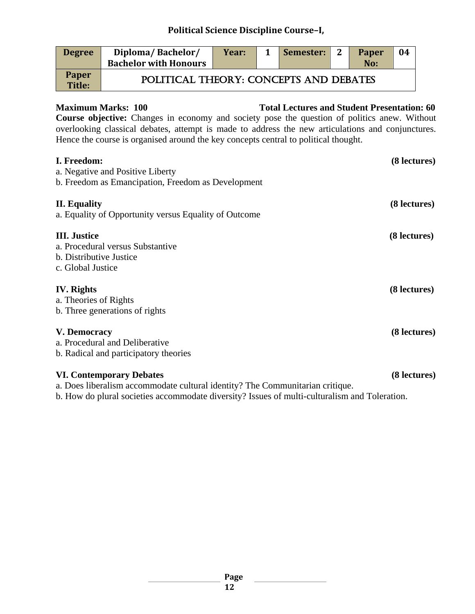| <b>Degree</b>          | Diploma/Bachelor/<br><b>Bachelor with Honours</b> | Year: | Semester: | $\overline{\mathbf{2}}$ | <b>Paper</b><br>No: | 04 |
|------------------------|---------------------------------------------------|-------|-----------|-------------------------|---------------------|----|
| <b>Paper</b><br>Title: | POLITICAL THEORY: CONCEPTS AND DEBATES            |       |           |                         |                     |    |

#### **Maximum Marks: 100 Total Lectures and Student Presentation: 60**

**Course objective:** Changes in economy and society pose the question of politics anew. Without overlooking classical debates, attempt is made to address the new articulations and conjunctures. Hence the course is organised around the key concepts central to political thought.

| I. Freedom:<br>a. Negative and Positive Liberty<br>b. Freedom as Emancipation, Freedom as Development            | (8 lectures) |
|------------------------------------------------------------------------------------------------------------------|--------------|
| <b>II.</b> Equality<br>a. Equality of Opportunity versus Equality of Outcome                                     | (8 lectures) |
| <b>III.</b> Justice<br>a. Procedural versus Substantive<br>b. Distributive Justice<br>c. Global Justice          | (8 lectures) |
| <b>IV.</b> Rights<br>a. Theories of Rights<br>b. Three generations of rights                                     | (8 lectures) |
| V. Democracy<br>a. Procedural and Deliberative<br>b. Radical and participatory theories                          | (8 lectures) |
| <b>VI. Contemporary Debates</b><br>a. Does liberalism accommodate cultural identity? The Communitarian critique. | (8 lectures) |

b. How do plural societies accommodate diversity? Issues of multi-culturalism and Toleration.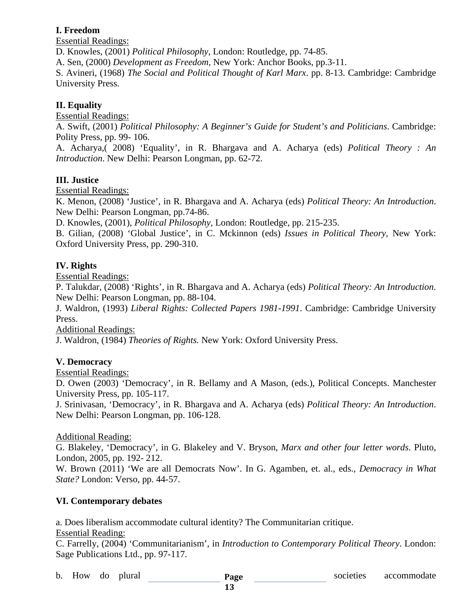#### **I. Freedom**

Essential Readings:

D. Knowles, (2001) *Political Philosophy*, London: Routledge, pp. 74-85.

A. Sen, (2000) *Development as Freedom,* New York: Anchor Books, pp.3-11.

S. Avineri, (1968) *The Social and Political Thought of Karl Marx*. pp. 8-13. Cambridge: Cambridge University Press.

### **II. Equality**

Essential Readings:

A. Swift, (2001) *Political Philosophy: A Beginner's Guide for Student's and Politicians*. Cambridge: Polity Press, pp. 99- 106.

A. Acharya,( 2008) 'Equality', in R. Bhargava and A. Acharya (eds) *Political Theory : An Introduction*. New Delhi: Pearson Longman, pp. 62-72.

#### **III. Justice**

Essential Readings:

K. Menon, (2008) 'Justice', in R. Bhargava and A. Acharya (eds) *Political Theory: An Introduction*. New Delhi: Pearson Longman, pp.74-86.

D. Knowles, (2001), *Political Philosophy,* London: Routledge, pp. 215-235.

B. Gilian, (2008) 'Global Justice', in C. Mckinnon (eds) *Issues in Political Theory,* New York: Oxford University Press, pp. 290-310.

#### **IV. Rights**

Essential Readings:

P. Talukdar, (2008) 'Rights', in R. Bhargava and A. Acharya (eds) *Political Theory: An Introduction*. New Delhi: Pearson Longman, pp. 88-104.

J. Waldron, (1993) *Liberal Rights: Collected Papers 1981-1991*. Cambridge: Cambridge University Press.

Additional Readings:

J. Waldron, (1984) *Theories of Rights.* New York: Oxford University Press.

#### **V. Democracy**

Essential Readings:

D. Owen (2003) 'Democracy', in R. Bellamy and A Mason, (eds.), Political Concepts. Manchester University Press, pp. 105-117.

J. Srinivasan, 'Democracy', in R. Bhargava and A. Acharya (eds) *Political Theory: An Introduction*. New Delhi: Pearson Longman, pp. 106-128.

#### Additional Reading:

G. Blakeley, 'Democracy', in G. Blakeley and V. Bryson, *Marx and other four letter words*. Pluto, London, 2005, pp. 192- 212.

W. Brown (2011) 'We are all Democrats Now'. In G. Agamben, et. al., eds., *Democracy in What State?* London: Verso, pp. 44-57.

### **VI. Contemporary debates**

a. Does liberalism accommodate cultural identity? The Communitarian critique.

Essential Reading:

C. Farrelly, (2004) 'Communitarianism', in *Introduction to Contemporary Political Theory*. London: Sage Publications Ltd., pp. 97-117.

**Page**  b. How do plural **Page Page** societies accommodate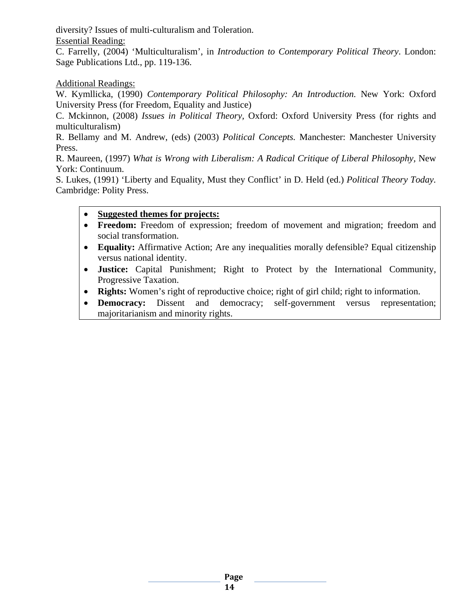diversity? Issues of multi-culturalism and Toleration. Essential Reading:

C. Farrelly, (2004) 'Multiculturalism', in *Introduction to Contemporary Political Theory*. London: Sage Publications Ltd., pp. 119-136.

Additional Readings:

W. Kymllicka, (1990) *Contemporary Political Philosophy: An Introduction.* New York: Oxford University Press (for Freedom, Equality and Justice)

C. Mckinnon, (2008) *Issues in Political Theory,* Oxford: Oxford University Press (for rights and multiculturalism)

R. Bellamy and M. Andrew, (eds) (2003) *Political Concepts.* Manchester: Manchester University Press.

R. Maureen, (1997) *What is Wrong with Liberalism: A Radical Critique of Liberal Philosophy,* New York: Continuum.

S. Lukes, (1991) 'Liberty and Equality, Must they Conflict' in D. Held (ed.) *Political Theory Today.*  Cambridge: Polity Press.

#### • **Suggested themes for projects:**

- **Freedom:** Freedom of expression; freedom of movement and migration; freedom and social transformation.
- **Equality:** Affirmative Action; Are any inequalities morally defensible? Equal citizenship versus national identity.
- **Justice:** Capital Punishment; Right to Protect by the International Community, Progressive Taxation.
- **Rights:** Women's right of reproductive choice; right of girl child; right to information.
- **Democracy:** Dissent and democracy; self-government versus representation; majoritarianism and minority rights.

**Page**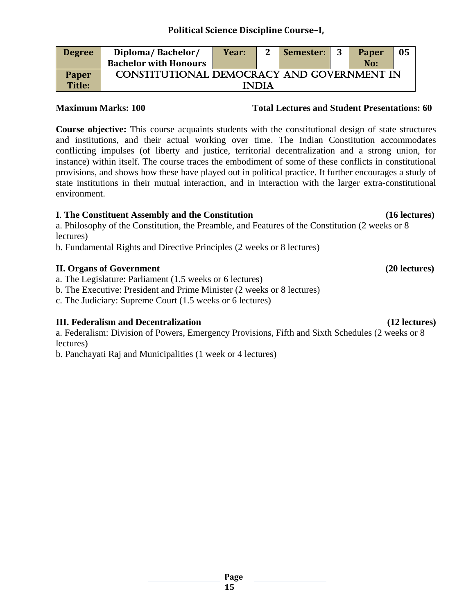Constitutional democracy and government in **INDIA** 

**Paper Title:**

**Degree Diploma/ Bachelor/** 

**Bachelor with Honours**

**Course objective:** This course acquaints students with the constitutional design of state structures and institutions, and their actual working over time. The Indian Constitution accommodates conflicting impulses (of liberty and justice, territorial decentralization and a strong union, for instance) within itself. The course traces the embodiment of some of these conflicts in constitutional provisions, and shows how these have played out in political practice. It further encourages a study of state institutions in their mutual interaction, and in interaction with the larger extra-constitutional environment.

#### **I**. **The Constituent Assembly and the Constitution (16 lectures)**

a. Philosophy of the Constitution, the Preamble, and Features of the Constitution (2 weeks or 8 lectures)

b. Fundamental Rights and Directive Principles (2 weeks or 8 lectures)

#### **II. Organs of Government (20 lectures)**

a. The Legislature: Parliament (1.5 weeks or 6 lectures)

b. The Executive: President and Prime Minister (2 weeks or 8 lectures)

c. The Judiciary: Supreme Court (1.5 weeks or 6 lectures)

### **III. Federalism and Decentralization (12 lectures)**

a. Federalism: Division of Powers, Emergency Provisions, Fifth and Sixth Schedules (2 weeks or 8 lectures)

b. Panchayati Raj and Municipalities (1 week or 4 lectures)

**Year: 2 Semester: 3 Paper** 

#### **Maximum Marks: 100 Total Lectures and Student Presentations: 60**

**No:**

**05**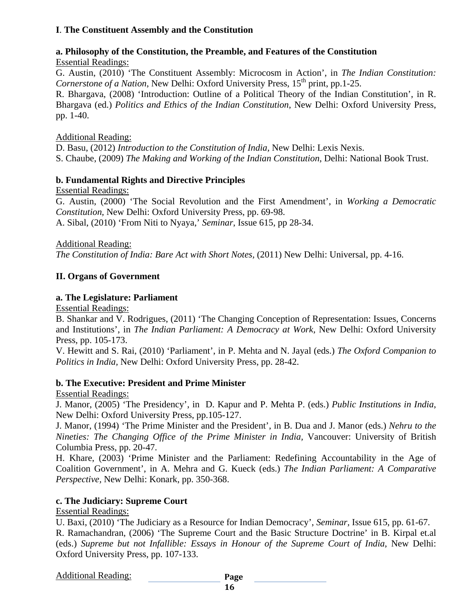#### **I**. **The Constituent Assembly and the Constitution**

#### **a. Philosophy of the Constitution, the Preamble, and Features of the Constitution** Essential Readings:

G. Austin, (2010) 'The Constituent Assembly: Microcosm in Action', in *The Indian Constitution: Cornerstone of a Nation*, New Delhi: Oxford University Press, 15<sup>th</sup> print, pp.1-25.

R. Bhargava, (2008) 'Introduction: Outline of a Political Theory of the Indian Constitution', in R. Bhargava (ed.) *Politics and Ethics of the Indian Constitution*, New Delhi: Oxford University Press, pp. 1-40.

#### Additional Reading:

D. Basu, (2012) *Introduction to the Constitution of India,* New Delhi: Lexis Nexis. S. Chaube, (2009) *The Making and Working of the Indian Constitution*, Delhi: National Book Trust.

#### **b. Fundamental Rights and Directive Principles**

Essential Readings:

G. Austin, (2000) 'The Social Revolution and the First Amendment', in *Working a Democratic Constitution,* New Delhi: Oxford University Press, pp. 69-98.

A. Sibal, (2010) 'From Niti to Nyaya,' *Seminar*, Issue 615, pp 28-34.

Additional Reading:

*The Constitution of India: Bare Act with Short Notes,* (2011) New Delhi: Universal, pp. 4-16.

#### **II. Organs of Government**

#### **a. The Legislature: Parliament**

Essential Readings:

B. Shankar and V. Rodrigues, (2011) 'The Changing Conception of Representation: Issues, Concerns and Institutions', in *The Indian Parliament: A Democracy at Work,* New Delhi: Oxford University Press, pp. 105-173.

V. Hewitt and S. Rai, (2010) 'Parliament', in P. Mehta and N. Jayal (eds.) *The Oxford Companion to Politics in India,* New Delhi: Oxford University Press, pp. 28-42.

#### **b. The Executive: President and Prime Minister**

Essential Readings:

J. Manor, (2005) 'The Presidency', in D. Kapur and P. Mehta P. (eds.) *Public Institutions in India*, New Delhi: Oxford University Press, pp.105-127.

J. Manor, (1994) 'The Prime Minister and the President', in B. Dua and J. Manor (eds.) *Nehru to the Nineties: The Changing Office of the Prime Minister in India,* Vancouver: University of British Columbia Press, pp. 20-47.

H. Khare, (2003) 'Prime Minister and the Parliament: Redefining Accountability in the Age of Coalition Government', in A. Mehra and G. Kueck (eds.) *The Indian Parliament: A Comparative Perspective,* New Delhi: Konark, pp. 350-368.

#### **c. The Judiciary: Supreme Court**

Essential Readings:

U. Baxi, (2010) 'The Judiciary as a Resource for Indian Democracy', *Seminar,* Issue 615, pp. 61-67. R. Ramachandran, (2006) 'The Supreme Court and the Basic Structure Doctrine' in B. Kirpal et.al (eds.) *Supreme but not Infallible: Essays in Honour of the Supreme Court of India*, New Delhi: Oxford University Press, pp. 107-133.

#### Additional Reading: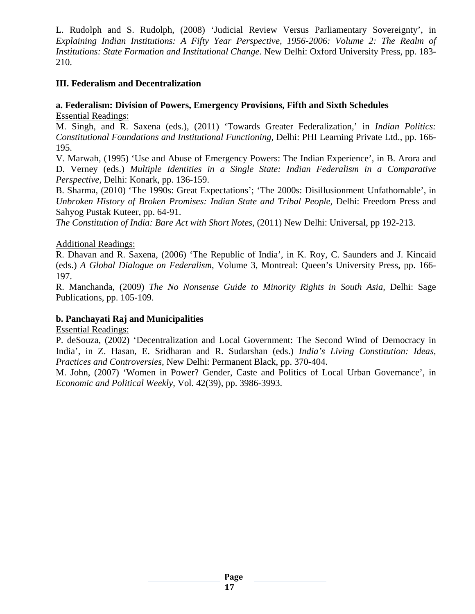L. Rudolph and S. Rudolph, (2008) 'Judicial Review Versus Parliamentary Sovereignty', in *Explaining Indian Institutions: A Fifty Year Perspective, 1956-2006: Volume 2: The Realm of Institutions: State Formation and Institutional Change.* New Delhi: Oxford University Press, pp. 183-210.

#### **III. Federalism and Decentralization**

#### **a. Federalism: Division of Powers, Emergency Provisions, Fifth and Sixth Schedules** Essential Readings:

M. Singh, and R. Saxena (eds.), (2011) 'Towards Greater Federalization,' in *Indian Politics: Constitutional Foundations and Institutional Functioning,* Delhi: PHI Learning Private Ltd., pp. 166- 195.

V. Marwah, (1995) 'Use and Abuse of Emergency Powers: The Indian Experience', in B. Arora and D. Verney (eds.) *Multiple Identities in a Single State: Indian Federalism in a Comparative Perspective,* Delhi: Konark, pp. 136-159.

B. Sharma, (2010) 'The 1990s: Great Expectations'; 'The 2000s: Disillusionment Unfathomable', in *Unbroken History of Broken Promises: Indian State and Tribal People,* Delhi: Freedom Press and Sahyog Pustak Kuteer, pp. 64-91.

*The Constitution of India: Bare Act with Short Notes,* (2011) New Delhi: Universal, pp 192-213.

#### Additional Readings:

R. Dhavan and R. Saxena, (2006) 'The Republic of India', in K. Roy, C. Saunders and J. Kincaid (eds.) *A Global Dialogue on Federalism*, Volume 3, Montreal: Queen's University Press, pp. 166- 197.

R. Manchanda, (2009) *The No Nonsense Guide to Minority Rights in South Asia,* Delhi: Sage Publications, pp. 105-109.

#### **b. Panchayati Raj and Municipalities**

Essential Readings:

P. deSouza, (2002) 'Decentralization and Local Government: The Second Wind of Democracy in India', in Z. Hasan, E. Sridharan and R. Sudarshan (eds.) *India's Living Constitution: Ideas, Practices and Controversies,* New Delhi: Permanent Black, pp. 370-404.

M. John, (2007) 'Women in Power? Gender, Caste and Politics of Local Urban Governance', in *Economic and Political Weekly*, Vol. 42(39), pp. 3986-3993.

**Page**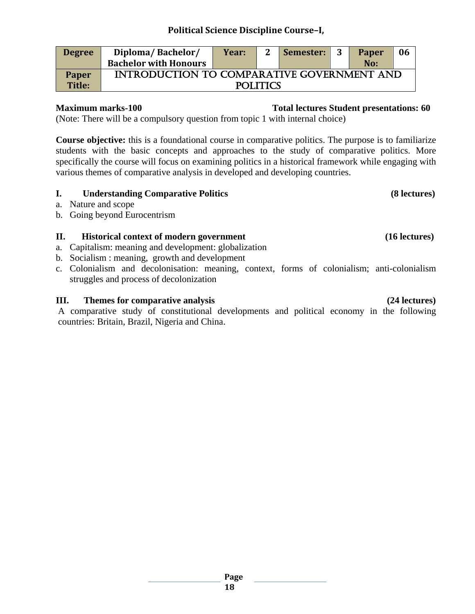| <b>Degree</b> | Diploma/Bachelor/                                 | Year: |          | Semester: | 3 | <b>Paper</b> | 06 |
|---------------|---------------------------------------------------|-------|----------|-----------|---|--------------|----|
|               | <b>Bachelor with Honours</b>                      |       |          |           |   | No:          |    |
| <b>Paper</b>  | <b>INTRODUCTION TO COMPARATIVE GOVERNMENT AND</b> |       |          |           |   |              |    |
| Title:        |                                                   |       | POLITICS |           |   |              |    |

### **Maximum marks-100 Total lectures Student presentations: 60**

(Note: There will be a compulsory question from topic 1 with internal choice)

**Course objective:** this is a foundational course in comparative politics. The purpose is to familiarize students with the basic concepts and approaches to the study of comparative politics. More specifically the course will focus on examining politics in a historical framework while engaging with various themes of comparative analysis in developed and developing countries.

#### **I. Understanding Comparative Politics (8 lectures)**

- a. Nature and scope
- b. Going beyond Eurocentrism

### **II. Historical context of modern government (16 lectures)**

- a. Capitalism: meaning and development: globalization
- b. Socialism : meaning, growth and development
- c. Colonialism and decolonisation: meaning, context, forms of colonialism; anti-colonialism struggles and process of decolonization

#### **III. Themes for comparative analysis (24 lectures)**

A comparative study of constitutional developments and political economy in the following countries: Britain, Brazil, Nigeria and China.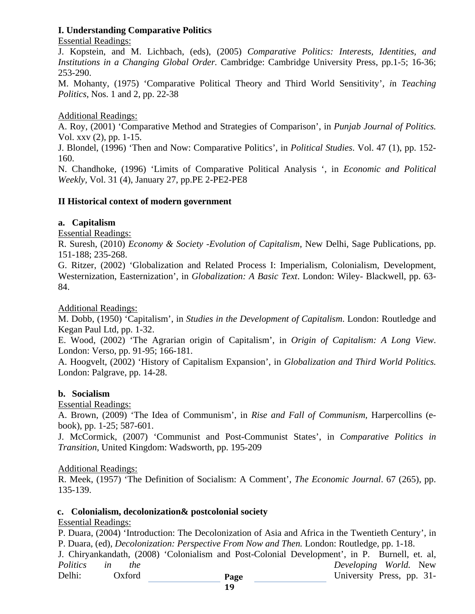#### **I. Understanding Comparative Politics**

Essential Readings:

J. Kopstein, and M. Lichbach, (eds), (2005) *Comparative Politics: Interests, Identities, and Institutions in a Changing Global Order.* Cambridge: Cambridge University Press, pp.1-5; 16-36; 253-290.

M. Mohanty, (1975) 'Comparative Political Theory and Third World Sensitivity'*, i*n *Teaching Politics*, Nos. 1 and 2, pp. 22-38

Additional Readings:

A. Roy, (2001) 'Comparative Method and Strategies of Comparison', in *Punjab Journal of Politics.* Vol. xxv (2), pp. 1-15.

J. Blondel, (1996) 'Then and Now: Comparative Politics', in *Political Studies*. Vol. 47 (1), pp. 152- 160.

N. Chandhoke, (1996) 'Limits of Comparative Political Analysis ', in *Economic and Political Weekly,* Vol. 31 (4), January 27, pp.PE 2-PE2-PE8

### **II Historical context of modern government**

#### **a. Capitalism**

Essential Readings:

R. Suresh, (2010) *Economy & Society -Evolution of Capitalism*, New Delhi, Sage Publications, pp. 151-188; 235-268.

G. Ritzer, (2002) 'Globalization and Related Process I: Imperialism, Colonialism, Development, Westernization, Easternization', in *Globalization: A Basic Text*. London: Wiley- Blackwell, pp. 63- 84.

Additional Readings:

M. Dobb, (1950) 'Capitalism', in *Studies in the Development of Capitalism*. London: Routledge and Kegan Paul Ltd, pp. 1-32.

E. Wood, (2002) 'The Agrarian origin of Capitalism', in *Origin of Capitalism: A Long View*. London: Verso, pp. 91-95; 166-181.

A. Hoogvelt, (2002) 'History of Capitalism Expansion', in *Globalization and Third World Politics.* London: Palgrave, pp. 14-28.

### **b. Socialism**

Essential Readings:

A. Brown, (2009) 'The Idea of Communism', in *Rise and Fall of Communism,* Harpercollins (ebook), pp. 1-25; 587-601.

J. McCormick, (2007) 'Communist and Post-Communist States', in *Comparative Politics in Transition*, United Kingdom: Wadsworth, pp. 195-209

#### Additional Readings:

R. Meek, (1957) 'The Definition of Socialism: A Comment', *The Economic Journal*. 67 (265), pp. 135-139.

#### **c. Colonialism, decolonization& postcolonial society**

### Essential Readings:

P. Duara, (2004) 'Introduction: The Decolonization of Asia and Africa in the Twentieth Century', in P. Duara, (ed), *Decolonization: Perspective From Now and Then.* London: Routledge, pp. 1-18.

**Page**  J. Chiryankandath, (2008) 'Colonialism and Post-Colonial Development', in P. Burnell, et. al, *Politics in the Developing World.* New Delhi: Oxford Page University Press, pp. 31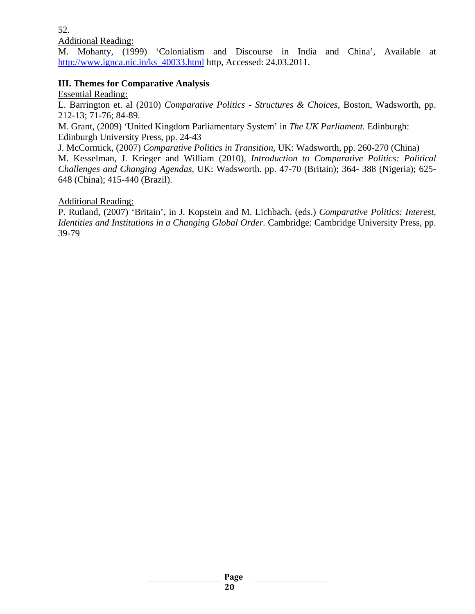52.

Additional Reading:

M. Mohanty, (1999) 'Colonialism and Discourse in India and China', Available at [http://www.ignca.nic.in/ks\\_40033.html](http://www.ignca.nic.in/ks_40033.html) http, Accessed: 24.03.2011.

#### **III. Themes for Comparative Analysis**

Essential Reading:

L. Barrington et. al (2010) *Comparative Politics - Structures & Choices*, Boston, Wadsworth, pp. 212-13; 71-76; 84-89.

M. Grant, (2009) 'United Kingdom Parliamentary System' in *The UK Parliament.* Edinburgh: Edinburgh University Press, pp. 24-43

J. McCormick, (2007) *Comparative Politics in Transition*, UK: Wadsworth, pp. 260-270 (China)

M. Kesselman, J. Krieger and William (2010), *Introduction to Comparative Politics: Political Challenges and Changing Agendas,* UK: Wadsworth. pp. 47-70 (Britain); 364- 388 (Nigeria); 625- 648 (China); 415-440 (Brazil).

#### Additional Reading:

P. Rutland, (2007) 'Britain', in J. Kopstein and M. Lichbach. (eds.) *Comparative Politics: Interest, Identities and Institutions in a Changing Global Order.* Cambridge: Cambridge University Press, pp. 39-79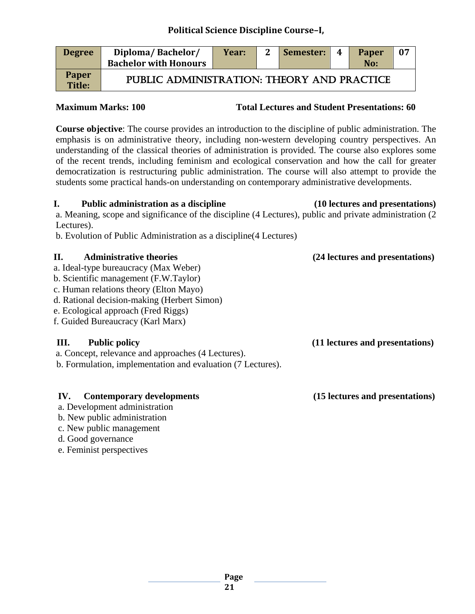| <b>Degree</b>          | Diploma/Bachelor/<br><b>Bachelor with Honours</b> | Year: | $\mathbf{2}$ | Semester: | - 4 | <b>Paper</b><br>No: | 07 |
|------------------------|---------------------------------------------------|-------|--------------|-----------|-----|---------------------|----|
| <b>Paper</b><br>Title: | PUBLIC ADMINISTRATION: THEORY AND PRACTICE        |       |              |           |     |                     |    |

**Maximum Marks: 100 Total Lectures and Student Presentations: 60** 

**Course objective**: The course provides an introduction to the discipline of public administration. The emphasis is on administrative theory, including non-western developing country perspectives. An understanding of the classical theories of administration is provided. The course also explores some of the recent trends, including feminism and ecological conservation and how the call for greater democratization is restructuring public administration. The course will also attempt to provide the students some practical hands-on understanding on contemporary administrative developments.

#### **I. Public administration as a discipline (10 lectures and presentations)**

a. Meaning, scope and significance of the discipline (4 Lectures), public and private administration (2 Lectures).

b. Evolution of Public Administration as a discipline(4 Lectures)

### **II. Administrative theories (24 lectures and presentations)**

- a. Ideal-type bureaucracy (Max Weber)
- b. Scientific management (F.W.Taylor)
- c. Human relations theory (Elton Mayo)
- d. Rational decision-making (Herbert Simon)
- e. Ecological approach (Fred Riggs)
- f. Guided Bureaucracy (Karl Marx)

a. Concept, relevance and approaches (4 Lectures).

b. Formulation, implementation and evaluation (7 Lectures).

### **IV. Contemporary developments (15 lectures and presentations)**

- a. Development administration
- b. New public administration
- c. New public management
- d. Good governance
- e. Feminist perspectives

 **III. Public policy (11 lectures and presentations)**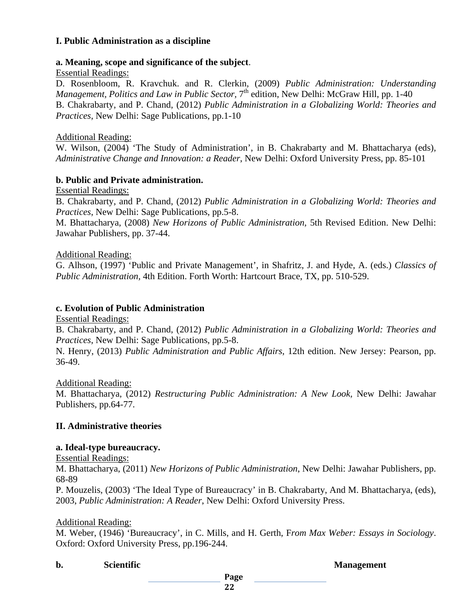#### **I. Public Administration as a discipline**

#### **a. Meaning, scope and significance of the subject**.

#### Essential Readings:

D. Rosenbloom, R. Kravchuk. and R. Clerkin, (2009) *Public Administration: Understanding Management, Politics and Law in Public Sector,* 7<sup>th</sup> edition, New Delhi: McGraw Hill, pp. 1-40 B. Chakrabarty, and P. Chand, (2012) *Public Administration in a Globalizing World: Theories and Practices*, New Delhi: Sage Publications, pp.1-10

#### Additional Reading:

W. Wilson, (2004) 'The Study of Administration', in B. Chakrabarty and M. Bhattacharya (eds), *Administrative Change and Innovation: a Reader*, New Delhi: Oxford University Press, pp. 85-101

#### **b. Public and Private administration.**

Essential Readings:

B. Chakrabarty, and P. Chand, (2012) *Public Administration in a Globalizing World: Theories and Practices*, New Delhi: Sage Publications, pp.5-8.

M. Bhattacharya, (2008) *New Horizons of Public Administration*, 5th Revised Edition. New Delhi: Jawahar Publishers, pp. 37-44.

#### Additional Reading:

G. Alhson, (1997) 'Public and Private Management', in Shafritz, J. and Hyde, A. (eds.) *Classics of Public Administration,* 4th Edition. Forth Worth: Hartcourt Brace, TX, pp. 510-529.

#### **c. Evolution of Public Administration**

Essential Readings:

B. Chakrabarty, and P. Chand, (2012) *Public Administration in a Globalizing World: Theories and Practices*, New Delhi: Sage Publications, pp.5-8.

N. Henry, (2013) *Public Administration and Public Affairs*, 12th edition. New Jersey: Pearson, pp. 36-49.

#### Additional Reading:

M. Bhattacharya, (2012) *Restructuring Public Administration: A New Look,* New Delhi: Jawahar Publishers, pp.64-77.

#### **II. Administrative theories**

#### **a. Ideal-type bureaucracy.**

Essential Readings:

M. Bhattacharya, (2011) *New Horizons of Public Administration*, New Delhi: Jawahar Publishers, pp. 68-89

P. Mouzelis, (2003) 'The Ideal Type of Bureaucracy' in B. Chakrabarty, And M. Bhattacharya, (eds), 2003, *Public Administration: A Reader*, New Delhi: Oxford University Press.

#### Additional Reading:

M. Weber, (1946) 'Bureaucracy', in C. Mills, and H. Gerth, F*rom Max Weber: Essays in Sociology*. Oxford: Oxford University Press, pp.196-244.

**b.** Scientific Scientific Scientific Scientific Scientific Scientific Scientific Scientific Scientific Scientific Scientific Scientific Scientific Scientific Scientific Scientific Scientific Scientific Scientific Scientif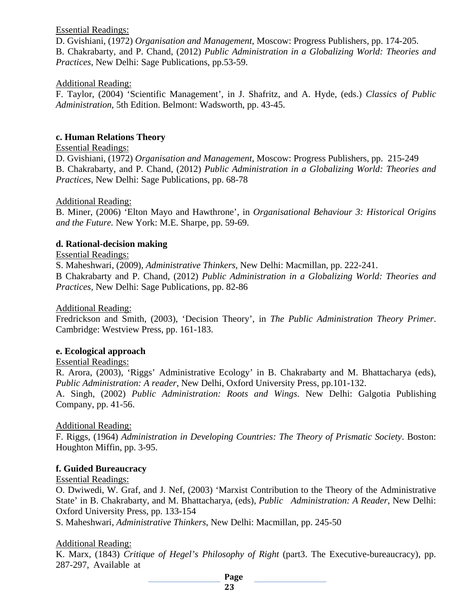#### Essential Readings:

D. Gvishiani, (1972) *Organisation and Management*, Moscow: Progress Publishers, pp. 174-205. B. Chakrabarty, and P. Chand, (2012) *Public Administration in a Globalizing World: Theories and Practices*, New Delhi: Sage Publications, pp.53-59.

#### Additional Reading:

F. Taylor, (2004) 'Scientific Management', in J. Shafritz, and A. Hyde, (eds.) *Classics of Public Administration,* 5th Edition. Belmont: Wadsworth, pp. 43-45.

#### **c. Human Relations Theory**

#### Essential Readings:

D. Gvishiani, (1972) *Organisation and Management*, Moscow: Progress Publishers, pp. 215-249 B. Chakrabarty, and P. Chand, (2012) *Public Administration in a Globalizing World: Theories and Practices*, New Delhi: Sage Publications, pp. 68-78

#### Additional Reading:

B. Miner, (2006) 'Elton Mayo and Hawthrone', in *Organisational Behaviour 3: Historical Origins and the Future.* New York: M.E. Sharpe, pp. 59-69.

#### **d. Rational-decision making**

#### Essential Readings:

S. Maheshwari, (2009), *Administrative Thinkers*, New Delhi: Macmillan, pp. 222-241. B Chakrabarty and P. Chand, (2012) *Public Administration in a Globalizing World: Theories and Practices,* New Delhi: Sage Publications, pp. 82-86

Additional Reading:

Fredrickson and Smith, (2003), 'Decision Theory', in *The Public Administration Theory Primer*. Cambridge: Westview Press, pp. 161-183.

#### **e. Ecological approach**

#### Essential Readings:

R. Arora, (2003), 'Riggs' Administrative Ecology' in B. Chakrabarty and M. Bhattacharya (eds), *Public Administration: A reader*, New Delhi, Oxford University Press, pp.101-132.

A. Singh, (2002) *Public Administration: Roots and Wings*. New Delhi: Galgotia Publishing Company, pp. 41-56.

#### Additional Reading:

F. Riggs, (1964) *Administration in Developing Countries: The Theory of Prismatic Society*. Boston: Houghton Miffin, pp. 3-95.

#### **f. Guided Bureaucracy**

#### Essential Readings:

O. Dwiwedi, W. Graf, and J. Nef, (2003) 'Marxist Contribution to the Theory of the Administrative State' in B. Chakrabarty, and M. Bhattacharya, (eds), *Public Administration: A Reader*, New Delhi: Oxford University Press, pp. 133-154

S. Maheshwari, *Administrative Thinkers*, New Delhi: Macmillan, pp. 245-50

#### Additional Reading:

K. Marx, (1843) *Critique of Hegel's Philosophy of Right* (part3. The Executive-bureaucracy), pp. 287-297, Available at

**Page**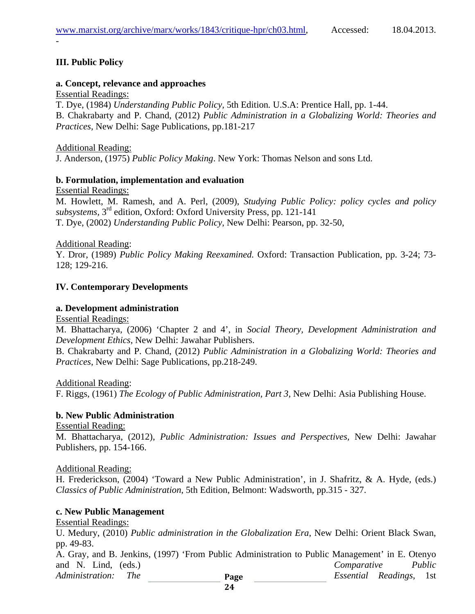### **III. Public Policy**

*-*

#### **a. Concept, relevance and approaches**

Essential Readings:

T. Dye, (1984) *Understanding Public Policy,* 5th Edition*.* U.S.A: Prentice Hall, pp. 1-44. B. Chakrabarty and P. Chand, (2012) *Public Administration in a Globalizing World: Theories and Practices*, New Delhi: Sage Publications, pp.181-217

Additional Reading:

J. Anderson, (1975) *Public Policy Making*. New York: Thomas Nelson and sons Ltd.

#### **b. Formulation, implementation and evaluation**

Essential Readings:

M. Howlett, M. Ramesh, and A. Perl, (2009), *Studying Public Policy: policy cycles and policy subsystems,* 3rd edition, Oxford: Oxford University Press, pp. 121-141 T. Dye, (2002) *Understanding Public Policy*, New Delhi: Pearson, pp. 32-50,

Additional Reading:

Y. Dror, (1989) *Public Policy Making Reexamined.* Oxford: Transaction Publication, pp. 3-24; 73- 128; 129-216.

#### **IV. Contemporary Developments**

#### **a. Development administration**

Essential Readings:

M. Bhattacharya, (2006) 'Chapter 2 and 4', in *Social Theory, Development Administration and Development Ethics,* New Delhi: Jawahar Publishers.

B. Chakrabarty and P. Chand, (2012) *Public Administration in a Globalizing World: Theories and Practices*, New Delhi: Sage Publications, pp.218-249.

Additional Reading:

F. Riggs, (1961) *The Ecology of Public Administration, Part 3,* New Delhi: Asia Publishing House.

#### **b. New Public Administration**

Essential Reading:

M. Bhattacharya, (2012), *Public Administration: Issues and Perspectives,* New Delhi: Jawahar Publishers, pp. 154-166.

#### Additional Reading:

H. Frederickson, (2004) 'Toward a New Public Administration', in J. Shafritz, & A. Hyde, (eds.) *Classics of Public Administration*, 5th Edition, Belmont: Wadsworth, pp.315 - 327.

#### **c. New Public Management**

Essential Readings:

U. Medury, (2010) *Public administration in the Globalization Era*, New Delhi: Orient Black Swan, pp. 49-83.

**Page**  A. Gray, and B. Jenkins, (1997) 'From Public Administration to Public Management' in E. Otenyo and N. Lind, (eds.) *Comparative Public Administration: The Essential Readings*, 1st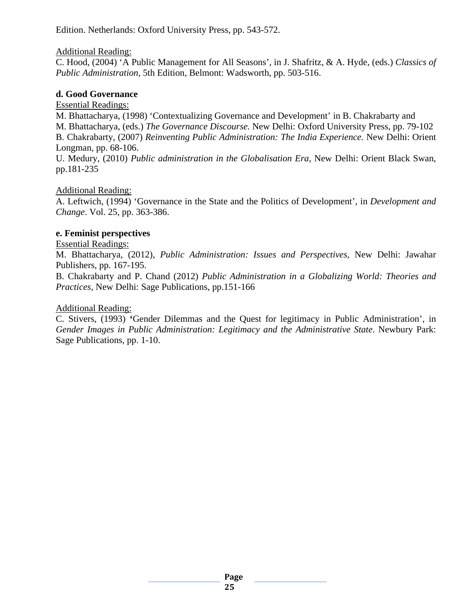Edition. Netherlands: Oxford University Press, pp. 543-572.

#### Additional Reading:

C. Hood, (2004) 'A Public Management for All Seasons', in J. Shafritz, & A. Hyde, (eds.) *Classics of Public Administration*, 5th Edition, Belmont: Wadsworth, pp. 503-516.

#### **d. Good Governance**

Essential Readings:

M. Bhattacharya, (1998) 'Contextualizing Governance and Development' in B. Chakrabarty and M. Bhattacharya, (eds.) *The Governance Discourse.* New Delhi: Oxford University Press, pp. 79-102 B. Chakrabarty, (2007) *Reinventing Public Administration: The India Experience.* New Delhi: Orient Longman, pp. 68-106.

U. Medury, (2010) *Public administration in the Globalisation Era*, New Delhi: Orient Black Swan, pp.181-235

#### Additional Reading:

A. Leftwich, (1994) 'Governance in the State and the Politics of Development', in *Development and Change*. Vol. 25, pp. 363-386.

#### **e. Feminist perspectives**

Essential Readings:

M. Bhattacharya, (2012), *Public Administration: Issues and Perspectives,* New Delhi: Jawahar Publishers, pp. 167-195.

B. Chakrabarty and P. Chand (2012) *Public Administration in a Globalizing World: Theories and Practices,* New Delhi: Sage Publications, pp.151-166

#### Additional Reading:

C. Stivers, (1993) **'**Gender Dilemmas and the Quest for legitimacy in Public Administration', in *Gender Images in Public Administration: Legitimacy and the Administrative State*. Newbury Park: Sage Publications, pp. 1-10.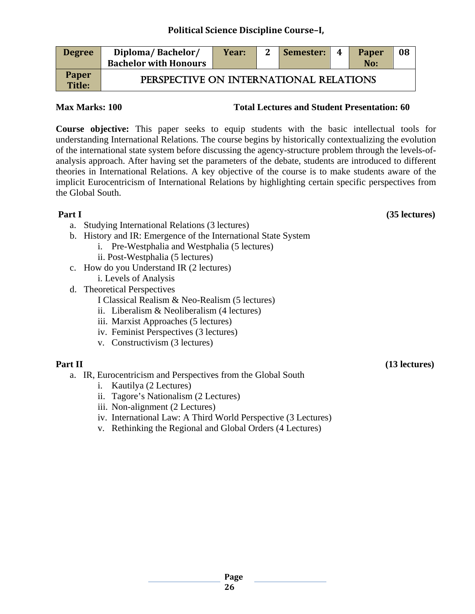| <b>Degree</b>                 | Diploma/Bachelor/<br><b>Bachelor with Honours</b> | Year: | $\mathbf{2}$ | Semester: | $\boldsymbol{4}$ | <b>Paper</b><br>No: | 08 |
|-------------------------------|---------------------------------------------------|-------|--------------|-----------|------------------|---------------------|----|
| <b>Paper</b><br><b>Title:</b> | PERSPECTIVE ON INTERNATIONAL RELATIONS            |       |              |           |                  |                     |    |

#### **Max Marks: 100 Total Lectures and Student Presentation: 60**

**Course objective:** This paper seeks to equip students with the basic intellectual tools for understanding International Relations. The course begins by historically contextualizing the evolution of the international state system before discussing the agency-structure problem through the levels-ofanalysis approach. After having set the parameters of the debate, students are introduced to different theories in International Relations. A key objective of the course is to make students aware of the implicit Eurocentricism of International Relations by highlighting certain specific perspectives from the Global South.

- a. Studying International Relations (3 lectures)
- b. History and IR: Emergence of the International State System
	- i. Pre-Westphalia and Westphalia (5 lectures)
	- ii. Post-Westphalia (5 lectures)
- c. How do you Understand IR (2 lectures)
- i. Levels of Analysis d. Theoretical Perspectives
	- I Classical Realism & Neo-Realism (5 lectures)
		- ii. Liberalism & Neoliberalism (4 lectures)
		- iii. Marxist Approaches (5 lectures)
		- iv. Feminist Perspectives (3 lectures)
		- v. Constructivism (3 lectures)

- a. IR, Eurocentricism and Perspectives from the Global South
	- i. Kautilya (2 Lectures)
	- ii. Tagore's Nationalism (2 Lectures)
	- iii. Non-alignment (2 Lectures)
	- iv. International Law: A Third World Perspective (3 Lectures)
	- v. Rethinking the Regional and Global Orders (4 Lectures)

**Part I** (35 lectures)

**Part II** (13 lectures)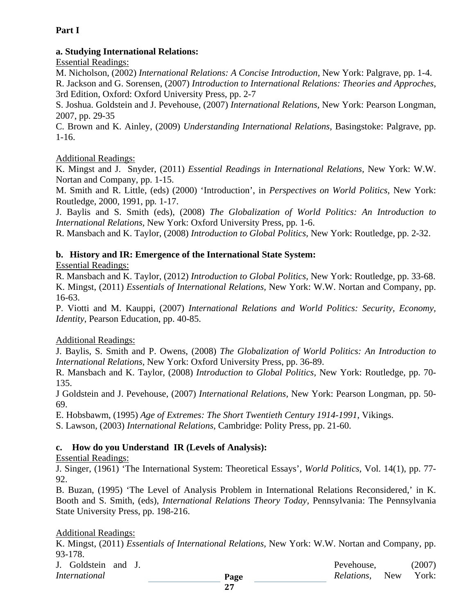#### **Part I**

#### **a. Studying International Relations:**

Essential Readings:

M. Nicholson, (2002) *International Relations: A Concise Introduction,* New York: Palgrave, pp. 1-4. R. Jackson and G. Sorensen, (2007) *Introduction to International Relations: Theories and Approches*, 3rd Edition, Oxford: Oxford University Press, pp. 2-7

S. Joshua. Goldstein and J. Pevehouse, (2007) *International Relations,* New York: Pearson Longman, 2007, pp. 29-35

C. Brown and K. Ainley, (2009) *Understanding International Relations,* Basingstoke: Palgrave, pp. 1-16.

#### Additional Readings:

K. Mingst and J. Snyder, (2011) *Essential Readings in International Relations,* New York: W.W. Nortan and Company, pp. 1-15.

M. Smith and R. Little, (eds) (2000) 'Introduction', in *Perspectives on World Politics,* New York: Routledge, 2000, 1991, pp*.* 1-17.

J. Baylis and S. Smith (eds), (2008) *The Globalization of World Politics: An Introduction to International Relations,* New York: Oxford University Press, pp*.* 1-6.

R. Mansbach and K. Taylor, (2008) *Introduction to Global Politics,* New York: Routledge, pp. 2-32.

#### **b. History and IR: Emergence of the International State System:**

#### Essential Readings:

R. Mansbach and K. Taylor, (2012) *Introduction to Global Politics,* New York: Routledge, pp. 33-68. K. Mingst, (2011) *Essentials of International Relations,* New York: W.W. Nortan and Company, pp. 16-63.

P. Viotti and M. Kauppi, (2007) *International Relations and World Politics: Security, Economy, Identity*, Pearson Education, pp. 40-85.

#### Additional Readings:

J. Baylis, S. Smith and P. Owens, (2008) *The Globalization of World Politics: An Introduction to International Relations,* New York: Oxford University Press, pp. 36-89.

R. Mansbach and K. Taylor, (2008) *Introduction to Global Politics,* New York: Routledge, pp. 70- 135.

J Goldstein and J. Pevehouse, (2007) *International Relations,* New York: Pearson Longman, pp. 50- 69.

E. Hobsbawm, (1995) *Age of Extremes: The Short Twentieth Century 1914-1991*, Vikings.

S. Lawson, (2003) *International Relations*, Cambridge: Polity Press, pp. 21-60.

#### **c. How do you Understand IR (Levels of Analysis):**

Essential Readings:

J. Singer, (1961) 'The International System: Theoretical Essays', *World Politics,* Vol. 14(1), pp. 77- 92.

B. Buzan, (1995) 'The Level of Analysis Problem in International Relations Reconsidered,' in K. Booth and S. Smith, (eds), *International Relations Theory Today,* Pennsylvania: The Pennsylvania State University Press, pp. 198-216.

#### Additional Readings:

K. Mingst, (2011) *Essentials of International Relations,* New York: W.W. Nortan and Company, pp. 93-178.

| J. Goldstein and J.  |      | Pevehouse,             | (2007) |
|----------------------|------|------------------------|--------|
| <i>International</i> | Page | <i>Relations</i> , New | York:  |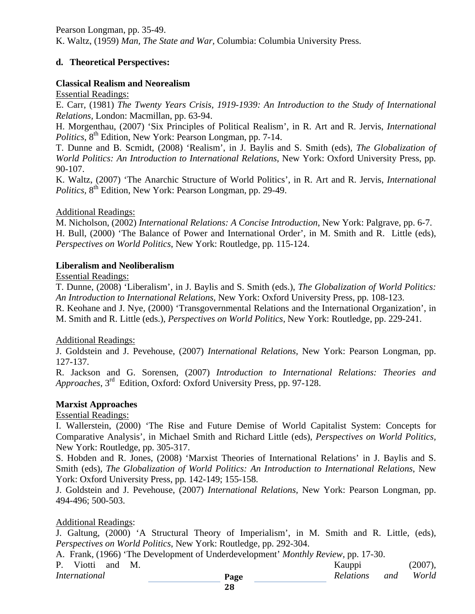Pearson Longman, pp. 35-49. K. Waltz, (1959) *Man, The State and War,* Columbia: Columbia University Press.

#### **d. Theoretical Perspectives:**

#### **Classical Realism and Neorealism**

Essential Readings:

E. Carr, (1981) *The Twenty Years Crisis, 1919-1939: An Introduction to the Study of International Relations,* London: Macmillan, pp. 63-94.

H. Morgenthau, (2007) 'Six Principles of Political Realism', in R. Art and R. Jervis, *International Politics*, 8<sup>th</sup> Edition, New York: Pearson Longman, pp. 7-14.

T. Dunne and B. Scmidt, (2008) 'Realism', in J. Baylis and S. Smith (eds), *The Globalization of World Politics: An Introduction to International Relations*, New York: Oxford University Press, pp*.*  90-107.

K. Waltz, (2007) 'The Anarchic Structure of World Politics', in R. Art and R. Jervis, *International Politics*, 8<sup>th</sup> Edition, New York: Pearson Longman, pp. 29-49.

#### Additional Readings:

M. Nicholson, (2002) *International Relations: A Concise Introduction*, New York: Palgrave, pp. 6-7. H. Bull, (2000) 'The Balance of Power and International Order', in M. Smith and R. Little (eds), *Perspectives on World Politics*, New York: Routledge, pp*.* 115-124.

#### **Liberalism and Neoliberalism**

Essential Readings:

T. Dunne, (2008) 'Liberalism', in J. Baylis and S. Smith (eds.), *The Globalization of World Politics: An Introduction to International Relations*, New York: Oxford University Press, pp*.* 108-123.

R. Keohane and J. Nye, (2000) 'Transgovernmental Relations and the International Organization', in M. Smith and R. Little (eds.), *Perspectives on World Politics,* New York: Routledge, pp. 229-241.

#### Additional Readings:

J. Goldstein and J. Pevehouse, (2007) *International Relations,* New York: Pearson Longman, pp. 127-137.

R. Jackson and G. Sorensen, (2007) *Introduction to International Relations: Theories and Approaches*, 3rd Edition, Oxford: Oxford University Press, pp. 97-128.

#### **Marxist Approaches**

Essential Readings:

I. Wallerstein, (2000) 'The Rise and Future Demise of World Capitalist System: Concepts for Comparative Analysis', in Michael Smith and Richard Little (eds), *Perspectives on World Politics,*  New York: Routledge, pp. 305-317.

S. Hobden and R. Jones, (2008) 'Marxist Theories of International Relations' in J. Baylis and S. Smith (eds), *The Globalization of World Politics: An Introduction to International Relations*, New York: Oxford University Press, pp*.* 142-149; 155-158.

J. Goldstein and J. Pevehouse, (2007) *International Relations,* New York: Pearson Longman, pp. 494-496; 500-503.

#### Additional Readings:

J. Galtung, (2000) 'A Structural Theory of Imperialism', in M. Smith and R. Little, (eds), *Perspectives on World Politics*, New York: Routledge, pp. 292-304.

A. Frank, (1966) 'The Development of Underdevelopment' *Monthly Review,* pp. 17-30.

| Viotti and    | M. |      | Kauppi           | (2007), |
|---------------|----|------|------------------|---------|
| International |    | Page | and<br>Relations | World   |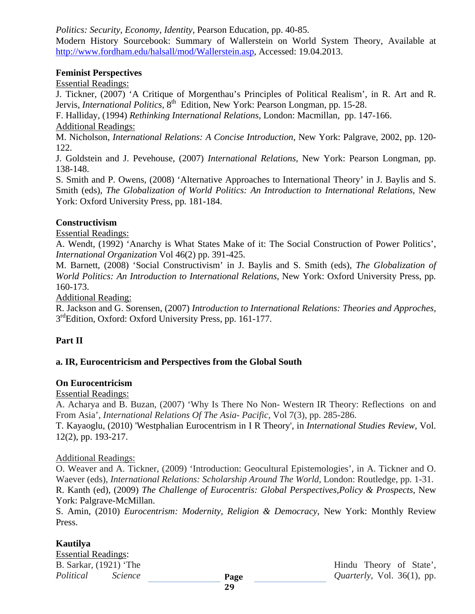*Politics: Security, Economy, Identity*, Pearson Education, pp. 40-85.

Modern History Sourcebook: Summary of Wallerstein on World System Theory, Available at [http://www.fordham.edu/halsall/mod/Wallerstein.asp,](http://www.fordham.edu/halsall/mod/Wallerstein.asp) Accessed: 19.04.2013.

#### **Feminist Perspectives**

Essential Readings:

J. Tickner, (2007) 'A Critique of Morgenthau's Principles of Political Realism', in R. Art and R. Jervis, *International Politics*,  $8^{th}$  Edition, New York: Pearson Longman, pp. 15-28.

F. Halliday, (1994) *Rethinking International Relations,* London: Macmillan, pp. 147-166. Additional Readings:

M. Nicholson, *International Relations: A Concise Introduction*, New York: Palgrave, 2002, pp. 120- 122.

J. Goldstein and J. Pevehouse, (2007) *International Relations,* New York: Pearson Longman, pp. 138-148.

S. Smith and P. Owens, (2008) 'Alternative Approaches to International Theory' in J. Baylis and S. Smith (eds), *The Globalization of World Politics: An Introduction to International Relations*, New York: Oxford University Press, pp*.* 181-184.

#### **Constructivism**

Essential Readings:

A. Wendt, (1992) 'Anarchy is What States Make of it: The Social Construction of Power Politics', *International Organization* Vol 46(2) pp. 391-425.

M. Barnett, (2008) 'Social Constructivism' in J. Baylis and S. Smith (eds), *The Globalization of World Politics: An Introduction to International Relations*, New York: Oxford University Press, pp*.*  160-173.

Additional Reading:

R. Jackson and G. Sorensen, (2007) *Introduction to International Relations: Theories and Approches,*  3<sup>rd</sup>Edition, Oxford: Oxford University Press, pp. 161-177.

### **Part II**

### **a. IR, Eurocentricism and Perspectives from the Global South**

#### **On Eurocentricism**

#### Essential Readings:

A. Acharya and B. Buzan, (2007) 'Why Is There No Non- Western IR Theory: Reflections on and From Asia', *International Relations Of The Asia- Pacific,* Vol 7(3), pp. 285-286.

T. Kayaoglu, (2010) 'Westphalian Eurocentrism in I R Theory', in *International Studies Review,* Vol. 12(2), pp. 193-217.

#### Additional Readings:

O. Weaver and A. Tickner, (2009) 'Introduction: Geocultural Epistemologies', in A. Tickner and O. Waever (eds), *International Relations: Scholarship Around The World,* London: Routledge, pp. 1-31. R. Kanth (ed), (2009) *The Challenge of Eurocentris: Global Perspectives,Policy & Prospects,* New York: Palgrave-McMillan.

S. Amin, (2010) *Eurocentrism: Modernity, Religion & Democracy,* New York: Monthly Review Press.

#### **Kautilya**

Essential Readings:<br>B. Sarkar, (1921) 'The

Hindu Theory of State', *Political Science Quarterly*, Vol. 36(1), pp.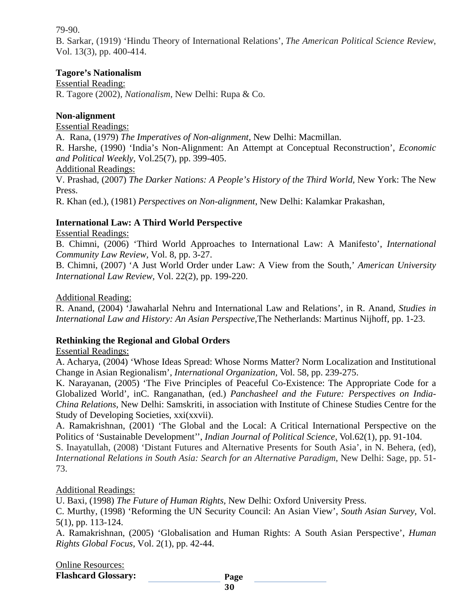79-90.

B. Sarkar, (1919) 'Hindu Theory of International Relations', *The American Political Science Review*, Vol. 13(3), pp. 400-414.

#### **Tagore's Nationalism**

Essential Reading: R. Tagore (2002), *Nationalism*, New Delhi: Rupa & Co.

#### **Non-alignment**

Essential Readings:

A. Rana, (1979) *The Imperatives of Non-alignment*, New Delhi: Macmillan.

R. Harshe, (1990) 'India's Non-Alignment: An Attempt at Conceptual Reconstruction', *Economic and Political Weekly,* Vol.25(7), pp. 399-405.

#### Additional Readings:

V. Prashad, (2007) *The Darker Nations: A People's History of the Third World,* New York: The New Press.

R. Khan (ed.), (1981) *Perspectives on Non-alignment*, New Delhi: Kalamkar Prakashan,

#### **International Law: A Third World Perspective**

#### Essential Readings:

B. Chimni, (2006) 'Third World Approaches to International Law: A Manifesto', *International Community Law Review,* Vol. 8, pp. 3-27.

B. Chimni, (2007) 'A Just World Order under Law: A View from the South,' *American University International Law Review,* Vol. 22(2), pp. 199-220.

#### Additional Reading:

R. Anand, (2004) 'Jawaharlal Nehru and International Law and Relations', in R. Anand, *Studies in International Law and History: An Asian Perspective,*The Netherlands: Martinus Nijhoff, pp. 1-23.

#### **Rethinking the Regional and Global Orders**

Essential Readings:

A. Acharya, (2004) 'Whose Ideas Spread: Whose Norms Matter? Norm Localization and Institutional Change in Asian Regionalism', *International Organization,* Vol. 58, pp. 239-275.

K. Narayanan, (2005) 'The Five Principles of Peaceful Co-Existence: The Appropriate Code for a Globalized World'*,* inC. Ranganathan, (ed.) *Panchasheel and the Future: Perspectives on India-China Relations,* New Delhi: Samskriti, in association with Institute of Chinese Studies Centre for the Study of Developing Societies, xxi(xxvii).

A. Ramakrishnan, (2001) 'The Global and the Local: A Critical International Perspective on the Politics of 'Sustainable Development'', *Indian Journal of Political Science*, Vol.62(1), pp. 91-104.

S. Inayatullah, (2008) 'Distant Futures and Alternative Presents for South Asia', in N. Behera, (ed), *International Relations in South Asia: Search for an Alternative Paradigm*, New Delhi: Sage, pp. 51- 73.

#### Additional Readings:

U. Baxi, (1998) *The Future of Human Rights,* New Delhi: Oxford University Press.

C. Murthy, (1998) 'Reforming the UN Security Council: An Asian View', *South Asian Survey,* Vol. 5(1), pp. 113-124.

A. Ramakrishnan, (2005) 'Globalisation and Human Rights: A South Asian Perspective', *Human Rights Global Focus,* Vol. 2(1), pp. 42-44.

Online Resources: **Flashcard Glossary:**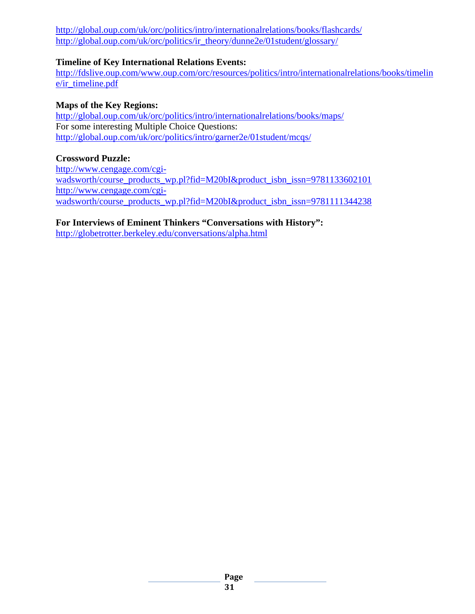<http://global.oup.com/uk/orc/politics/intro/internationalrelations/books/flashcards/> [http://global.oup.com/uk/orc/politics/ir\\_theory/dunne2e/01student/glossary/](http://global.oup.com/uk/orc/politics/ir_theory/dunne2e/01student/glossary/)

#### **Timeline of Key International Relations Events:**

[http://fdslive.oup.com/www.oup.com/orc/resources/politics/intro/internationalrelations/books/timelin](http://fdslive.oup.com/www.oup.com/orc/resources/politics/intro/internationalrelations/books/timeline/ir_timeline.pdf) [e/ir\\_timeline.pdf](http://fdslive.oup.com/www.oup.com/orc/resources/politics/intro/internationalrelations/books/timeline/ir_timeline.pdf)

#### **Maps of the Key Regions:**

<http://global.oup.com/uk/orc/politics/intro/internationalrelations/books/maps/> For some interesting Multiple Choice Questions: <http://global.oup.com/uk/orc/politics/intro/garner2e/01student/mcqs/>

#### **Crossword Puzzle:**

[http://www.cengage.com/cgi](http://www.cengage.com/cgi-wadsworth/course_products_wp.pl?fid=M20bI&product_isbn_issn=9781133602101)[wadsworth/course\\_products\\_wp.pl?fid=M20bI&product\\_isbn\\_issn=9781133602101](http://www.cengage.com/cgi-wadsworth/course_products_wp.pl?fid=M20bI&product_isbn_issn=9781133602101) [http://www.cengage.com/cgi](http://www.cengage.com/cgi-wadsworth/course_products_wp.pl?fid=M20bI&product_isbn_issn=9781111344238)[wadsworth/course\\_products\\_wp.pl?fid=M20bI&product\\_isbn\\_issn=9781111344238](http://www.cengage.com/cgi-wadsworth/course_products_wp.pl?fid=M20bI&product_isbn_issn=9781111344238)

**For Interviews of Eminent Thinkers "Conversations with History":**

<http://globetrotter.berkeley.edu/conversations/alpha.html>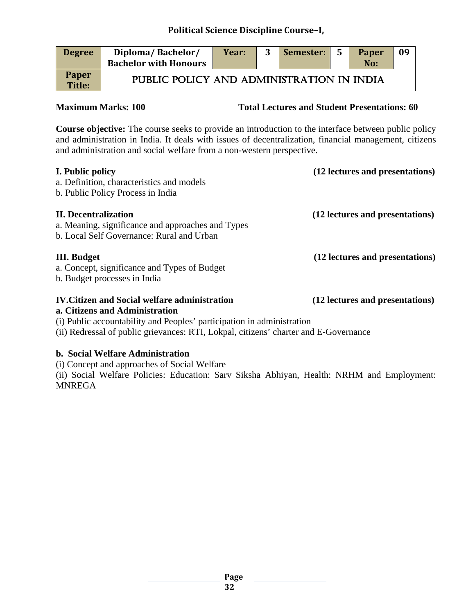| <b>Degree</b>          | Diploma/Bachelor/<br><b>Bachelor with Honours</b> | Year: | Semester: 5 | <b>Paper</b><br>No: | 09 |
|------------------------|---------------------------------------------------|-------|-------------|---------------------|----|
| Paper<br><b>Title:</b> | PUBLIC POLICY AND ADMINISTRATION IN INDIA         |       |             |                     |    |

**Maximum Marks: 100 Total Lectures and Student Presentations: 60** 

**Course objective:** The course seeks to provide an introduction to the interface between public policy and administration in India. It deals with issues of decentralization, financial management, citizens and administration and social welfare from a non-western perspective.

| I. Public policy<br>a. Definition, characteristics and models<br>b. Public Policy Process in India                                                                                                                                                       | (12 lectures and presentations) |
|----------------------------------------------------------------------------------------------------------------------------------------------------------------------------------------------------------------------------------------------------------|---------------------------------|
| <b>II.</b> Decentralization<br>a. Meaning, significance and approaches and Types<br>b. Local Self Governance: Rural and Urban                                                                                                                            | (12 lectures and presentations) |
| <b>III.</b> Budget<br>a. Concept, significance and Types of Budget<br>b. Budget processes in India                                                                                                                                                       | (12 lectures and presentations) |
| <b>IV. Citizen and Social welfare administration</b><br>a. Citizens and Administration<br>(i) Public accountability and Peoples' participation in administration<br>(ii) Redressal of public grievances: RTI, Lokpal, citizens' charter and E-Governance | (12 lectures and presentations) |
| b. Social Welfare Administration                                                                                                                                                                                                                         |                                 |

(i) Concept and approaches of Social Welfare

(ii) Social Welfare Policies: Education: Sarv Siksha Abhiyan, Health: NRHM and Employment: MNREGA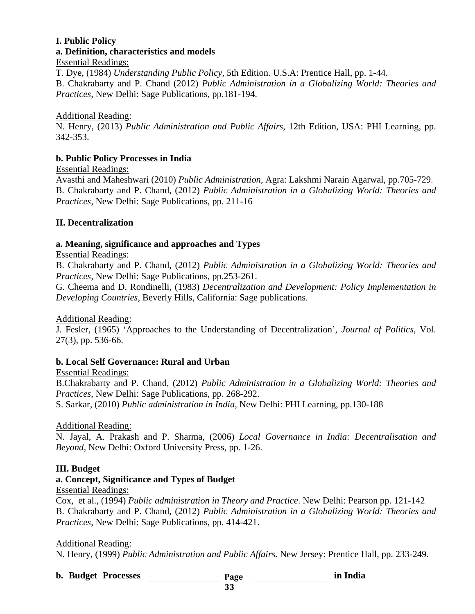### **I. Public Policy a. Definition, characteristics and models**

#### Essential Readings:

T. Dye, (1984) *Understanding Public Policy,* 5th Edition*.* U.S.A: Prentice Hall, pp. 1-44. B. Chakrabarty and P. Chand (2012) *Public Administration in a Globalizing World: Theories and Practices,* New Delhi: Sage Publications, pp.181-194.

#### Additional Reading:

N. Henry, (2013) *Public Administration and Public Affairs*, 12th Edition, USA: PHI Learning, pp. 342-353.

#### **b. Public Policy Processes in India**

#### Essential Readings:

Avasthi and Maheshwari (2010) *Public Administration*, Agra: Lakshmi Narain Agarwal, pp.705-729. B. Chakrabarty and P. Chand, (2012) *Public Administration in a Globalizing World: Theories and Practices,* New Delhi: Sage Publications, pp. 211-16

#### **II. Decentralization**

#### **a. Meaning, significance and approaches and Types**

#### Essential Readings:

B. Chakrabarty and P. Chand, (2012) *Public Administration in a Globalizing World: Theories and Practices,* New Delhi: Sage Publications, pp.253-261.

G. Cheema and D. Rondinelli, (1983) *Decentralization and Development: Policy Implementation in Developing Countries*, Beverly Hills, California: Sage publications.

#### Additional Reading:

J. Fesler, (1965) 'Approaches to the Understanding of Decentralization', *Journal of Politics,* Vol. 27(3), pp. 536-66.

#### **b. Local Self Governance: Rural and Urban**

Essential Readings:

B.Chakrabarty and P. Chand, (2012) *Public Administration in a Globalizing World: Theories and Practices*, New Delhi: Sage Publications, pp. 268-292.

S. Sarkar, (2010) *Public administration in India*, New Delhi: PHI Learning, pp.130-188

#### Additional Reading:

N. Jayal, A. Prakash and P. Sharma, (2006) *Local Governance in India: Decentralisation and Beyond,* New Delhi: Oxford University Press, pp. 1-26.

#### **III. Budget**

#### **a. Concept, Significance and Types of Budget**

Essential Readings:

Cox, et al., (1994) *Public administration in Theory and Practice*. New Delhi: Pearson pp. 121-142 B. Chakrabarty and P. Chand, (2012) *Public Administration in a Globalizing World: Theories and Practices*, New Delhi: Sage Publications, pp. 414-421.

#### Additional Reading:

N. Henry, (1999) *Public Administration and Public Affairs.* New Jersey: Prentice Hall, pp. 233-249.

**b. Budget Processes in India**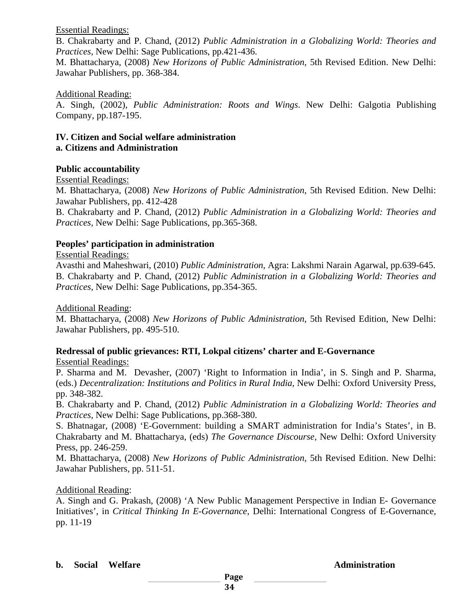Essential Readings:

B. Chakrabarty and P. Chand, (2012) *Public Administration in a Globalizing World: Theories and Practices,* New Delhi: Sage Publications, pp.421-436.

M. Bhattacharya, (2008) *New Horizons of Public Administration*, 5th Revised Edition. New Delhi: Jawahar Publishers, pp. 368-384.

#### Additional Reading:

A. Singh, (2002), *Public Administration: Roots and Wings*. New Delhi: Galgotia Publishing Company, pp.187-195.

#### **IV. Citizen and Social welfare administration a. Citizens and Administration**

#### **Public accountability**

#### Essential Readings:

M. Bhattacharya, (2008) *New Horizons of Public Administration*, 5th Revised Edition. New Delhi: Jawahar Publishers, pp. 412-428

B. Chakrabarty and P. Chand, (2012) *Public Administration in a Globalizing World: Theories and Practices,* New Delhi: Sage Publications, pp.365-368.

#### **Peoples' participation in administration**

#### Essential Readings:

Avasthi and Maheshwari, (2010) *Public Administration*, Agra: Lakshmi Narain Agarwal, pp.639-645. B. Chakrabarty and P. Chand, (2012) *Public Administration in a Globalizing World: Theories and Practices*, New Delhi: Sage Publications, pp.354-365.

Additional Reading:

M. Bhattacharya, (2008) *New Horizons of Public Administration*, 5th Revised Edition, New Delhi: Jawahar Publishers, pp. 495-510.

### **Redressal of public grievances: RTI, Lokpal citizens' charter and E-Governance**

#### Essential Readings:

P. Sharma and M. Devasher, (2007) 'Right to Information in India', in S. Singh and P. Sharma, (eds.) *Decentralization: Institutions and Politics in Rural India*, New Delhi: Oxford University Press, pp. 348-382.

B. Chakrabarty and P. Chand, (2012) *Public Administration in a Globalizing World: Theories and Practices,* New Delhi: Sage Publications, pp.368-380.

S. Bhatnagar, (2008) 'E-Government: building a SMART administration for India's States', in B. Chakrabarty and M. Bhattacharya, (eds) *The Governance Discourse,* New Delhi: Oxford University Press, pp. 246-259.

M. Bhattacharya, (2008) *New Horizons of Public Administration*, 5th Revised Edition. New Delhi: Jawahar Publishers, pp. 511-51.

#### Additional Reading:

A. Singh and G. Prakash, (2008) 'A New Public Management Perspective in Indian E- Governance Initiatives', in *Critical Thinking In E-Governance*, Delhi: International Congress of E-Governance, pp. 11-19

#### **b.** Social Welfare **Administration**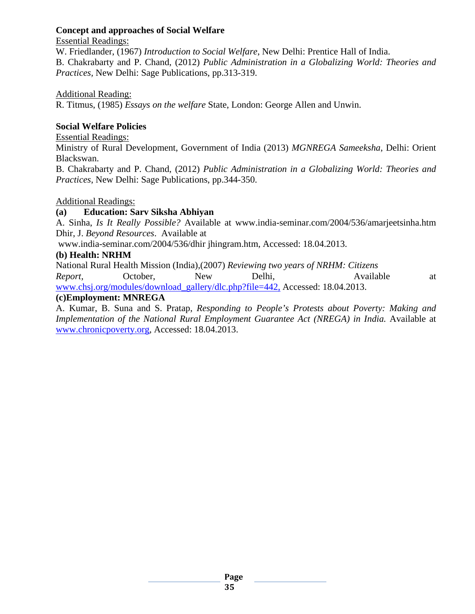#### **Concept and approaches of Social Welfare**

#### Essential Readings:

W. Friedlander, (1967) *Introduction to Social Welfare*, New Delhi: Prentice Hall of India. B. Chakrabarty and P. Chand, (2012) *Public Administration in a Globalizing World: Theories and Practices,* New Delhi: Sage Publications, pp.313-319.

#### Additional Reading:

R. Titmus, (1985) *Essays on the welfare* State, London: George Allen and Unwin.

#### **Social Welfare Policies**

Essential Readings:

Ministry of Rural Development, Government of India (2013) *MGNREGA Sameeksha*, Delhi: Orient Blackswan.

B. Chakrabarty and P. Chand, (2012) *Public Administration in a Globalizing World: Theories and Practices*, New Delhi: Sage Publications, pp.344-350.

#### Additional Readings:

#### **(a) Education: Sarv Siksha Abhiyan**

A. Sinha, *Is It Really Possible?* Available at www.india-seminar.com/2004/536/amarjeetsinha.htm Dhir, J. *Beyond Resources*. Available at

www.india-seminar.com/2004/536/dhir jhingram.htm, Accessed: 18.04.2013.

#### **(b) Health: NRHM**

National Rural Health Mission (India),(2007) *Reviewing two years of NRHM: Citizens Report,* October, New Delhi, Available at [www.chsj.org/modules/download\\_gallery/dlc.php?file=442,](http://www.chsj.org/modules/download_gallery/dlc.php?file=442) Accessed: 18.04.2013.

#### **(c)Employment: MNREGA**

A. Kumar, B. Suna and S. Pratap, *Responding to People's Protests about Poverty: Making and Implementation of the National Rural Employment Guarantee Act (NREGA) in India.* Available at [www.chronicpoverty.org,](http://www.chronicpoverty.org/) Accessed: 18.04.2013.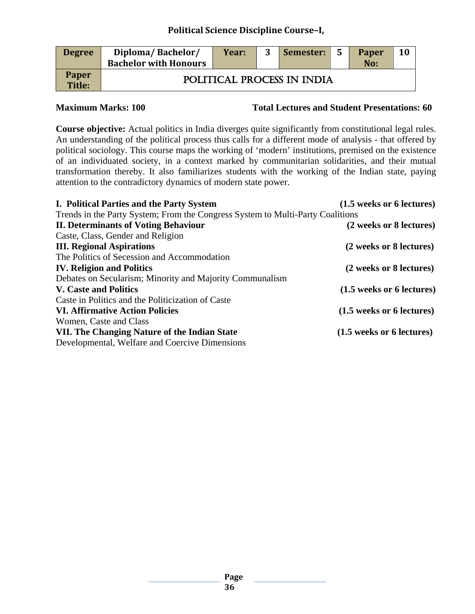| <b>Degree</b>          | Diploma/Bachelor/<br><b>Bachelor with Honours</b> | Year: | Semester:                  | - 5 | <b>Paper</b><br>No: | 10 |
|------------------------|---------------------------------------------------|-------|----------------------------|-----|---------------------|----|
| <b>Paper</b><br>Title: |                                                   |       | POLITICAL PROCESS IN INDIA |     |                     |    |

**Maximum Marks: 100 Total Lectures and Student Presentations: 60**

**Course objective:** Actual politics in India diverges quite significantly from constitutional legal rules. An understanding of the political process thus calls for a different mode of analysis - that offered by political sociology. This course maps the working of 'modern' institutions, premised on the existence of an individuated society, in a context marked by communitarian solidarities, and their mutual transformation thereby. It also familiarizes students with the working of the Indian state, paying attention to the contradictory dynamics of modern state power.

| I. Political Parties and the Party System                                      | (1.5 weeks or 6 lectures) |
|--------------------------------------------------------------------------------|---------------------------|
| Trends in the Party System; From the Congress System to Multi-Party Coalitions |                           |
| <b>II. Determinants of Voting Behaviour</b>                                    | (2 weeks or 8 lectures)   |
| Caste, Class, Gender and Religion                                              |                           |
| <b>III. Regional Aspirations</b>                                               | (2 weeks or 8 lectures)   |
| The Politics of Secession and Accommodation                                    |                           |
| <b>IV. Religion and Politics</b>                                               | (2 weeks or 8 lectures)   |
| Debates on Secularism; Minority and Majority Communalism                       |                           |
| <b>V. Caste and Politics</b>                                                   | (1.5 weeks or 6 lectures) |
| Caste in Politics and the Politicization of Caste                              |                           |
| <b>VI. Affirmative Action Policies</b>                                         | (1.5 weeks or 6 lectures) |
| Women, Caste and Class                                                         |                           |
| VII. The Changing Nature of the Indian State                                   | (1.5 weeks or 6 lectures) |
| Developmental, Welfare and Coercive Dimensions                                 |                           |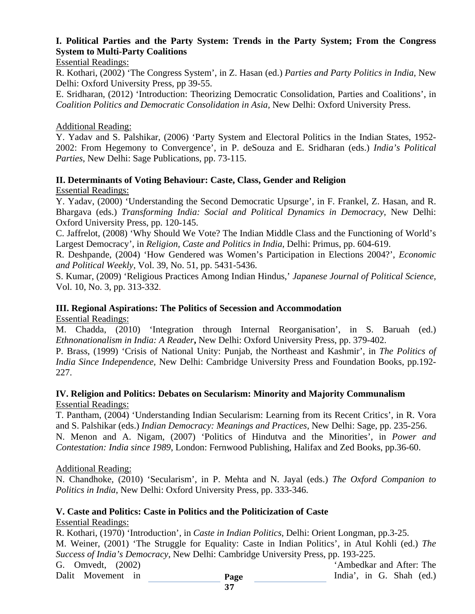# **I. Political Parties and the Party System: Trends in the Party System; From the Congress System to Multi-Party Coalitions**

#### Essential Readings:

R. Kothari, (2002) 'The Congress System', in Z. Hasan (ed.) *Parties and Party Politics in India*, New Delhi: Oxford University Press, pp 39-55.

E. Sridharan, (2012) 'Introduction: Theorizing Democratic Consolidation, Parties and Coalitions', in *Coalition Politics and Democratic Consolidation in Asia,* New Delhi: Oxford University Press.

#### Additional Reading:

Y. Yadav and S. Palshikar, (2006) 'Party System and Electoral Politics in the Indian States, 1952- 2002: From Hegemony to Convergence', in P. deSouza and E. Sridharan (eds.) *India's Political Parties*, New Delhi: Sage Publications, pp. 73-115.

#### **II. Determinants of Voting Behaviour: Caste, Class, Gender and Religion**

Essential Readings:

Y. Yadav, (2000) 'Understanding the Second Democratic Upsurge', in F. Frankel, Z. Hasan, and R. Bhargava (eds.) *Transforming India: Social and Political Dynamics in Democracy*, New Delhi: Oxford University Press, pp. 120-145.

C. Jaffrelot, (2008) 'Why Should We Vote? The Indian Middle Class and the Functioning of World's Largest Democracy', in *Religion, Caste and Politics in India*, Delhi: Primus, pp. 604-619.

R. Deshpande, (2004) 'How Gendered was Women's Participation in Elections 2004?', *Economic and Political Weekly,* Vol. 39, No. 51, pp. 5431-5436.

S. Kumar, (2009) 'Religious Practices Among Indian Hindus,' *Japanese Journal of Political Science,* Vol. 10, No. 3, pp. 313-332.

#### **III. Regional Aspirations: The Politics of Secession and Accommodation**

Essential Readings:

M. Chadda, (2010) 'Integration through Internal Reorganisation', in S. Baruah (ed.) *Ethnonationalism in India: A Reader***,** New Delhi: Oxford University Press, pp. 379-402.

P. Brass, (1999) 'Crisis of National Unity: Punjab, the Northeast and Kashmir', in *The Politics of India Since Independence,* New Delhi: Cambridge University Press and Foundation Books, pp.192- 227.

#### **IV. Religion and Politics: Debates on Secularism: Minority and Majority Communalism** Essential Readings:

T. Pantham, (2004) 'Understanding Indian Secularism: Learning from its Recent Critics', in R. Vora and S. Palshikar (eds.) *Indian Democracy: Meanings and Practices,* New Delhi: Sage, pp. 235-256. N. Menon and A. Nigam, (2007) 'Politics of Hindutva and the Minorities', in *Power and Contestation: India since 1989*, London: Fernwood Publishing, Halifax and Zed Books, pp.36-60.

#### Additional Reading:

N. Chandhoke, (2010) 'Secularism', in P. Mehta and N. Jayal (eds.) *The Oxford Companion to Politics in India*, New Delhi: Oxford University Press, pp. 333-346.

### **V. Caste and Politics: Caste in Politics and the Politicization of Caste**

#### Essential Readings:

**Page**  R. Kothari, (1970) 'Introduction', in *Caste in Indian Politics*, Delhi: Orient Longman, pp.3-25. M. Weiner, (2001) 'The Struggle for Equality: Caste in Indian Politics', in Atul Kohli (ed.) *The Success of India's Democracy*, New Delhi: Cambridge University Press, pp. 193-225. G. Omvedt. (2002) Solution Contract Contract Contract Contract Contract Contract Contract Contract Contract Contract Contract Contract Contract Contract Contract Contract Contract Contract Contract Contract Contract Contra Dalit Movement in Tagge and India', in G. Shah (ed.)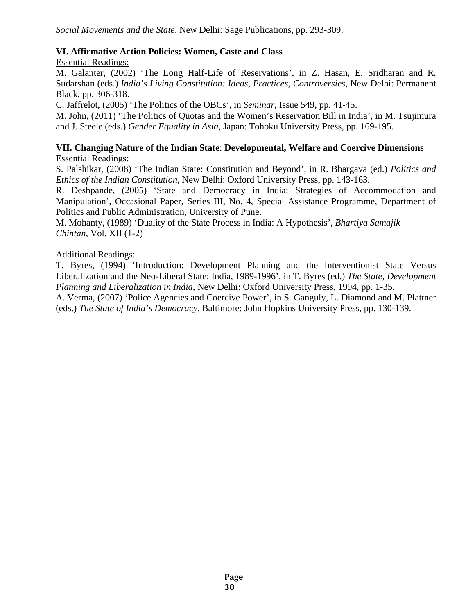# **VI. Affirmative Action Policies: Women, Caste and Class**

Essential Readings:

M. Galanter, (2002) 'The Long Half-Life of Reservations', in Z. Hasan, E. Sridharan and R. Sudarshan (eds.) *India's Living Constitution: Ideas, Practices, Controversies*, New Delhi: Permanent Black, pp. 306-318.

C. Jaffrelot, (2005) 'The Politics of the OBCs', in *Seminar,* Issue 549, pp. 41-45.

M. John, (2011) 'The Politics of Quotas and the Women's Reservation Bill in India', in M. Tsujimura and J. Steele (eds.) *Gender Equality in Asia,* Japan: Tohoku University Press, pp. 169-195.

### **VII. Changing Nature of the Indian State**: **Developmental, Welfare and Coercive Dimensions** Essential Readings:

S. Palshikar, (2008) 'The Indian State: Constitution and Beyond', in R. Bhargava (ed.) *Politics and Ethics of the Indian Constitution,* New Delhi: Oxford University Press, pp. 143-163.

R. Deshpande, (2005) 'State and Democracy in India: Strategies of Accommodation and Manipulation', Occasional Paper, Series III, No. 4, Special Assistance Programme, Department of Politics and Public Administration, University of Pune.

M. Mohanty, (1989) 'Duality of the State Process in India: A Hypothesis', *Bhartiya Samajik Chintan*, Vol. XII (1-2)

### Additional Readings:

T. Byres, (1994) 'Introduction: Development Planning and the Interventionist State Versus Liberalization and the Neo-Liberal State: India, 1989-1996', in T. Byres (ed.) *The State, Development Planning and Liberalization in India*, New Delhi: Oxford University Press, 1994, pp. 1-35.

A. Verma, (2007) 'Police Agencies and Coercive Power', in S. Ganguly, L. Diamond and M. Plattner (eds.) *The State of India's Democracy*, Baltimore: John Hopkins University Press, pp. 130-139.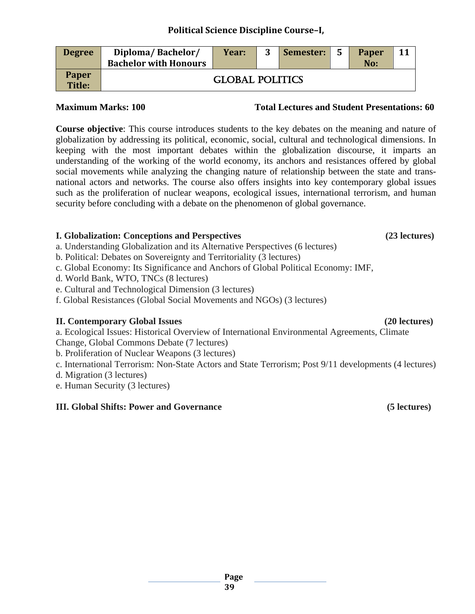| <b>Degree</b>          | Diploma/Bachelor/<br><b>Bachelor with Honours</b> | Year:                  | 3 | Semester: | 5 | <b>Paper</b><br>No: |  |
|------------------------|---------------------------------------------------|------------------------|---|-----------|---|---------------------|--|
| <b>Paper</b><br>Title: |                                                   | <b>GLOBAL POLITICS</b> |   |           |   |                     |  |

**Course objective**: This course introduces students to the key debates on the meaning and nature of globalization by addressing its political, economic, social, cultural and technological dimensions. In keeping with the most important debates within the globalization discourse, it imparts an understanding of the working of the world economy, its anchors and resistances offered by global social movements while analyzing the changing nature of relationship between the state and transnational actors and networks. The course also offers insights into key contemporary global issues such as the proliferation of nuclear weapons, ecological issues, international terrorism, and human security before concluding with a debate on the phenomenon of global governance.

### **I. Globalization: Conceptions and Perspectives (23 lectures)**

- a. Understanding Globalization and its Alternative Perspectives (6 lectures)
- b. Political: Debates on Sovereignty and Territoriality (3 lectures)
- c. Global Economy: Its Significance and Anchors of Global Political Economy: IMF,
- d. World Bank, WTO, TNCs (8 lectures)
- e. Cultural and Technological Dimension (3 lectures)
- f. Global Resistances (Global Social Movements and NGOs) (3 lectures)

#### **II. Contemporary Global Issues (20 lectures)**

a. Ecological Issues: Historical Overview of International Environmental Agreements, Climate

- Change, Global Commons Debate (7 lectures)
- b. Proliferation of Nuclear Weapons (3 lectures)
- c. International Terrorism: Non-State Actors and State Terrorism; Post 9/11 developments (4 lectures)
- d. Migration (3 lectures)
- e. Human Security (3 lectures)

#### **III. Global Shifts: Power and Governance (5 lectures)**

# **Maximum Marks: 100 Total Lectures and Student Presentations: 60**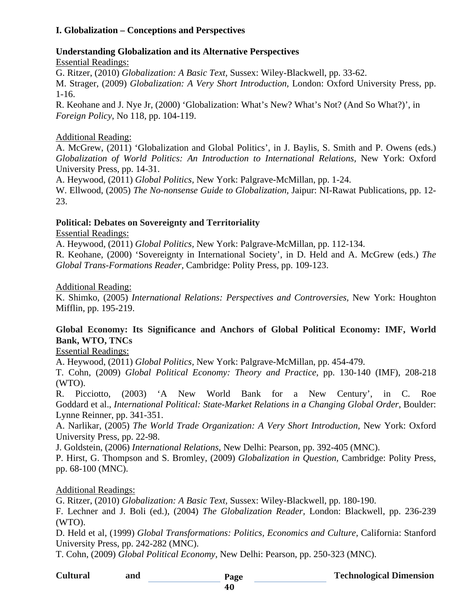# **I. Globalization – Conceptions and Perspectives**

### **Understanding Globalization and its Alternative Perspectives**

Essential Readings:

G. Ritzer, (2010) *Globalization: A Basic Text,* Sussex: Wiley-Blackwell, pp. 33-62.

M. Strager, (2009) *Globalization: A Very Short Introduction,* London: Oxford University Press, pp. 1-16.

R. Keohane and J. Nye Jr, (2000) 'Globalization: What's New? What's Not? (And So What?)', in *Foreign Policy*, No 118, pp. 104-119.

# Additional Reading:

A. McGrew, (2011) 'Globalization and Global Politics', in J. Baylis, S. Smith and P. Owens (eds.) *Globalization of World Politics: An Introduction to International Relations,* New York: Oxford University Press, pp. 14-31.

A. Heywood, (2011) *Global Politics,* New York: Palgrave-McMillan, pp. 1-24.

W. Ellwood, (2005) *The No-nonsense Guide to Globalization,* Jaipur: NI-Rawat Publications, pp. 12- 23.

# **Political: Debates on Sovereignty and Territoriality**

Essential Readings:

A. Heywood, (2011) *Global Politics,* New York: Palgrave-McMillan, pp. 112-134.

R. Keohane, (2000) 'Sovereignty in International Society', in D. Held and A. McGrew (eds.) *The Global Trans-Formations Reader,* Cambridge: Polity Press, pp. 109-123.

### Additional Reading:

K. Shimko, (2005) *International Relations: Perspectives and Controversies,* New York: Houghton Mifflin, pp. 195-219.

# **Global Economy: Its Significance and Anchors of Global Political Economy: IMF, World Bank, WTO, TNCs**

Essential Readings:

A. Heywood, (2011) *Global Politics,* New York: Palgrave-McMillan, pp. 454-479.

T. Cohn, (2009) *Global Political Economy: Theory and Practice,* pp. 130-140 (IMF), 208-218 (WTO).

R. Picciotto, (2003) 'A New World Bank for a New Century', in C. Roe Goddard et al., *International Political: State-Market Relations in a Changing Global Order*, Boulder: Lynne Reinner, pp. 341-351.

A. Narlikar, (2005) *The World Trade Organization: A Very Short Introduction,* New York: Oxford University Press, pp. 22-98.

J. Goldstein, (2006) *International Relations,* New Delhi: Pearson, pp. 392-405 (MNC).

P. Hirst, G. Thompson and S. Bromley, (2009) *Globalization in Question,* Cambridge: Polity Press, pp. 68-100 (MNC).

# Additional Readings:

G. Ritzer, (2010) *Globalization: A Basic Text,* Sussex: Wiley-Blackwell, pp. 180-190.

F. Lechner and J. Boli (ed.), (2004) *The Globalization Reader,* London: Blackwell, pp. 236-239 (WTO).

D. Held et al, (1999) *Global Transformations: Politics, Economics and Culture,* California: Stanford University Press, pp. 242-282 (MNC).

T. Cohn, (2009) *Global Political Economy,* New Delhi: Pearson, pp. 250-323 (MNC).

| <b>Cultural</b> | and | Page |  |
|-----------------|-----|------|--|
|-----------------|-----|------|--|

**Technological Dimension**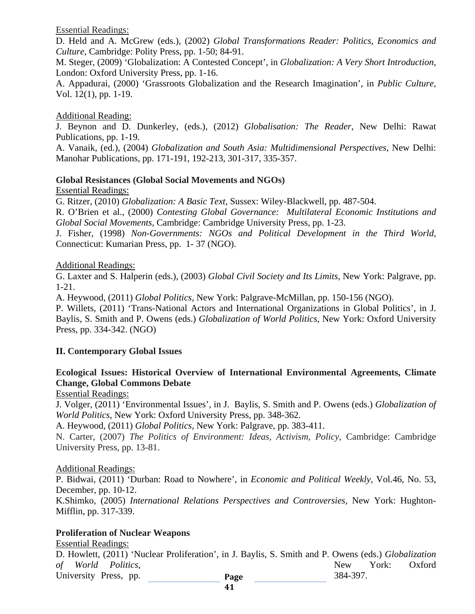Essential Readings:

D. Held and A. McGrew (eds.), (2002) *Global Transformations Reader: Politics, Economics and Culture*, Cambridge: Polity Press, pp. 1-50; 84-91.

M. Steger, (2009) 'Globalization: A Contested Concept', in *Globalization: A Very Short Introduction,* London: Oxford University Press, pp. 1-16.

A. Appadurai, (2000) 'Grassroots Globalization and the Research Imagination', in *Public Culture,*  Vol. 12(1), pp. 1-19.

#### Additional Reading:

J. Beynon and D. Dunkerley, (eds.), (2012) *Globalisation: The Reader*, New Delhi: Rawat Publications, pp. 1-19.

A. Vanaik, (ed.), (2004) *Globalization and South Asia: Multidimensional Perspectives*, New Delhi: Manohar Publications, pp. 171-191, 192-213, 301-317, 335-357.

#### **Global Resistances (Global Social Movements and NGOs)**

Essential Readings:

G. Ritzer, (2010) *Globalization: A Basic Text,* Sussex: Wiley-Blackwell, pp. 487-504.

R. O'Brien et al., (2000) *Contesting Global Governance: Multilateral Economic Institutions and Global Social Movements,* Cambridge: Cambridge University Press, pp. 1-23.

J. Fisher, (1998) *Non-Governments: NGOs and Political Development in the Third World,* Connecticut: Kumarian Press, pp. 1- 37 (NGO).

#### Additional Readings:

G. Laxter and S. Halperin (eds.), (2003) *Global Civil Society and Its Limits,* New York: Palgrave, pp. 1-21.

A. Heywood, (2011) *Global Politics,* New York: Palgrave-McMillan, pp. 150-156 (NGO).

P. Willets, (2011) 'Trans-National Actors and International Organizations in Global Politics', in J. Baylis, S. Smith and P. Owens (eds.) *Globalization of World Politics,* New York: Oxford University Press, pp. 334-342. (NGO)

# **II. Contemporary Global Issues**

# **Ecological Issues: Historical Overview of International Environmental Agreements, Climate Change, Global Commons Debate**

Essential Readings:

J. Volger, (2011) 'Environmental Issues', in J. Baylis, S. Smith and P. Owens (eds.) *Globalization of World Politics*, New York: Oxford University Press, pp. 348-362.

A. Heywood, (2011) *Global Politics,* New York: Palgrave, pp. 383-411.

N. Carter, (2007) *The Politics of Environment: Ideas, Activism, Policy*, Cambridge: Cambridge University Press, pp. 13-81.

#### Additional Readings:

P. Bidwai, (2011) 'Durban: Road to Nowhere', in *Economic and Political Weekly,* Vol.46, No. 53, December, pp. 10-12.

K.Shimko, (2005) *International Relations Perspectives and Controversies,* New York: Hughton-Mifflin, pp. 317-339.

# **Proliferation of Nuclear Weapons**

Essential Readings:

**Page**  D. Howlett, (2011) 'Nuclear Proliferation', in J. Baylis, S. Smith and P. Owens (eds.) *Globalization of World Politics,* 2008 **New York: Oxford** University Press, pp. **Page** 384-397.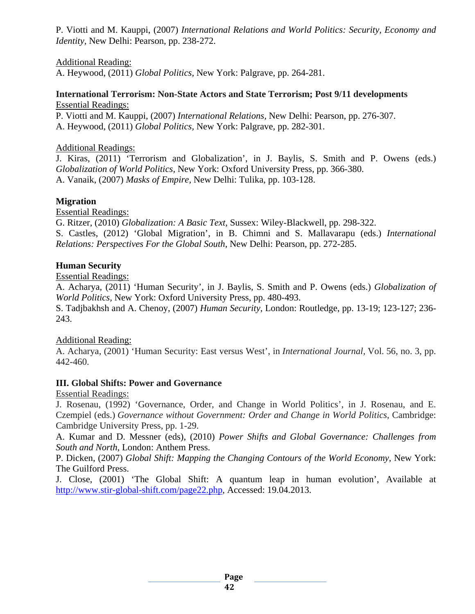P. Viotti and M. Kauppi, (2007) *International Relations and World Politics: Security, Economy and Identity,* New Delhi: Pearson, pp. 238-272.

# Additional Reading:

A. Heywood, (2011) *Global Politics,* New York: Palgrave, pp. 264-281.

#### **International Terrorism: Non-State Actors and State Terrorism; Post 9/11 developments** Essential Readings:

P. Viotti and M. Kauppi, (2007) *International Relations,* New Delhi: Pearson, pp. 276-307. A. Heywood, (2011) *Global Politics,* New York: Palgrave, pp. 282-301.

#### Additional Readings:

J. Kiras, (2011) 'Terrorism and Globalization', in J. Baylis, S. Smith and P. Owens (eds.) *Globalization of World Politics,* New York: Oxford University Press, pp. 366-380. A. Vanaik, (2007) *Masks of Empire,* New Delhi: Tulika, pp. 103-128.

### **Migration**

Essential Readings:

G. Ritzer, (2010) *Globalization: A Basic Text,* Sussex: Wiley-Blackwell, pp. 298-322.

S. Castles, (2012) 'Global Migration', in B. Chimni and S. Mallavarapu (eds.) *International Relations: Perspectives For the Global South*, New Delhi: Pearson, pp. 272-285.

### **Human Security**

Essential Readings:

A. Acharya, (2011) 'Human Security', in J. Baylis, S. Smith and P. Owens (eds.) *Globalization of World Politics,* New York: Oxford University Press, pp. 480-493.

S. Tadjbakhsh and A. Chenoy, (2007) *Human Security,* London: Routledge, pp. 13-19; 123-127; 236- 243.

# Additional Reading:

A. Acharya, (2001) 'Human Security: East versus West', in *International Journal,* Vol. 56, no. 3, pp. 442-460.

#### **III. Global Shifts: Power and Governance**

Essential Readings:

J. Rosenau, (1992) 'Governance, Order, and Change in World Politics', in J. Rosenau, and E. Czempiel (eds.) *Governance without Government: Order and Change in World Politics*, Cambridge: Cambridge University Press, pp. 1-29.

A. Kumar and D. Messner (eds), (2010) *Power Shifts and Global Governance: Challenges from South and North,* London: Anthem Press.

P. Dicken, (2007) *Global Shift: Mapping the Changing Contours of the World Economy,* New York: The Guilford Press.

J. Close, (2001) 'The Global Shift: A quantum leap in human evolution', Available at [http://www.stir-global-shift.com/page22.php,](http://www.stir-global-shift.com/page22.php) Accessed: 19.04.2013.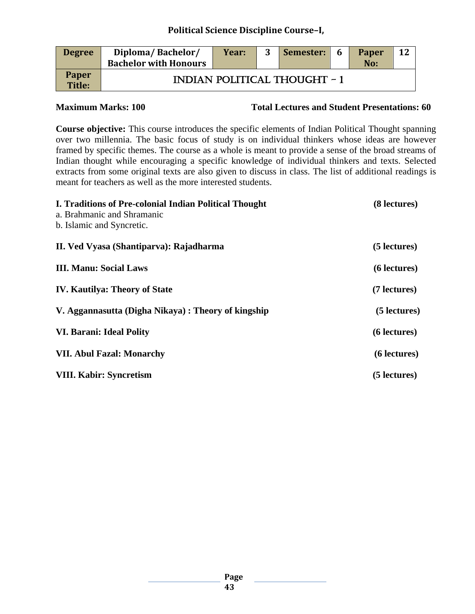| <b>Degree</b>                 | Diploma/Bachelor/<br><b>Bachelor with Honours</b> | Year: | Semester:                           | - 6 | Paper<br>No: | <b>12</b> |
|-------------------------------|---------------------------------------------------|-------|-------------------------------------|-----|--------------|-----------|
| <b>Paper</b><br><b>Title:</b> |                                                   |       | <b>INDIAN POLITICAL THOUGHT - 1</b> |     |              |           |

**Maximum Marks: 100 Total Lectures and Student Presentations: 60**

**Course objective:** This course introduces the specific elements of Indian Political Thought spanning over two millennia. The basic focus of study is on individual thinkers whose ideas are however framed by specific themes. The course as a whole is meant to provide a sense of the broad streams of Indian thought while encouraging a specific knowledge of individual thinkers and texts. Selected extracts from some original texts are also given to discuss in class. The list of additional readings is meant for teachers as well as the more interested students.

| I. Traditions of Pre-colonial Indian Political Thought | (8 lectures) |
|--------------------------------------------------------|--------------|
| a. Brahmanic and Shramanic                             |              |
| b. Islamic and Syncretic.                              |              |
| II. Ved Vyasa (Shantiparva): Rajadharma                | (5 lectures) |
| <b>III. Manu: Social Laws</b>                          | (6 lectures) |
| <b>IV. Kautilya: Theory of State</b>                   | (7 lectures) |
| V. Aggannasutta (Digha Nikaya) : Theory of kingship    | (5 lectures) |
| <b>VI. Barani: Ideal Polity</b>                        | (6 lectures) |
| <b>VII. Abul Fazal: Monarchy</b>                       | (6 lectures) |
| <b>VIII. Kabir: Syncretism</b>                         | (5 lectures) |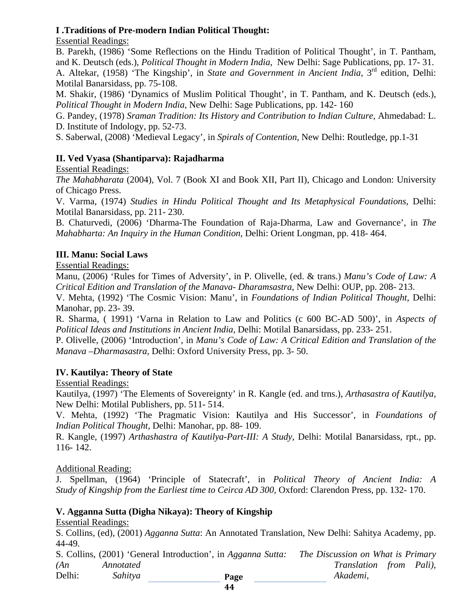# **I .Traditions of Pre-modern Indian Political Thought:**

Essential Readings:

B. Parekh, (1986) 'Some Reflections on the Hindu Tradition of Political Thought', in T. Pantham, and K. Deutsch (eds.), *Political Thought in Modern India*, New Delhi: Sage Publications, pp. 17- 31. A. Altekar, (1958) 'The Kingship', in *State and Government in Ancient India,* 3rd edition, Delhi: Motilal Banarsidass, pp. 75-108.

M. Shakir, (1986) 'Dynamics of Muslim Political Thought', in T. Pantham, and K. Deutsch (eds.), *Political Thought in Modern India*, New Delhi: Sage Publications, pp. 142- 160

G. Pandey, (1978) *Sraman Tradition: Its History and Contribution to Indian Culture,* Ahmedabad: L. D. Institute of Indology, pp. 52-73.

S. Saberwal, (2008) 'Medieval Legacy', in *Spirals of Contention*, New Delhi: Routledge, pp.1-31

# **II. Ved Vyasa (Shantiparva): Rajadharma**

Essential Readings:

*The Mahabharata* (2004), Vol. 7 (Book XI and Book XII, Part II), Chicago and London: University of Chicago Press.

V. Varma, (1974) *Studies in Hindu Political Thought and Its Metaphysical Foundations*, Delhi: Motilal Banarsidass, pp. 211- 230.

B. Chaturvedi, (2006) 'Dharma-The Foundation of Raja-Dharma, Law and Governance', in *The Mahabharta: An Inquiry in the Human Condition*, Delhi: Orient Longman, pp. 418- 464.

# **III. Manu: Social Laws**

Essential Readings:

Manu, (2006) 'Rules for Times of Adversity', in P. Olivelle, (ed. & trans.) *Manu's Code of Law: A Critical Edition and Translation of the Manava- Dharamsastra*, New Delhi: OUP, pp. 208- 213.

V. Mehta, (1992) 'The Cosmic Vision: Manu', in *Foundations of Indian Political Thought,* Delhi: Manohar, pp. 23- 39.

R. Sharma, ( 1991) 'Varna in Relation to Law and Politics (c 600 BC-AD 500)', in *Aspects of Political Ideas and Institutions in Ancient India,* Delhi: Motilal Banarsidass, pp. 233- 251.

P. Olivelle, (2006) 'Introduction', in *Manu's Code of Law: A Critical Edition and Translation of the Manava –Dharmasastra,* Delhi: Oxford University Press, pp. 3- 50.

# **IV. Kautilya: Theory of State**

Essential Readings:

Kautilya, (1997) 'The Elements of Sovereignty' in R. Kangle (ed. and trns.), *Arthasastra of Kautilya,* New Delhi: Motilal Publishers, pp. 511- 514.

V. Mehta, (1992) 'The Pragmatic Vision: Kautilya and His Successor', in *Foundations of Indian Political Thought,* Delhi: Manohar, pp. 88- 109.

R. Kangle, (1997) *Arthashastra of Kautilya-Part-III: A Study,* Delhi: Motilal Banarsidass, rpt., pp. 116- 142.

# Additional Reading:

J. Spellman, (1964) 'Principle of Statecraft', in *Political Theory of Ancient India: A Study of Kingship from the Earliest time to Ceirca AD 300,* Oxford: Clarendon Press, pp. 132- 170.

# **V. Agganna Sutta (Digha Nikaya): Theory of Kingship**

Essential Readings:

S. Collins, (ed), (2001) *Agganna Sutta*: An Annotated Translation, New Delhi: Sahitya Academy, pp. 44-49.

|        |           | S. Collins, (2001) 'General Introduction', in Agganna Sutta: | The Discussion on What is Primary |  |
|--------|-----------|--------------------------------------------------------------|-----------------------------------|--|
| (An)   | Annotated |                                                              | <i>Translation from Pali</i> ),   |  |
| Delhi: | Sahitya   | Page                                                         | Akademi.                          |  |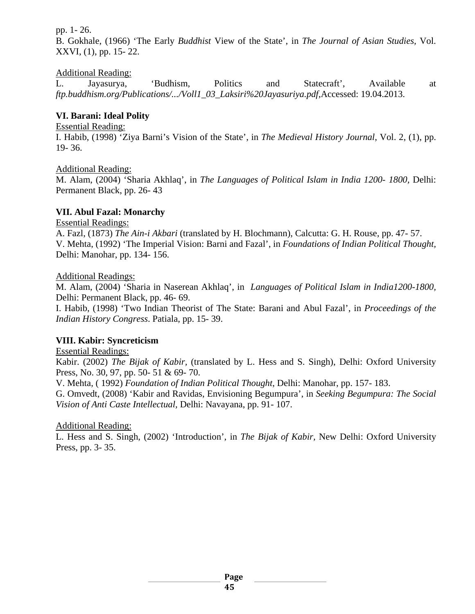pp. 1- 26.

B. Gokhale, (1966) 'The Early *Buddhist* View of the State', in *The Journal of Asian Studies,* Vol. XXVI, (1), pp. 15- 22.

# Additional Reading:

L. Jayasurya, 'Budhism, Politics and Statecraft', Available at *[ftp.buddhism.org/Publications/.../Voll1\\_03\\_Laksiri%20Jayasuriya.pdf,](ftp://ftp.buddhism.org/Publications/.../Voll1_03_Laksiri Jayasuriya.pdf)*Accessed: 19.04.2013.

# **VI. Barani: Ideal Polity**

#### Essential Reading:

I. Habib, (1998) 'Ziya Barni's Vision of the State', in *The Medieval History Journal*, Vol. 2, (1), pp. 19- 36.

# Additional Reading:

M. Alam, (2004) 'Sharia Akhlaq', in *The Languages of Political Islam in India 1200- 1800,* Delhi: Permanent Black, pp. 26- 43

# **VII. Abul Fazal: Monarchy**

Essential Readings:

A. Fazl, (1873) *The Ain-i Akbari* (translated by H. Blochmann), Calcutta: G. H. Rouse, pp. 47- 57. V. Mehta, (1992) 'The Imperial Vision: Barni and Fazal', in *Foundations of Indian Political Thought,*  Delhi: Manohar, pp. 134- 156.

### Additional Readings:

M. Alam, (2004) 'Sharia in Naserean Akhlaq', in *Languages of Political Islam in India1200-1800,* Delhi: Permanent Black, pp. 46- 69.

I. Habib, (1998) 'Two Indian Theorist of The State: Barani and Abul Fazal', in *Proceedings of the Indian History Congress*. Patiala, pp. 15- 39.

# **VIII. Kabir: Syncreticism**

Essential Readings:

Kabir. (2002) *The Bijak of Kabir,* (translated by L. Hess and S. Singh), Delhi: Oxford University Press, No. 30, 97, pp. 50- 51 & 69- 70.

V. Mehta, ( 1992) *Foundation of Indian Political Thought*, Delhi: Manohar, pp. 157- 183.

G. Omvedt, (2008) 'Kabir and Ravidas, Envisioning Begumpura', in *Seeking Begumpura: The Social Vision of Anti Caste Intellectual,* Delhi: Navayana, pp. 91- 107.

# Additional Reading:

L. Hess and S. Singh, (2002) 'Introduction', in *The Bijak of Kabir,* New Delhi: Oxford University Press, pp. 3- 35.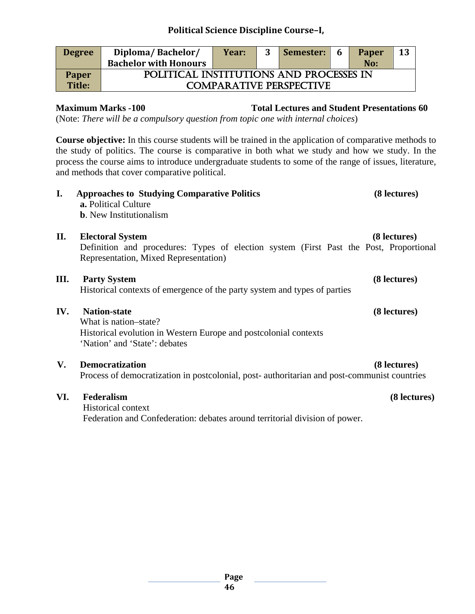| <b>Degree</b> | Diploma/Bachelor/                       | Year: |  | Semester: | 6 | Paper | 13 |  |
|---------------|-----------------------------------------|-------|--|-----------|---|-------|----|--|
|               | <b>Bachelor with Honours</b>            |       |  |           |   | No:   |    |  |
| <b>Paper</b>  | POLITICAL INSTITUTIONS AND PROCESSES IN |       |  |           |   |       |    |  |
| Title:        | <b>COMPARATIVE PERSPECTIVE</b>          |       |  |           |   |       |    |  |

**Maximum Marks -100 Total Lectures and Student Presentations 60**

(Note: *There will be a compulsory question from topic one with internal choices*)

**Course objective:** In this course students will be trained in the application of comparative methods to the study of politics. The course is comparative in both what we study and how we study. In the process the course aims to introduce undergraduate students to some of the range of issues, literature, and methods that cover comparative political.

| I.   | <b>Approaches to Studying Comparative Politics</b><br>a. Political Culture<br><b>b.</b> New Institutionalism                                                          | (8 lectures) |
|------|-----------------------------------------------------------------------------------------------------------------------------------------------------------------------|--------------|
| П.   | <b>Electoral System</b><br>Definition and procedures: Types of election system (First Past the Post, Proportional<br>Representation, Mixed Representation)            | (8 lectures) |
| III. | <b>Party System</b><br>Historical contexts of emergence of the party system and types of parties                                                                      | (8 lectures) |
| IV.  | <b>Nation-state</b><br>What is nation–state?<br>Historical evolution in Western Europe and postcolonial contexts<br>'Nation' and 'State': debates                     | (8 lectures) |
| V.   | <b>Democratization</b><br>Process of democratization in postcolonial, post-authoritarian and post-communist countries                                                 | (8 lectures) |
| VI.  | Federalism<br><b>Historical context</b><br>$\mathbf{E}$ . As and so that $\mathbf{A}$ and $\mathbf{A}$ are defined as a second point of all distributions of a second | (8 lectures) |

Federation and Confederation: debates around territorial division of power.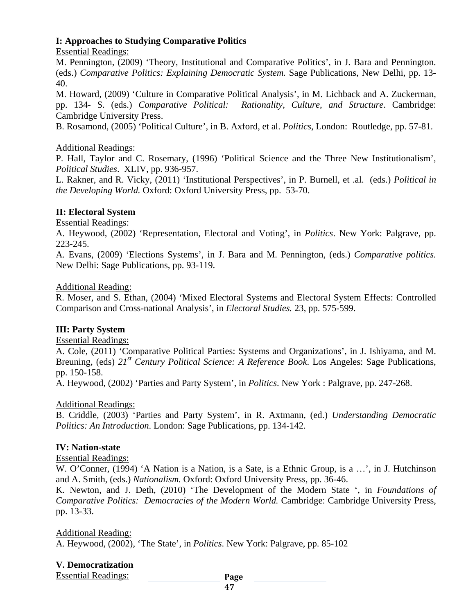# **I: Approaches to Studying Comparative Politics**

### Essential Readings:

M. Pennington, (2009) 'Theory, Institutional and Comparative Politics', in J. Bara and Pennington. (eds.) *Comparative Politics: Explaining Democratic System.* Sage Publications, New Delhi, pp. 13- 40.

M. Howard, (2009) 'Culture in Comparative Political Analysis', in M. Lichback and A. Zuckerman, pp. 134- S. (eds.) *Comparative Political: Rationality, Culture, and Structure*. Cambridge: Cambridge University Press.

B. Rosamond, (2005) 'Political Culture', in B. Axford, et al. *Politics*, London: Routledge, pp. 57-81.

### Additional Readings:

P. Hall, Taylor and C. Rosemary, (1996) 'Political Science and the Three New Institutionalism', *Political Studies*. XLIV, pp. 936-957.

L. Rakner, and R. Vicky, (2011) 'Institutional Perspectives', in P. Burnell, et .al. (eds.) *Political in the Developing World.* Oxford: Oxford University Press, pp. 53-70.

### **II: Electoral System**

Essential Readings:

A. Heywood, (2002) 'Representation, Electoral and Voting', in *Politics*. New York: Palgrave, pp. 223-245.

A. Evans, (2009) 'Elections Systems', in J. Bara and M. Pennington, (eds.) *Comparative politics.* New Delhi: Sage Publications, pp. 93-119.

#### Additional Reading:

R. Moser, and S. Ethan, (2004) 'Mixed Electoral Systems and Electoral System Effects: Controlled Comparison and Cross-national Analysis', in *Electoral Studies.* 23, pp. 575-599.

# **III: Party System**

Essential Readings:

A. Cole, (2011) 'Comparative Political Parties: Systems and Organizations', in J. Ishiyama, and M. Breuning, (eds) *21st Century Political Science: A Reference Book*. Los Angeles: Sage Publications, pp. 150-158.

A. Heywood, (2002) 'Parties and Party System', in *Politics*. New York : Palgrave, pp. 247-268.

#### Additional Readings:

B. Criddle, (2003) 'Parties and Party System', in R. Axtmann, (ed.) *Understanding Democratic Politics: An Introduction*. London: Sage Publications, pp. 134-142.

# **IV: Nation-state**

#### Essential Readings:

W. O'Conner, (1994) 'A Nation is a Nation, is a Sate, is a Ethnic Group, is a …', in J. Hutchinson and A. Smith, (eds.) *Nationalism.* Oxford: Oxford University Press, pp. 36-46.

K. Newton, and J. Deth, (2010) 'The Development of the Modern State ', in *Foundations of Comparative Politics: Democracies of the Modern World.* Cambridge: Cambridge University Press, pp. 13-33.

#### Additional Reading:

A. Heywood, (2002), 'The State', in *Politics*. New York: Palgrave, pp. 85-102

# **V. Democratization**

Essential Readings: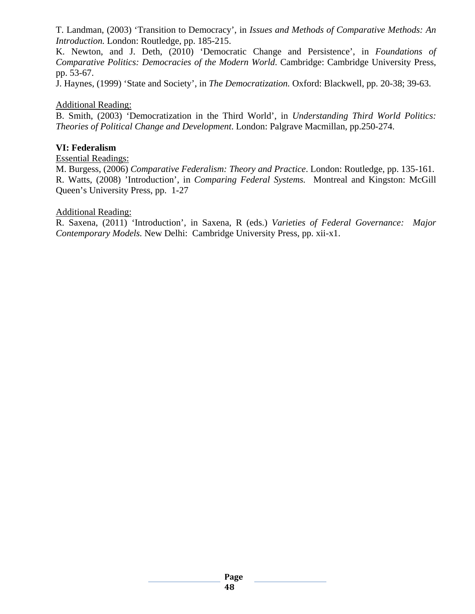T. Landman, (2003) 'Transition to Democracy', in *Issues and Methods of Comparative Methods: An Introduction.* London: Routledge, pp. 185-215.

K. Newton, and J. Deth, (2010) 'Democratic Change and Persistence', in *Foundations of Comparative Politics: Democracies of the Modern World*. Cambridge: Cambridge University Press, pp. 53-67.

J. Haynes, (1999) 'State and Society', in *The Democratization.* Oxford: Blackwell, pp. 20-38; 39-63.

#### Additional Reading:

B. Smith, (2003) 'Democratization in the Third World', in *Understanding Third World Politics: Theories of Political Change and Development*. London: Palgrave Macmillan, pp.250-274.

#### **VI: Federalism**

Essential Readings:

M. Burgess, (2006) *Comparative Federalism: Theory and Practice*. London: Routledge, pp. 135-161. R. Watts, (2008) 'Introduction', in *Comparing Federal Systems.* Montreal and Kingston: McGill Queen's University Press, pp. 1-27

#### Additional Reading:

R. Saxena, (2011) 'Introduction', in Saxena, R (eds.) *Varieties of Federal Governance: Major Contemporary Models.* New Delhi: Cambridge University Press, pp. xii-x1.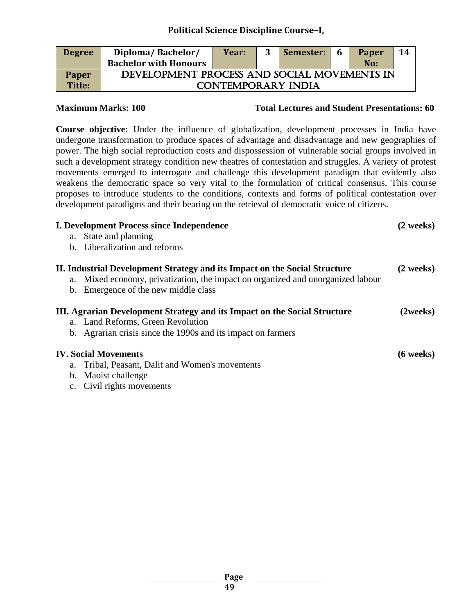| <b>Degree</b> | Diploma/Bachelor/                           | Year: |  | Semester: | - 6 | Paper | 14 |  |
|---------------|---------------------------------------------|-------|--|-----------|-----|-------|----|--|
|               | <b>Bachelor with Honours</b>                |       |  |           |     | No:   |    |  |
| <b>Paper</b>  | DEVELOPMENT PROCESS AND SOCIAL MOVEMENTS IN |       |  |           |     |       |    |  |
| <b>Title:</b> | <b>CONTEMPORARY INDIA</b>                   |       |  |           |     |       |    |  |

**Maximum Marks: 100 Total Lectures and Student Presentations: 60** 

**Course objective**: Under the influence of globalization, development processes in India have undergone transformation to produce spaces of advantage and disadvantage and new geographies of power. The high social reproduction costs and dispossession of vulnerable social groups involved in such a development strategy condition new theatres of contestation and struggles. A variety of protest movements emerged to interrogate and challenge this development paradigm that evidently also weakens the democratic space so very vital to the formulation of critical consensus. This course proposes to introduce students to the conditions, contexts and forms of political contestation over development paradigms and their bearing on the retrieval of democratic voice of citizens.

| <b>I. Development Process since Independence</b>                                 | $(2 \text{ weeks})$ |
|----------------------------------------------------------------------------------|---------------------|
| a. State and planning                                                            |                     |
| b. Liberalization and reforms                                                    |                     |
| II. Industrial Development Strategy and its Impact on the Social Structure       | $(2 \text{ weeks})$ |
| a. Mixed economy, privatization, the impact on organized and unorganized labour  |                     |
| b. Emergence of the new middle class                                             |                     |
| <b>III. Agrarian Development Strategy and its Impact on the Social Structure</b> | (2weeks)            |
| a. Land Reforms, Green Revolution                                                |                     |
| b. Agrarian crisis since the 1990s and its impact on farmers                     |                     |
| <b>IV.</b> Social Movements                                                      | $(6 \text{ weeks})$ |
| a. Tribal, Peasant, Dalit and Women's movements                                  |                     |
| b. Maoist challenge                                                              |                     |
|                                                                                  |                     |

c. Civil rights movements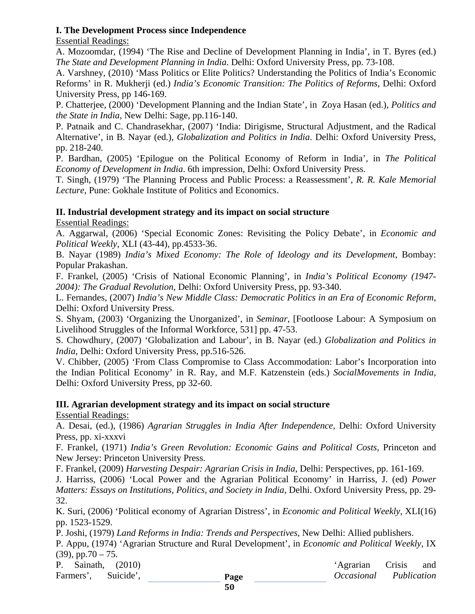# **I. The Development Process since Independence**

Essential Readings:

A. Mozoomdar, (1994) 'The Rise and Decline of Development Planning in India', in T. Byres (ed.) *The State and Development Planning in India*. Delhi: Oxford University Press, pp. 73-108.

A. Varshney, (2010) 'Mass Politics or Elite Politics? Understanding the Politics of India's Economic Reforms' in R. Mukherji (ed.) *India's Economic Transition: The Politics of Reforms*, Delhi: Oxford University Press, pp 146-169.

P. Chatterjee, (2000) 'Development Planning and the Indian State', in Zoya Hasan (ed.), *Politics and the State in India*, New Delhi: Sage, pp.116-140.

P. Patnaik and C. Chandrasekhar, (2007) 'India: Dirigisme, Structural Adjustment, and the Radical Alternative', in B. Nayar (ed.), *Globalization and Politics in India*. Delhi: Oxford University Press, pp. 218-240.

P. Bardhan, (2005) 'Epilogue on the Political Economy of Reform in India', in *The Political Economy of Development in India*. 6th impression, Delhi: Oxford University Press.

T. Singh, (1979) 'The Planning Process and Public Process: a Reassessment', *R. R. Kale Memorial Lecture*, Pune: Gokhale Institute of Politics and Economics.

# **II. Industrial development strategy and its impact on social structure**

Essential Readings:

A. Aggarwal, (2006) 'Special Economic Zones: Revisiting the Policy Debate', in *Economic and Political Weekly*, XLI (43-44), pp.4533-36.

B. Nayar (1989) *India's Mixed Economy: The Role of Ideology and its Development*, Bombay: Popular Prakashan.

F. Frankel, (2005) 'Crisis of National Economic Planning', in *India's Political Economy (1947- 2004): The Gradual Revolution*, Delhi: Oxford University Press, pp. 93-340.

L. Fernandes, (2007) *India's New Middle Class: Democratic Politics in an Era of Economic Reform*, Delhi: Oxford University Press.

S. Shyam, (2003) 'Organizing the Unorganized', in *Seminar*, [Footloose Labour: A Symposium on Livelihood Struggles of the Informal Workforce, 531] pp. 47-53.

S. Chowdhury, (2007) 'Globalization and Labour', in B. Nayar (ed.) *Globalization and Politics in India*, Delhi: Oxford University Press, pp.516-526.

V. Chibber, (2005) 'From Class Compromise to Class Accommodation: Labor's Incorporation into the Indian Political Economy' in R. Ray, and M.F. Katzenstein (eds.) *SocialMovements in India*, Delhi: Oxford University Press, pp 32-60.

# **III. Agrarian development strategy and its impact on social structure**

Essential Readings:

A. Desai, (ed.), (1986) *Agrarian Struggles in India After Independence*, Delhi: Oxford University Press, pp. xi-xxxvi

F. Frankel, (1971) *India's Green Revolution: Economic Gains and Political Costs*, Princeton and New Jersey: Princeton University Press.

F. Frankel, (2009) *Harvesting Despair: Agrarian Crisis in India*, Delhi: Perspectives, pp. 161-169.

J. Harriss, (2006) 'Local Power and the Agrarian Political Economy' in Harriss, J. (ed) *Power Matters: Essays on Institutions, Politics, and Society in India*, Delhi. Oxford University Press, pp. 29- 32.

K. Suri, (2006) 'Political economy of Agrarian Distress', in *Economic and Political Weekly*, XLI(16) pp. 1523-1529.

P. Joshi, (1979) *Land Reforms in India: Trends and Perspectives*, New Delhi: Allied publishers.

P. Appu, (1974) 'Agrarian Structure and Rural Development', in *Economic and Political Weekly*, IX  $(39)$ , pp.70 – 75.

P. Sainath, (2010) 'Agrarian Crisis and Farmers', Suicide', **Page** *Occasional Publication*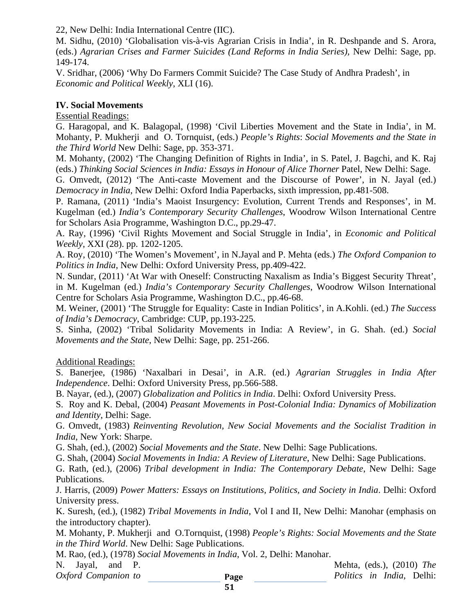22, New Delhi: India International Centre (IIC).

M. Sidhu, (2010) 'Globalisation vis-à-vis Agrarian Crisis in India', in R. Deshpande and S. Arora, (eds.) *Agrarian Crises and Farmer Suicides (Land Reforms in India Series),* New Delhi: Sage, pp. 149-174.

V. Sridhar, (2006) 'Why Do Farmers Commit Suicide? The Case Study of Andhra Pradesh', in *Economic and Political Weekly*, XLI (16).

### **IV. Social Movements**

Essential Readings:

G. Haragopal, and K. Balagopal, (1998) 'Civil Liberties Movement and the State in India', in M. Mohanty, P. Mukherji and O. Tornquist, (eds.) *People's Rights*: *Social Movements and the State in the Third World* New Delhi: Sage, pp. 353-371.

M. Mohanty, (2002) 'The Changing Definition of Rights in India', in S. Patel, J. Bagchi, and K. Raj (eds.) *Thinking Social Sciences in India: Essays in Honour of Alice Thorner* Patel, New Delhi: Sage.

G. Omvedt, (2012) 'The Anti-caste Movement and the Discourse of Power', in N. Jayal (ed.) *Democracy in India*, New Delhi: Oxford India Paperbacks, sixth impression, pp.481-508.

P. Ramana, (2011) 'India's Maoist Insurgency: Evolution, Current Trends and Responses', in M. Kugelman (ed.) *India's Contemporary Security Challenges*, Woodrow Wilson International Centre for Scholars Asia Programme, Washington D.C., pp.29-47.

A. Ray, (1996) 'Civil Rights Movement and Social Struggle in India', in *Economic and Political Weekly*, XXI (28). pp. 1202-1205.

A. Roy, (2010) 'The Women's Movement', in N.Jayal and P. Mehta (eds.) *The Oxford Companion to Politics in India*, New Delhi: Oxford University Press, pp.409-422.

N. Sundar, (2011) 'At War with Oneself: Constructing Naxalism as India's Biggest Security Threat', in M. Kugelman (ed.) *India's Contemporary Security Challenges*, Woodrow Wilson International Centre for Scholars Asia Programme, Washington D.C., pp.46-68.

M. Weiner, (2001) 'The Struggle for Equality: Caste in Indian Politics', in A.Kohli. (ed.) *The Success of India's Democracy*, Cambridge: CUP, pp.193-225.

S. Sinha, (2002) 'Tribal Solidarity Movements in India: A Review', in G. Shah. (ed.) *Social Movements and the State*, New Delhi: Sage, pp. 251-266.

# Additional Readings:

S. Banerjee, (1986) 'Naxalbari in Desai', in A.R. (ed.) *Agrarian Struggles in India After Independence*. Delhi: Oxford University Press, pp.566-588.

B. Nayar, (ed.), (2007) *Globalization and Politics in India*. Delhi: Oxford University Press.

S. Roy and K. Debal, (2004) *Peasant Movements in Post-Colonial India: Dynamics of Mobilization and Identity*, Delhi: Sage.

G. Omvedt, (1983) *Reinventing Revolution, New Social Movements and the Socialist Tradition in India*, New York: Sharpe.

G. Shah, (ed.), (2002) *Social Movements and the State*. New Delhi: Sage Publications.

G. Shah, (2004) *Social Movements in India: A Review of Literature*, New Delhi: Sage Publications.

G. Rath, (ed.), (2006) *Tribal development in India: The Contemporary Debate*, New Delhi: Sage Publications.

J. Harris, (2009) *Power Matters: Essays on Institutions, Politics, and Society in India*. Delhi: Oxford University press.

K. Suresh, (ed.), (1982) *Tribal Movements in India*, Vol I and II, New Delhi: Manohar (emphasis on the introductory chapter).

M. Mohanty, P. Mukherji and O.Tornquist, (1998) *People's Rights: Social Movements and the State in the Third World*. New Delhi: Sage Publications.

M. Rao, (ed.), (1978) *Social Movements in India*, Vol. 2, Delhi: Manohar.

N. Jayal, and P. Mehta, (eds.), (2010) *The* 

*Oxford Companion to Politics in India*, Delhi: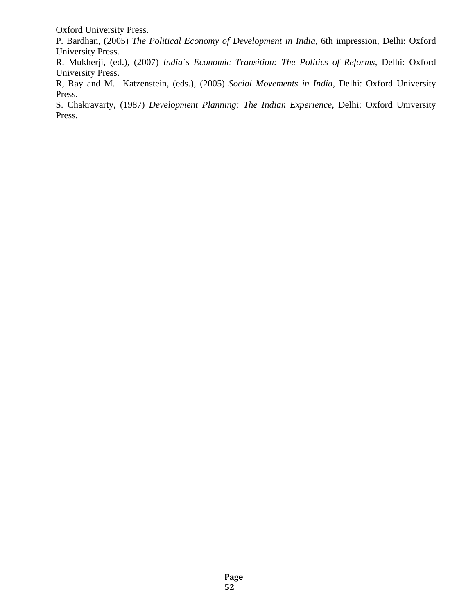Oxford University Press.

P. Bardhan, (2005) *The Political Economy of Development in India*, 6th impression, Delhi: Oxford University Press.

R. Mukherji, (ed.), (2007) *India's Economic Transition: The Politics of Reforms*, Delhi: Oxford University Press.

R, Ray and M. Katzenstein, (eds.), (2005) *Social Movements in India*, Delhi: Oxford University Press.

S. Chakravarty, (1987) *Development Planning: The Indian Experience*, Delhi: Oxford University Press.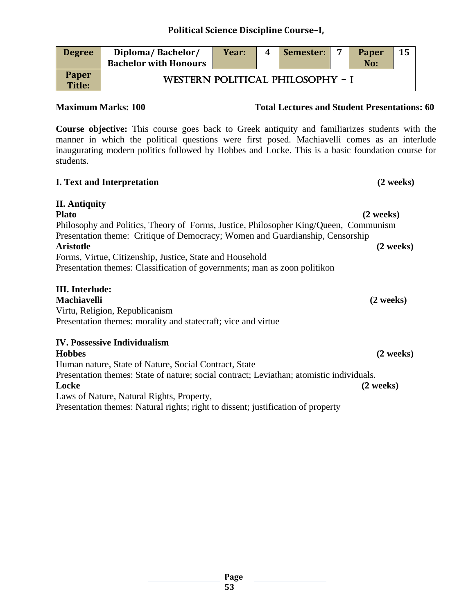| <b>Degree</b>          | Diploma/Bachelor/<br><b>Bachelor with Honours</b> | Year:                            | 4 | Semester: | $\overline{ }$ | Paper<br>No: | 15 |  |  |
|------------------------|---------------------------------------------------|----------------------------------|---|-----------|----------------|--------------|----|--|--|
| <b>Paper</b><br>Title: |                                                   | WESTERN POLITICAL PHILOSOPHY - I |   |           |                |              |    |  |  |

# **Maximum Marks: 100 Total Lectures and Student Presentations: 60**

**Course objective:** This course goes back to Greek antiquity and familiarizes students with the manner in which the political questions were first posed. Machiavelli comes as an interlude inaugurating modern politics followed by Hobbes and Locke. This is a basic foundation course for students.

# **I. Text and Interpretation (2 weeks)**

| <b>II.</b> Antiquity                                                                 |                     |
|--------------------------------------------------------------------------------------|---------------------|
| <b>Plato</b>                                                                         | $(2 \text{ weeks})$ |
| Philosophy and Politics, Theory of Forms, Justice, Philosopher King/Queen, Communism |                     |
| Presentation theme: Critique of Democracy; Women and Guardianship, Censorship        |                     |
| Aristotle                                                                            | $(2 \text{ weeks})$ |
| Forms, Virtue, Citizenship, Justice, State and Household                             |                     |
| Presentation themes: Classification of governments; man as zoon politikon            |                     |

# **III. Interlude:**

**Machiavelli (2 weeks)** Virtu, Religion, Republicanism Presentation themes: morality and statecraft; vice and virtue

# **IV. Possessive Individualism**

**Hobbes (2 weeks)** Human nature, State of Nature, Social Contract, State Presentation themes: State of nature; social contract; Leviathan; atomistic individuals. **Locke (2 weeks)** Laws of Nature, Natural Rights, Property, Presentation themes: Natural rights; right to dissent; justification of property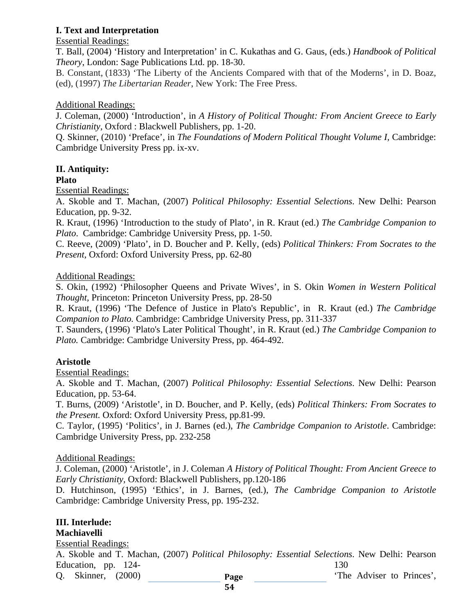# **I. Text and Interpretation**

Essential Readings:

T. Ball, (2004) 'History and Interpretation' in C. Kukathas and G. Gaus, (eds.) *Handbook of Political Theory*, London: Sage Publications Ltd. pp. 18-30.

B. Constant, (1833) 'The Liberty of the Ancients Compared with that of the Moderns', in D. Boaz, (ed), (1997) *The Libertarian Reader*, New York: The Free Press.

Additional Readings:

J. Coleman, (2000) 'Introduction', in *A History of Political Thought: From Ancient Greece to Early Christianity,* Oxford : Blackwell Publishers, pp. 1-20.

Q. Skinner, (2010) 'Preface', in *The Foundations of Modern Political Thought Volume I*, Cambridge: Cambridge University Press pp. ix-xv.

# **II. Antiquity:**

### **Plato**

Essential Readings:

A. Skoble and T. Machan, (2007) *Political Philosophy: Essential Selections*. New Delhi: Pearson Education, pp. 9-32.

R. Kraut, (1996) 'Introduction to the study of Plato', in R. Kraut (ed.) *The Cambridge Companion to Plato*. Cambridge: Cambridge University Press, pp. 1-50.

C. Reeve, (2009) 'Plato', in D. Boucher and P. Kelly, (eds) *Political Thinkers: From Socrates to the Present,* Oxford: Oxford University Press, pp. 62-80

### Additional Readings:

S. Okin, (1992) 'Philosopher Queens and Private Wives', in S. Okin *Women in Western Political Thought,* Princeton: Princeton University Press, pp. 28-50

R. Kraut, (1996) 'The Defence of Justice in Plato's Republic', in R. Kraut (ed.) *The Cambridge Companion to Plato.* Cambridge: Cambridge University Press, pp. 311-337

T. Saunders, (1996) 'Plato's Later Political Thought', in R. Kraut (ed.) *The Cambridge Companion to Plato.* Cambridge: Cambridge University Press, pp. 464-492.

# **Aristotle**

Essential Readings:

A. Skoble and T. Machan, (2007) *Political Philosophy: Essential Selections*. New Delhi: Pearson Education, pp. 53-64.

T. Burns, (2009) 'Aristotle', in D. Boucher, and P. Kelly, (eds) *Political Thinkers: From Socrates to the Present.* Oxford: Oxford University Press, pp.81-99.

C. Taylor, (1995) 'Politics', in J. Barnes (ed.), *The Cambridge Companion to Aristotle*. Cambridge: Cambridge University Press, pp. 232-258

# Additional Readings:

J. Coleman, (2000) 'Aristotle', in J. Coleman *A History of Political Thought: From Ancient Greece to Early Christianity,* Oxford: Blackwell Publishers, pp.120-186

D. Hutchinson, (1995) 'Ethics', in J. Barnes, (ed.), *The Cambridge Companion to Aristotle* Cambridge: Cambridge University Press, pp. 195-232.

# **III. Interlude:**

**Machiavelli**

Essential Readings:

A. Skoble and T. Machan, (2007) *Political Philosophy: Essential Selections*. New Delhi: Pearson Education, pp.  $124$ - 130

**Page**  Q. Skinner, (2000) **Page** The Adviser to Princes',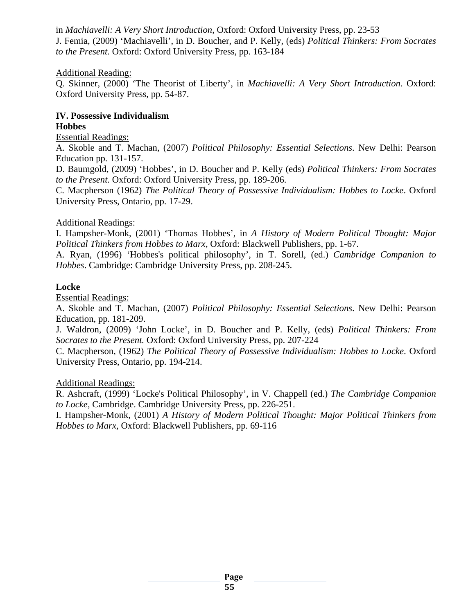in *Machiavelli: A Very Short Introduction*, Oxford: Oxford University Press, pp. 23-53 J. Femia, (2009) 'Machiavelli', in D. Boucher, and P. Kelly, (eds) *Political Thinkers: From Socrates to the Present.* Oxford: Oxford University Press, pp. 163-184

#### Additional Reading:

Q. Skinner, (2000) 'The Theorist of Liberty', in *Machiavelli: A Very Short Introduction*. Oxford: Oxford University Press, pp. 54-87.

# **IV. Possessive Individualism**

# **Hobbes**

Essential Readings:

A. Skoble and T. Machan, (2007) *Political Philosophy: Essential Selections*. New Delhi: Pearson Education pp. 131-157.

D. Baumgold, (2009) 'Hobbes', in D. Boucher and P. Kelly (eds) *Political Thinkers: From Socrates to the Present.* Oxford: Oxford University Press, pp. 189-206.

C. Macpherson (1962) *The Political Theory of Possessive Individualism: Hobbes to Locke*. Oxford University Press, Ontario, pp. 17-29.

### Additional Readings:

I. Hampsher-Monk, (2001) 'Thomas Hobbes', in *A History of Modern Political Thought: Major Political Thinkers from Hobbes to Marx,* Oxford: Blackwell Publishers, pp. 1-67.

A. Ryan, (1996) 'Hobbes's political philosophy', in T. Sorell, (ed.) *Cambridge Companion to Hobbes*. Cambridge: Cambridge University Press, pp. 208-245.

### **Locke**

Essential Readings:

A. Skoble and T. Machan, (2007) *Political Philosophy: Essential Selections*. New Delhi: Pearson Education, pp. 181-209.

J. Waldron, (2009) 'John Locke', in D. Boucher and P. Kelly, (eds) *Political Thinkers: From Socrates to the Present.* Oxford: Oxford University Press, pp. 207-224

C. Macpherson, (1962) *The Political Theory of Possessive Individualism: Hobbes to Locke*. Oxford University Press, Ontario, pp. 194-214.

#### Additional Readings:

R. Ashcraft, (1999) 'Locke's Political Philosophy', in V. Chappell (ed.) *The Cambridge Companion to Locke*, Cambridge. Cambridge University Press, pp. 226-251.

I. Hampsher-Monk, (2001) *A History of Modern Political Thought: Major Political Thinkers from Hobbes to Marx,* Oxford: Blackwell Publishers, pp. 69-116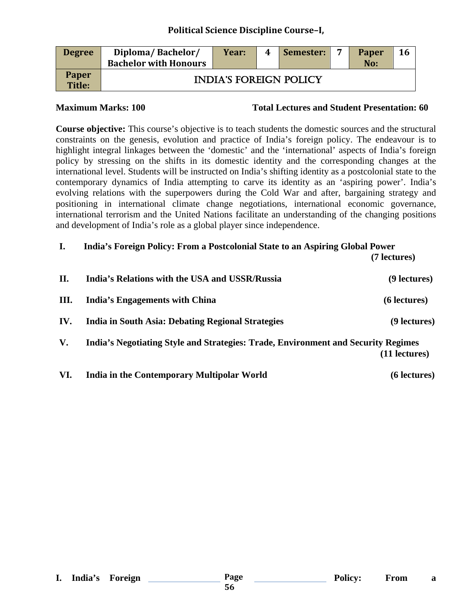| <b>Degree</b>          | Diploma/Bachelor/<br><b>Bachelor with Honours</b> | Year: | 4 | Semester: | $\overline{ }$ | Paper<br>No: | 16 |  |  |
|------------------------|---------------------------------------------------|-------|---|-----------|----------------|--------------|----|--|--|
| Paper<br><b>Title:</b> | <b>INDIA'S FOREIGN POLICY</b>                     |       |   |           |                |              |    |  |  |

#### **Maximum Marks: 100 Total Lectures and Student Presentation: 60**

**Course objective:** This course's objective is to teach students the domestic sources and the structural constraints on the genesis, evolution and practice of India's foreign policy. The endeavour is to highlight integral linkages between the 'domestic' and the 'international' aspects of India's foreign policy by stressing on the shifts in its domestic identity and the corresponding changes at the international level. Students will be instructed on India's shifting identity as a postcolonial state to the contemporary dynamics of India attempting to carve its identity as an 'aspiring power'. India's evolving relations with the superpowers during the Cold War and after, bargaining strategy and positioning in international climate change negotiations, international economic governance, international terrorism and the United Nations facilitate an understanding of the changing positions and development of India's role as a global player since independence.

| I.   | India's Foreign Policy: From a Postcolonial State to an Aspiring Global Power     |               |
|------|-----------------------------------------------------------------------------------|---------------|
|      |                                                                                   | (7 lectures)  |
| II.  | India's Relations with the USA and USSR/Russia                                    | (9 lectures)  |
| III. | India's Engagements with China                                                    | (6 lectures)  |
| IV.  | India in South Asia: Debating Regional Strategies                                 | (9 lectures)  |
| V.   | India's Negotiating Style and Strategies: Trade, Environment and Security Regimes | (11 lectures) |
|      |                                                                                   |               |

**VI. India in the Contemporary Multipolar World (6 lectures)**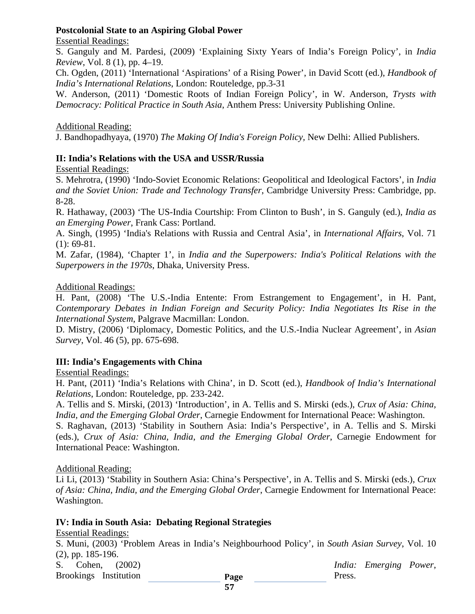# **Postcolonial State to an Aspiring Global Power**

#### Essential Readings:

S. Ganguly and M. Pardesi, (2009) 'Explaining Sixty Years of India's Foreign Policy', in *India Review*, Vol. 8 (1), pp. 4–19.

Ch. Ogden, (2011) 'International 'Aspirations' of a Rising Power', in David Scott (ed.), *Handbook of India's International Relations*, London: Routeledge, pp.3-31

W. Anderson, (2011) 'Domestic Roots of Indian Foreign Policy', in W. Anderson, *Trysts with Democracy: Political Practice in South Asia*, Anthem Press: University Publishing Online.

Additional Reading:

J. Bandhopadhyaya, (1970) *The Making Of India's Foreign Policy,* New Delhi: Allied Publishers.

# **II: India's Relations with the USA and USSR/Russia**

Essential Readings:

S. Mehrotra, (1990) 'Indo-Soviet Economic Relations: Geopolitical and Ideological Factors', in *India and the Soviet Union: Trade and Technology Transfer*, Cambridge University Press: Cambridge, pp. 8-28.

R. Hathaway, (2003) 'The US-India Courtship: From Clinton to Bush', in S. Ganguly (ed.), *India as an Emerging Power*, Frank Cass: Portland.

A. Singh, (1995) 'India's Relations with Russia and Central Asia', in *International Affairs*, Vol. 71  $(1): 69-81.$ 

M. Zafar, (1984), 'Chapter 1', in *India and the Superpowers: India's Political Relations with the Superpowers in the 1970s*, Dhaka, University Press.

#### Additional Readings:

H. Pant, (2008) 'The U.S.-India Entente: From Estrangement to Engagement', in H. Pant, *Contemporary Debates in Indian Foreign and Security Policy: India Negotiates Its Rise in the International System*, Palgrave Macmillan: London.

D. Mistry, (2006) 'Diplomacy, Domestic Politics, and the U.S.-India Nuclear Agreement', in *Asian Survey*, Vol. 46 (5), pp. 675-698.

# **III: India's Engagements with China**

Essential Readings:

H. Pant, (2011) 'India's Relations with China', in D. Scott (ed.), *Handbook of India's International Relations*, London: Routeledge, pp. 233-242.

A. Tellis and S. Mirski, (2013) 'Introduction', in A. Tellis and S. Mirski (eds.), *Crux of Asia: China, India, and the Emerging Global Order*, Carnegie Endowment for International Peace: Washington.

S. Raghavan, (2013) 'Stability in Southern Asia: India's Perspective', in A. Tellis and S. Mirski (eds.), *Crux of Asia: China, India, and the Emerging Global Order*, Carnegie Endowment for International Peace: Washington.

#### Additional Reading:

Li Li, (2013) 'Stability in Southern Asia: China's Perspective', in A. Tellis and S. Mirski (eds.), *Crux of Asia: China, India, and the Emerging Global Order*, Carnegie Endowment for International Peace: Washington.

#### **IV: India in South Asia: Debating Regional Strategies**

Essential Readings:

S. Muni, (2003) 'Problem Areas in India's Neighbourhood Policy', in *South Asian Survey*, Vol. 10 (2), pp. 185-196.

**Page**  S. Cohen, (2002) *India: Emerging Power*, Brookings Institution Page Press.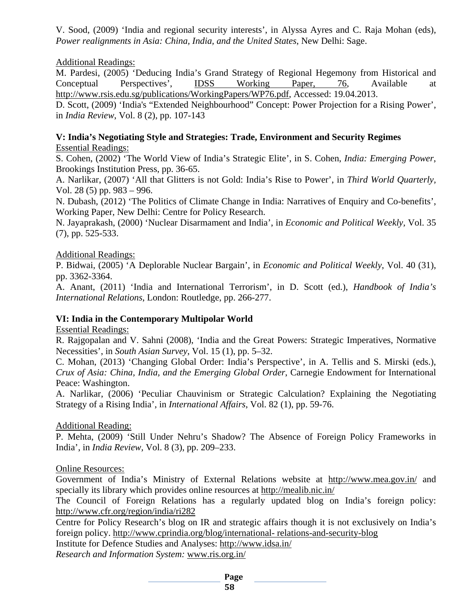V. Sood, (2009) 'India and regional security interests', in Alyssa Ayres and C. Raja Mohan (eds), *Power realignments in Asia: China, India, and the United States*, New Delhi: Sage.

# Additional Readings:

M. Pardesi, (2005) 'Deducing India's Grand Strategy of Regional Hegemony from Historical and Conceptual Perspectives', [IDSS Working Paper, 76,](http://catalogue.sipri.org/cgi-bin/koha/opac-search.pl?q=se,phr:%22IDSS%20working%20paper,%2076%22) Available at [http://www.rsis.edu.sg/publications/WorkingPapers/WP76.pdf,](http://www.rsis.edu.sg/publications/WorkingPapers/WP76.pdf) Accessed: 19.04.2013.

D. Scott, (2009) 'India's "Extended Neighbourhood" Concept: Power Projection for a Rising Power', in *India Review*, Vol. 8 (2), pp. 107-143

### **V: India's Negotiating Style and Strategies: Trade, Environment and Security Regimes** Essential Readings:

S. Cohen, (2002) 'The World View of India's Strategic Elite', in S. Cohen, *India: Emerging Power*, Brookings Institution Press, pp. 36-65.

A. Narlikar, (2007) 'All that Glitters is not Gold: India's Rise to Power', in *Third World Quarterly,*  Vol. 28 (5) pp. 983 – 996.

N. Dubash, (2012) 'The Politics of Climate Change in India: Narratives of Enquiry and Co-benefits', Working Paper, New Delhi: Centre for Policy Research.

N. Jayaprakash, (2000) 'Nuclear Disarmament and India', in *Economic and Political Weekly,* Vol. 35 (7), pp. 525-533.

### Additional Readings:

P. Bidwai, (2005) 'A Deplorable Nuclear Bargain', in *Economic and Political Weekly*, Vol. 40 (31), pp. 3362-3364.

A. Anant, (2011) 'India and International Terrorism', in D. Scott (ed.), *Handbook of India's International Relations*, London: Routledge, pp. 266-277.

# **VI: India in the Contemporary Multipolar World**

Essential Readings:

R. Rajgopalan and V. Sahni (2008), 'India and the Great Powers: Strategic Imperatives, Normative Necessities', in *South Asian Survey*, Vol. 15 (1), pp. 5–32.

C. Mohan, (2013) 'Changing Global Order: India's Perspective', in A. Tellis and S. Mirski (eds.), *Crux of Asia: China, India, and the Emerging Global Order*, Carnegie Endowment for International Peace: Washington.

A. Narlikar, (2006) 'Peculiar Chauvinism or Strategic Calculation? Explaining the Negotiating Strategy of a Rising India', in *International Affairs*, Vol. 82 (1), pp. 59-76.

# Additional Reading:

P. Mehta, (2009) 'Still Under Nehru's Shadow? The Absence of Foreign Policy Frameworks in India', in *India Review,* Vol. 8 (3), pp. 209–233.

Online Resources:

Government of India's Ministry of External Relations website at <http://www.mea.gov.in/> and specially its library which provides online resources at<http://mealib.nic.in/>

The Council of Foreign Relations has a regularly updated blog on India's foreign policy: <http://www.cfr.org/region/india/ri282>

Centre for Policy Research's blog on IR and strategic affairs though it is not exclusively on India's foreign policy. [http://www.cprindia.org/blog/international-](http://www.cprindia.org/blog/international-%20relations-and-security-blog) relations-and-security-blog

[Institute for Defence Studies and Analyses: http://www.idsa.in/](http://www.idsa.in/)

*Research and Information System:* [www.ris.org.in/](http://www.ris.org.in/)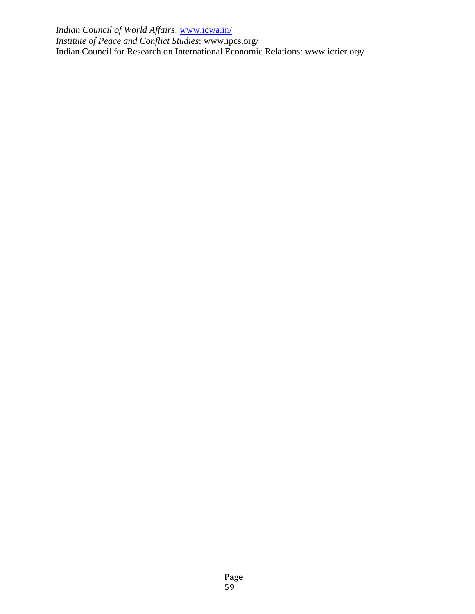*[Indian Council of World Affairs](https://www.google.co.in/url?sa=t&rct=j&q=&esrc=s&source=web&cd=2&ved=0CD4QFjAB&url=http%3A%2F%2Fwww.icwa.in%2F&ei=36ZtUbf4AcXOrQfY5IC4Bw&usg=AFQjCNHsHM1Z7t2FckFWAr4sbBowO-HI9Q&sig2=7f_I_cW1s1I8R5qEYYUeCA)*: [www.icwa.in/](http://www.icwa.in/) *[Institute of Peace and Conflict Studies](http://www.ipcs.org/)*: [www.ipcs.org/](http://www.ipcs.org/) Indian Council for Research on International Economic Relations: www.icrier.org/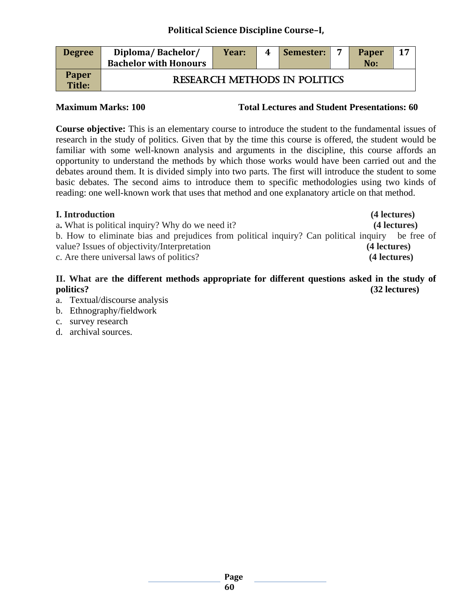| <b>Degree</b>                 | Diploma/Bachelor/<br><b>Bachelor with Honours</b> | Year: | 4 | Semester:                           | $\overline{ }$ | <b>Paper</b><br>No: | 17 |
|-------------------------------|---------------------------------------------------|-------|---|-------------------------------------|----------------|---------------------|----|
| <b>Paper</b><br><b>Title:</b> |                                                   |       |   | <b>RESEARCH METHODS IN POLITICS</b> |                |                     |    |

**Maximum Marks: 100 Total Lectures and Student Presentations: 60**

**Course objective:** This is an elementary course to introduce the student to the fundamental issues of research in the study of politics. Given that by the time this course is offered, the student would be familiar with some well-known analysis and arguments in the discipline, this course affords an opportunity to understand the methods by which those works would have been carried out and the debates around them. It is divided simply into two parts. The first will introduce the student to some basic debates. The second aims to introduce them to specific methodologies using two kinds of reading: one well-known work that uses that method and one explanatory article on that method.

| <b>I.</b> Introduction                                                                           | (4 lectures) |
|--------------------------------------------------------------------------------------------------|--------------|
| a. What is political inquiry? Why do we need it?                                                 | (4 lectures) |
| b. How to eliminate bias and prejudices from political inquiry? Can political inquiry be free of |              |
| value? Issues of objectivity/Interpretation                                                      | (4 lectures) |
| c. Are there universal laws of politics?                                                         | (4 lectures) |
|                                                                                                  |              |

# **II. What are the different methods appropriate for different questions asked in the study of politics? (32 lectures)**

- a. Textual/discourse analysis
- b. Ethnography/fieldwork
- c. survey research
- d. archival sources.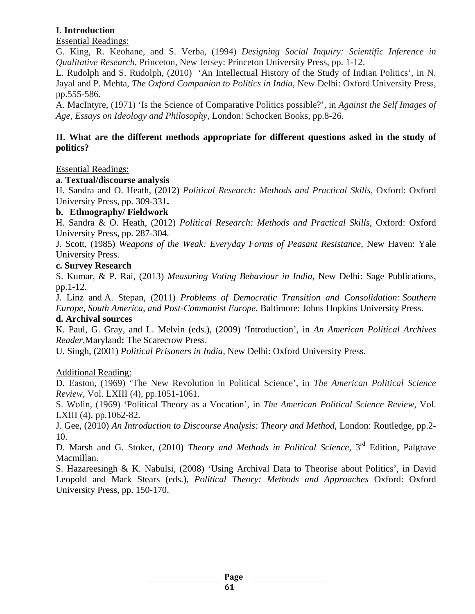# **I. Introduction**

Essential Readings:

G. King, R. Keohane, and S. Verba, (1994) *Designing Social Inquiry: Scientific Inference in Qualitative Research,* Princeton, New Jersey: Princeton University Press, pp. 1-12.

L. Rudolph and S. Rudolph, (2010) 'An Intellectual History of the Study of Indian Politics', in N. Jayal and P. Mehta, *The Oxford Companion to Politics in India*, New Delhi: Oxford University Press, pp.555-586.

A. MacIntyre, (1971) 'Is the Science of Comparative Politics possible?', in *Against the Self Images of Age, Essays on Ideology and Philosophy*, London: Schocken Books, pp.8-26.

# **II. What are the different methods appropriate for different questions asked in the study of politics?**

Essential Readings:

#### **a. Textual/discourse analysis**

H. [Sandra](http://www.flipkart.com/author/sandra-halperin) and [O. Heath,](http://www.flipkart.com/author/oliver-heath) (2012) *Political Research: Methods and Practical Skills,* Oxford: Oxford University Press, pp. 309-331**.**

### **b. Ethnography/ Fieldwork**

H. Sandra & O. Heath, (2012) *Political Research: Methods and Practical Skills*, Oxford: Oxford University Press, pp. 287-304.

J. Scott, (1985) *Weapons of the Weak: Everyday Forms of Peasant Resistance,* New Haven: Yale University Press.

#### **c. Survey Research**

S. Kumar, & P. Rai, (2013) *Measuring Voting Behaviour in India,* New Delhi: Sage Publications, pp.1-12.

[J. Linz](http://www.google.co.in/search?tbo=p&tbm=bks&q=inauthor:%22Juan+J.+Linz%22) and [A. Stepan,](http://www.google.co.in/search?tbo=p&tbm=bks&q=inauthor:%22Alfred+Stepan%22) (2011) *Problems of Democratic Transition and Consolidation: Southern Europe, South America, and Post-Communist Europe,* Baltimore: Johns Hopkins University Press.

#### **d. Archival sources**

K. Paul, G. Gray, and L. Melvin (eds.), (2009) 'Introduction', in *An American Political Archives Reader,*Maryland**:** The Scarecrow Press.

U. Singh, (2001) *Political Prisoners in India,* New Delhi: Oxford University Press.

#### Additional Reading:

D. Easton, (1969) 'The New Revolution in Political Science', in *The American Political Science Review*, Vol. LXIII (4), pp.1051-1061.

S. Wolin, (1969) 'Political Theory as a Vocation', in *The American Political Science Review*, Vol. LXIII (4), pp.1062-82.

J. Gee, (2010) *An Introduction to Discourse Analysis: Theory and Method*, London: Routledge, pp.2- 10.

D. Marsh and G. Stoker, (2010) *Theory and Methods in Political Science*, 3<sup>rd</sup> Edition, Palgrave Macmillan.

S. Hazareesingh & K. Nabulsi, (2008) 'Using Archival Data to Theorise about Politics', in David Leopold and Mark Stears (eds.), *Political Theory: Methods and Approaches* Oxford: Oxford University Press, pp. 150-170.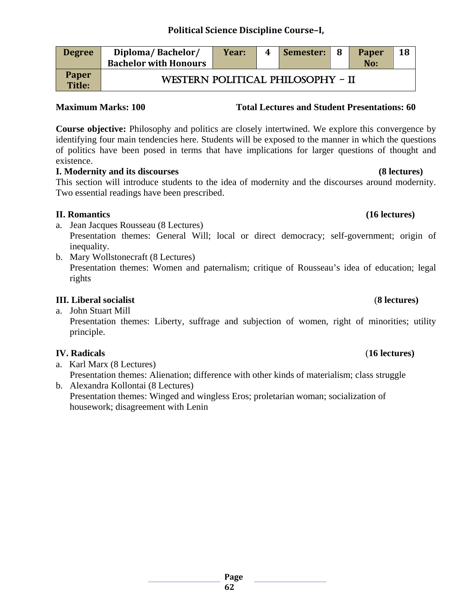| <b>Degree</b>          | Diploma/Bachelor/<br><b>Bachelor with Honours</b> | Year: | 4 | Semester: | - 8 | <b>Paper</b><br>No: | 18 |
|------------------------|---------------------------------------------------|-------|---|-----------|-----|---------------------|----|
| <b>Paper</b><br>Title: | WESTERN POLITICAL PHILOSOPHY - II                 |       |   |           |     |                     |    |

# **Maximum Marks: 100 Total Lectures and Student Presentations: 60**

**Course objective:** Philosophy and politics are closely intertwined. We explore this convergence by identifying four main tendencies here. Students will be exposed to the manner in which the questions of politics have been posed in terms that have implications for larger questions of thought and existence.

# **I. Modernity and its discourses (8 lectures)**

This section will introduce students to the idea of modernity and the discourses around modernity. Two essential readings have been prescribed.

# **II. Romantics (16 lectures)**

a. Jean Jacques Rousseau (8 Lectures)

Presentation themes: General Will; local or direct democracy; self-government; origin of inequality.

b. Mary Wollstonecraft (8 Lectures) Presentation themes: Women and paternalism; critique of Rousseau's idea of education; legal rights

# **III. Liberal socialist** (**8 lectures)**

a. John Stuart Mill Presentation themes: Liberty, suffrage and subjection of women, right of minorities; utility principle.

# **IV. Radicals** (**16 lectures)**

- a. Karl Marx (8 Lectures) Presentation themes: Alienation; difference with other kinds of materialism; class struggle
- b. Alexandra Kollontai (8 Lectures) Presentation themes: Winged and wingless Eros; proletarian woman; socialization of housework; disagreement with Lenin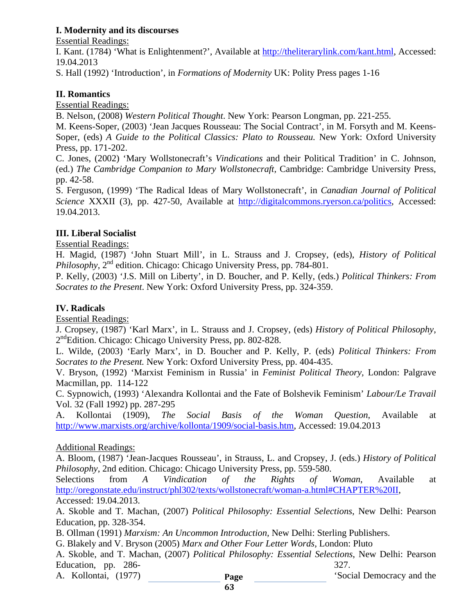# **I. Modernity and its discourses**

Essential Readings:

I. Kant. (1784) 'What is Enlightenment?', Available at [http://theliterarylink.com/kant.html,](http://theliterarylink.com/kant.html) Accessed: 19.04.2013

S. Hall (1992) 'Introduction', in *Formations of Modernity* UK: Polity Press pages 1-16

# **II. Romantics**

Essential Readings:

B. Nelson, (2008) *Western Political Thought*. New York: Pearson Longman, pp. 221-255.

M. Keens-Soper, (2003) 'Jean Jacques Rousseau: The Social Contract', in M. Forsyth and M. Keens-Soper, (eds) *A Guide to the Political Classics: Plato to Rousseau.* New York: Oxford University Press, pp. 171-202.

C. Jones, (2002) 'Mary Wollstonecraft's *Vindications* and their Political Tradition' in C. Johnson, (ed.) *The Cambridge Companion to Mary Wollstonecraft,* Cambridge: Cambridge University Press, pp. 42-58.

S. Ferguson, (1999) 'The Radical Ideas of Mary Wollstonecraft', in *Canadian Journal of Political Science* XXXII (3), pp. 427-50, Available at [http://digitalcommons.ryerson.ca/politics,](http://digitalcommons.ryerson.ca/politics) Accessed: 19.04.2013.

# **III. Liberal Socialist**

Essential Readings:

H. Magid, (1987) 'John Stuart Mill', in L. Strauss and J. Cropsey, (eds), *History of Political Philosophy*,  $2^{nd}$  edition. Chicago: Chicago University Press, pp. 784-801.

P. Kelly, (2003) 'J.S. Mill on Liberty', in D. Boucher, and P. Kelly, (eds.) *Political Thinkers: From Socrates to the Present*. New York: Oxford University Press, pp. 324-359.

# **IV. Radicals**

Essential Readings:

J. Cropsey, (1987) 'Karl Marx', in L. Strauss and J. Cropsey, (eds) *History of Political Philosophy*, 2<sup>nd</sup>Edition. Chicago: Chicago University Press, pp. 802-828.

L. Wilde, (2003) 'Early Marx', in D. Boucher and P. Kelly, P. (eds) *Political Thinkers: From Socrates to the Present.* New York: Oxford University Press, pp. 404-435.

V. Bryson, (1992) 'Marxist Feminism in Russia' in *Feminist Political Theory,* London: Palgrave Macmillan, pp. 114-122

C. Sypnowich, (1993) 'Alexandra Kollontai and the Fate of Bolshevik Feminism' *Labour/Le Travail*  Vol. 32 (Fall 1992) pp. 287-295

A. Kollontai (1909), *The Social Basis of the Woman Question*, Available at [http://www.marxists.org/archive/kollonta/1909/social-basis.htm,](http://www.marxists.org/archive/kollonta/1909/social-basis.htm) Accessed: 19.04.2013

# Additional Readings:

A. Bloom, (1987) 'Jean-Jacques Rousseau', in Strauss, L. and Cropsey, J. (eds.) *History of Political Philosophy*, 2nd edition. Chicago: Chicago University Press, pp. 559-580.

Selections from *A Vindication of the Rights of Woman*, Available at [http://oregonstate.edu/instruct/phl302/texts/wollstonecraft/woman-a.html#CHAPTER%20II,](http://oregonstate.edu/instruct/phl302/texts/wollstonecraft/woman-a.html#CHAPTER%20II) Accessed: 19.04.2013.

A. Skoble and T. Machan, (2007) *Political Philosophy: Essential Selections*, New Delhi: Pearson Education, pp. 328-354.

B. Ollman (1991) *Marxism: An Uncommon Introduction,* New Delhi: Sterling Publishers.

G. Blakely and V. Bryson (2005) *Marx and Other Four Letter Words,* London: Pluto

A. Skoble, and T. Machan, (2007) *Political Philosophy: Essential Selections*, New Delhi: Pearson Education, pp. 286- 327.

A. Kollontai, (1977) **Page** Social Democracy and the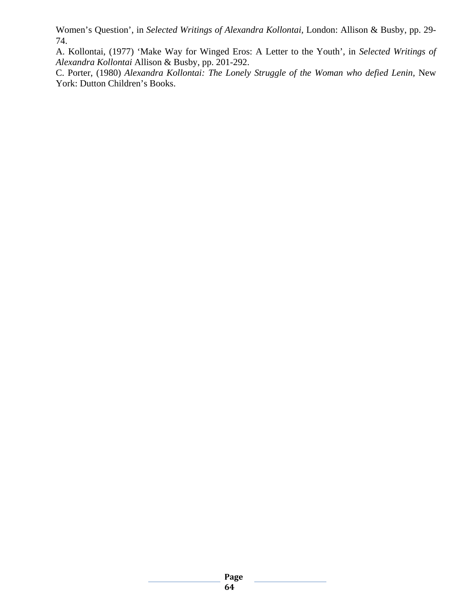Women's Question', in *Selected Writings of Alexandra Kollontai,* London: Allison & Busby, pp. 29- 74.

A. Kollontai, (1977) 'Make Way for Winged Eros: A Letter to the Youth', in *Selected Writings of Alexandra Kollontai* Allison & Busby, pp. 201-292.

C. Porter, (1980) *Alexandra Kollontai: The Lonely Struggle of the Woman who defied Lenin,* New York: Dutton Children's Books.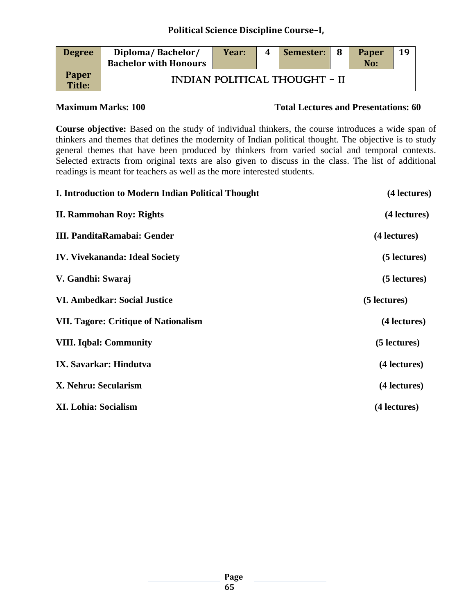| <b>Degree</b>          | Diploma/Bachelor/<br><b>Bachelor with Honours</b> | Year: | 4 | Semester:                            | -8 | <b>Paper</b><br>No: | 19 |
|------------------------|---------------------------------------------------|-------|---|--------------------------------------|----|---------------------|----|
| <b>Paper</b><br>Title: |                                                   |       |   | <b>INDIAN POLITICAL THOUGHT - II</b> |    |                     |    |

### **Maximum Marks: 100 Total Lectures and Presentations: 60**

**Course objective:** Based on the study of individual thinkers, the course introduces a wide span of thinkers and themes that defines the modernity of Indian political thought. The objective is to study general themes that have been produced by thinkers from varied social and temporal contexts. Selected extracts from original texts are also given to discuss in the class. The list of additional readings is meant for teachers as well as the more interested students.

| I. Introduction to Modern Indian Political Thought | (4 lectures) |
|----------------------------------------------------|--------------|
| <b>II. Rammohan Roy: Rights</b>                    | (4 lectures) |
| III. PanditaRamabai: Gender                        | (4 lectures) |
| <b>IV. Vivekananda: Ideal Society</b>              | (5 lectures) |
| V. Gandhi: Swaraj                                  | (5 lectures) |
| <b>VI. Ambedkar: Social Justice</b>                | (5 lectures) |
| <b>VII. Tagore: Critique of Nationalism</b>        | (4 lectures) |
| <b>VIII.</b> Iqbal: Community                      | (5 lectures) |
| IX. Savarkar: Hindutva                             | (4 lectures) |
| X. Nehru: Secularism                               | (4 lectures) |
| <b>XI. Lohia: Socialism</b>                        | (4 lectures) |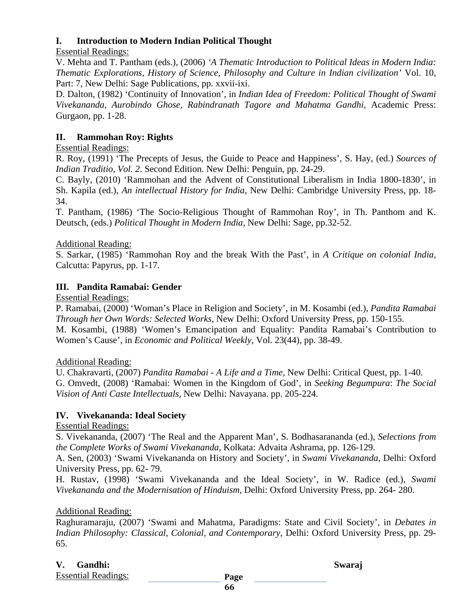# **I. Introduction to Modern Indian Political Thought**

Essential Readings:

V. Mehta and T. Pantham (eds.), (2006) *'A Thematic Introduction to Political Ideas in Modern India: Thematic Explorations, History of Science, Philosophy and Culture in Indian civilization'* Vol. 10, Part: 7, New Delhi: Sage Publications, pp. xxvii-ixi.

D. Dalton, (1982) 'Continuity of Innovation', in *Indian Idea of Freedom: Political Thought of Swami Vivekananda, Aurobindo Ghose, Rabindranath Tagore and Mahatma Gandhi,* Academic Press: Gurgaon, pp. 1-28.

# **II. Rammohan Roy: Rights**

# Essential Readings:

R. Roy, (1991) 'The Precepts of Jesus, the Guide to Peace and Happiness', S. Hay, (ed.) *Sources of Indian Traditio, Vol. 2*. Second Edition. New Delhi: Penguin, pp. 24-29.

C. Bayly, (2010) 'Rammohan and the Advent of Constitutional Liberalism in India 1800-1830', in Sh. Kapila (ed.), *An intellectual History for India,* New Delhi: Cambridge University Press, pp. 18- 34.

T. Pantham, (1986) 'The Socio-Religious Thought of Rammohan Roy', in Th. Panthom and K. Deutsch, (eds.) *Political Thought in Modern India,* New Delhi: Sage, pp.32-52.

# Additional Reading:

S. Sarkar, (1985) 'Rammohan Roy and the break With the Past', in *A Critique on colonial India,* Calcutta: Papyrus, pp. 1-17.

# **III. Pandita Ramabai: Gender**

Essential Readings:

P. Ramabai, (2000) 'Woman's Place in Religion and Society', in M. Kosambi (ed.), *Pandita Ramabai Through her Own Words: Selected Works*, New Delhi: Oxford University Press, pp. 150-155. M. Kosambi, (1988) 'Women's Emancipation and Equality: Pandita Ramabai's Contribution to Women's Cause', in *Economic and Political Weekly*, Vol. 23(44), pp. 38-49.

# Additional Reading:

U. Chakravarti, (2007) *Pandita Ramabai - A Life and a Time*, New Delhi: Critical Quest, pp. 1-40. G. Omvedt, (2008) 'Ramabai: Women in the Kingdom of God', in *Seeking Begumpura*: *The Social Vision of Anti Caste Intellectuals,* New Delhi: Navayana. pp. 205-224.

# **IV. Vivekananda: Ideal Society**

Essential Readings:

S. Vivekananda, (2007) 'The Real and the Apparent Man', S. Bodhasarananda (ed.), *Selections from the Complete Works of Swami Vivekananda*, Kolkata: Advaita Ashrama, pp. 126-129.

A. Sen, (2003) 'Swami Vivekananda on History and Society', in *Swami Vivekananda,* Delhi: Oxford University Press, pp. 62- 79.

H. Rustav, (1998) 'Swami Vivekananda and the Ideal Society', in W. Radice (ed.), *Swami Vivekananda and the Modernisation of Hinduism,* Delhi: Oxford University Press, pp. 264- 280.

# Additional Reading:

Raghuramaraju, (2007) 'Swami and Mahatma, Paradigms: State and Civil Society', in *Debates in Indian Philosophy: Classical, Colonial, and Contemporary*, Delhi: Oxford University Press, pp. 29- 65.

# **V. Gandhi: Swaraj**

Essential Readings: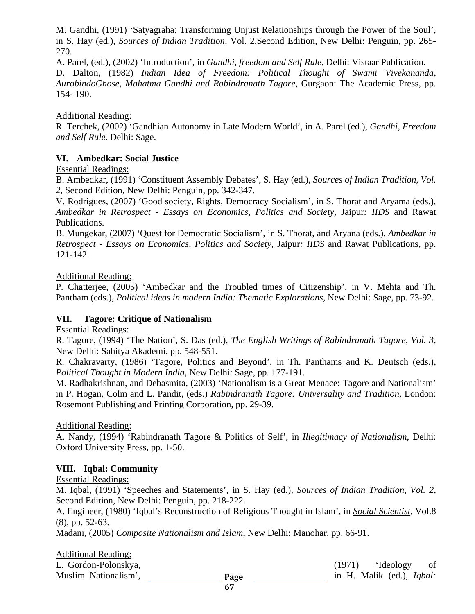M. Gandhi, (1991) 'Satyagraha: Transforming Unjust Relationships through the Power of the Soul', in S. Hay (ed.), *Sources of Indian Tradition,* Vol. 2.Second Edition, New Delhi: Penguin, pp. 265- 270.

A. Parel, (ed.), (2002) 'Introduction', in *Gandhi, freedom and Self Rule,* Delhi: Vistaar Publication. D. Dalton, (1982) *Indian Idea of Freedom: Political Thought of Swami Vivekananda, AurobindoGhose, Mahatma Gandhi and Rabindranath Tagore,* Gurgaon: The Academic Press, pp. 154- 190.

Additional Reading:

R. Terchek, (2002) 'Gandhian Autonomy in Late Modern World', in A. Parel (ed.), *Gandhi, Freedom and Self Rule*. Delhi: Sage.

# **VI. Ambedkar: Social Justice**

Essential Readings:

B. Ambedkar, (1991) 'Constituent Assembly Debates', S. Hay (ed.), *Sources of Indian Tradition, Vol. 2,* Second Edition, New Delhi: Penguin, pp. 342-347.

V. Rodrigues, (2007) 'Good society, Rights, Democracy Socialism', in S. Thorat and Aryama (eds.), *Ambedkar in Retrospect - Essays on Economics, Politics and Society,* Jaipur*: IIDS* and Rawat Publications.

B. Mungekar, (2007) 'Quest for Democratic Socialism', in S. Thorat, and Aryana (eds.), *Ambedkar in Retrospect - Essays on Economics, Politics and Society,* Jaipur*: IIDS* and Rawat Publications, pp. 121-142.

# Additional Reading:

P. Chatterjee, (2005) 'Ambedkar and the Troubled times of Citizenship', in V. Mehta and Th. Pantham (eds.), *Political ideas in modern India: Thematic Explorations,* New Delhi: Sage, pp. 73-92.

# **VII. Tagore: Critique of Nationalism**

Essential Readings:

R. Tagore, (1994) 'The Nation', S. Das (ed.), *The English Writings of Rabindranath Tagore*, *Vol. 3*, New Delhi: Sahitya Akademi, pp. 548-551.

R. Chakravarty, (1986) 'Tagore, Politics and Beyond', in Th. Panthams and K. Deutsch (eds.), *Political Thought in Modern India*, New Delhi: Sage, pp. 177-191.

M. Radhakrishnan, and Debasmita, (2003) 'Nationalism is a Great Menace: Tagore and Nationalism' in P. Hogan, Colm and L. Pandit, (eds.) *Rabindranath Tagore: Universality and Tradition,* London: Rosemont Publishing and Printing Corporation, pp. 29-39.

# Additional Reading:

A. Nandy, (1994) 'Rabindranath Tagore & Politics of Self', in *Illegitimacy of Nationalism,* Delhi: Oxford University Press, pp. 1-50.

# **VIII. Iqbal: Community**

Essential Readings:

M. Iqbal, (1991) 'Speeches and Statements', in S. Hay (ed.), *Sources of Indian Tradition, Vol. 2*, Second Edition, New Delhi: Penguin, pp. 218-222.

A. Engineer, (1980) 'Iqbal's Reconstruction of Religious Thought in Islam', in *[Social Scientist](http://www.jstor.org/action/showPublication?journalCode=socialscientist)*, Vol.8 (8), pp. 52-63.

Madani, (2005) *Composite Nationalism and Islam*, New Delhi: Manohar, pp. 66-91.

# Additional Reading:

L. Gordon-Polonskya, (1971) 'Ideology of Muslim Nationalism', **Page have in H. Malik (ed.),** *Iqbal:* **in** H. Malik (ed.), *Iqbal:* **in** H. Malik (ed.), *Iqbal:* **in** H. Malik (ed.), *Iqbal:* **in** H. Malik (ed.), *Iqbal:* **in** H. Malik (ed.), *Iqbal:* **in** H.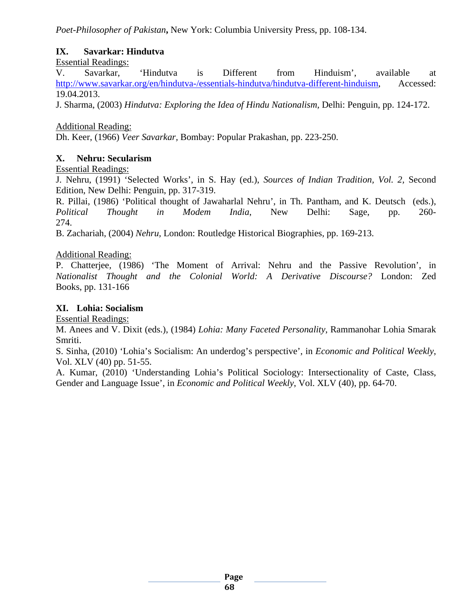*Poet-Philosopher of Pakistan***,** New York: Columbia University Press, pp. 108-134.

# **IX. Savarkar: Hindutva**

Essential Readings:

V. Savarkar, 'Hindutva is Different from Hinduism', available at [http://www.savarkar.org/en/hindutva-/essentials-hindutva/hindutva-different-hinduism,](http://www.savarkar.org/en/hindutva-/essentials-hindutva/hindutva-different-hinduism) Accessed: 19.04.2013.

J. Sharma, (2003) *Hindutva: Exploring the Idea of Hindu Nationalism,* Delhi: Penguin, pp. 124-172.

Additional Reading:

Dh. Keer, (1966) *Veer Savarkar,* Bombay: Popular Prakashan, pp. 223-250.

### **X. Nehru: Secularism**

Essential Readings:

J. Nehru, (1991) 'Selected Works', in S. Hay (ed.), *Sources of Indian Tradition, Vol. 2,* Second Edition, New Delhi: Penguin, pp. 317-319.

R. Pillai, (1986) 'Political thought of Jawaharlal Nehru', in Th. Pantham, and K. Deutsch (eds.), *Political Thought in Modem India*, New Delhi: Sage, pp. 260- 274.

B. Zachariah, (2004) *Nehru,* London: Routledge Historical Biographies, pp. 169-213.

#### Additional Reading:

P. Chatterjee, (1986) 'The Moment of Arrival: Nehru and the Passive Revolution', in *Nationalist Thought and the Colonial World: A Derivative Discourse?* London: Zed Books, pp. 131-166

# **XI. Lohia: Socialism**

Essential Readings:

M. Anees and V. Dixit (eds.), (1984) *Lohia: Many Faceted Personality*, Rammanohar Lohia Smarak Smriti.

S. Sinha, (2010) 'Lohia's Socialism: An underdog's perspective', in *Economic and Political Weekly*, Vol. XLV (40) pp. 51-55.

A. Kumar, (2010) 'Understanding Lohia's Political Sociology: Intersectionality of Caste, Class, Gender and Language Issue', in *Economic and Political Weekly*, Vol. XLV (40), pp. 64-70.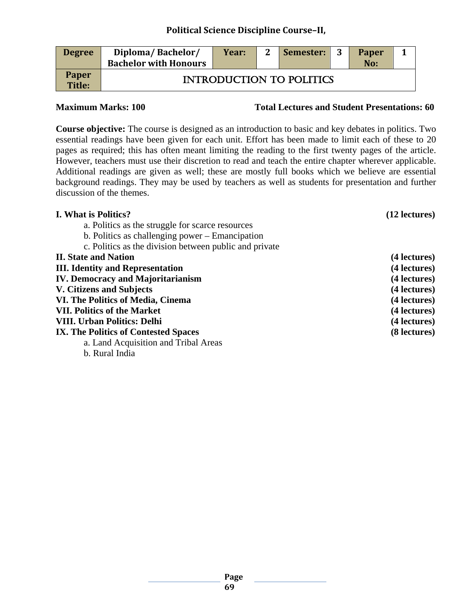| <b>Degree</b>          | Diploma/Bachelor/<br><b>Bachelor with Honours</b> | Year: | Semester:                       | <b>Paper</b><br>No: |  |
|------------------------|---------------------------------------------------|-------|---------------------------------|---------------------|--|
| <b>Paper</b><br>Title: |                                                   |       | <b>INTRODUCTION TO POLITICS</b> |                     |  |

**Maximum Marks: 100 Total Lectures and Student Presentations: 60**

**Course objective:** The course is designed as an introduction to basic and key debates in politics. Two essential readings have been given for each unit. Effort has been made to limit each of these to 20 pages as required; this has often meant limiting the reading to the first twenty pages of the article. However, teachers must use their discretion to read and teach the entire chapter wherever applicable. Additional readings are given as well; these are mostly full books which we believe are essential background readings. They may be used by teachers as well as students for presentation and further discussion of the themes.

| I. What is Politics?                                   | (12 lectures) |
|--------------------------------------------------------|---------------|
| a. Politics as the struggle for scarce resources       |               |
| b. Politics as challenging power – Emancipation        |               |
| c. Politics as the division between public and private |               |
| <b>II. State and Nation</b>                            | (4 lectures)  |
| <b>III. Identity and Representation</b>                | (4 lectures)  |
| <b>IV. Democracy and Majoritarianism</b>               | (4 lectures)  |
| <b>V. Citizens and Subjects</b>                        | (4 lectures)  |
| VI. The Politics of Media, Cinema                      | (4 lectures)  |
| <b>VII. Politics of the Market</b>                     | (4 lectures)  |
| <b>VIII. Urban Politics: Delhi</b>                     | (4 lectures)  |
| IX. The Politics of Contested Spaces                   | (8 lectures)  |
| a. Land Acquisition and Tribal Areas                   |               |
| b. Rural India                                         |               |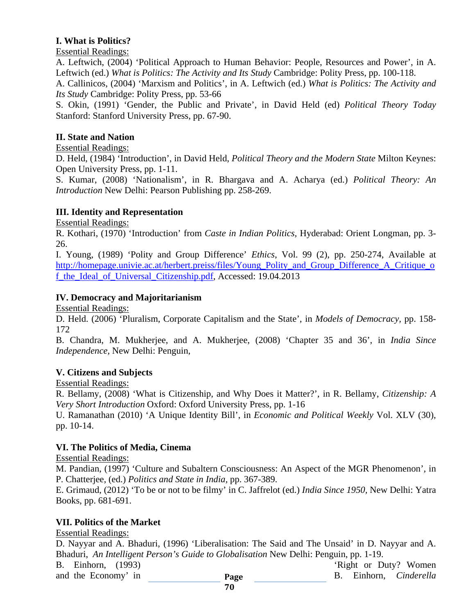# **I. What is Politics?**

Essential Readings:

A. Leftwich, (2004) 'Political Approach to Human Behavior: People, Resources and Power', in A. Leftwich (ed.) *What is Politics: The Activity and Its Study* Cambridge: Polity Press, pp. 100-118. A. Callinicos, (2004) 'Marxism and Politics', in A. Leftwich (ed.) *What is Politics: The Activity and Its Study* Cambridge: Polity Press, pp. 53-66

S. Okin, (1991) 'Gender, the Public and Private', in David Held (ed) *Political Theory Today* Stanford: Stanford University Press, pp. 67-90.

# **II. State and Nation**

# Essential Readings:

D. Held, (1984) 'Introduction', in David Held, *Political Theory and the Modern State* Milton Keynes: Open University Press, pp. 1-11.

S. Kumar, (2008) 'Nationalism', in R. Bhargava and A. Acharya (ed.) *Political Theory: An Introduction* New Delhi: Pearson Publishing pp. 258-269.

# **III. Identity and Representation**

Essential Readings:

R. Kothari, (1970) 'Introduction' from *Caste in Indian Politics,* Hyderabad: Orient Longman, pp. 3- 26.

I. Young, (1989) 'Polity and Group Difference' *Ethics*, Vol. 99 (2), pp. 250-274, Available at [http://homepage.univie.ac.at/herbert.preiss/files/Young\\_Polity\\_and\\_Group\\_Difference\\_A\\_Critique\\_o](http://homepage.univie.ac.at/herbert.preiss/files/Young_Polity_and_Group_Difference_A_Critique_of_the_Ideal_of_Universal_Citizenship.pdf) f the Ideal of Universal Citizenship.pdf, Accessed: 19.04.2013

# **IV. Democracy and Majoritarianism**

Essential Readings:

D. Held. (2006) 'Pluralism, Corporate Capitalism and the State', in *Models of Democracy,* pp. 158- 172

B. Chandra, M. Mukherjee, and A. Mukherjee, (2008) 'Chapter 35 and 36', in *India Since Independence,* New Delhi: Penguin,

# **V. Citizens and Subjects**

Essential Readings:

R. Bellamy, (2008) 'What is Citizenship, and Why Does it Matter?', in R. Bellamy, *Citizenship: A Very Short Introduction* Oxford: Oxford University Press, pp. 1-16

U. Ramanathan (2010) 'A Unique Identity Bill', in *Economic and Political Weekly* Vol. XLV (30), pp. 10-14.

# **VI. The Politics of Media, Cinema**

# Essential Readings:

M. Pandian, (1997) 'Culture and Subaltern Consciousness: An Aspect of the MGR Phenomenon', in P. Chatterjee, (ed.) *Politics and State in India,* pp. 367-389.

E. Grimaud, (2012) 'To be or not to be filmy' in C. Jaffrelot (ed.) *India Since 1950,* New Delhi: Yatra Books, pp. 681-691.

# **VII. Politics of the Market**

Essential Readings:

D. Nayyar and A. Bhaduri, (1996) 'Liberalisation: The Said and The Unsaid' in D. Nayyar and A. Bhaduri, *An Intelligent Person's Guide to Globalisation* New Delhi: Penguin, pp. 1-19.

B. Einhorn, (1993) 'Right or Duty? Women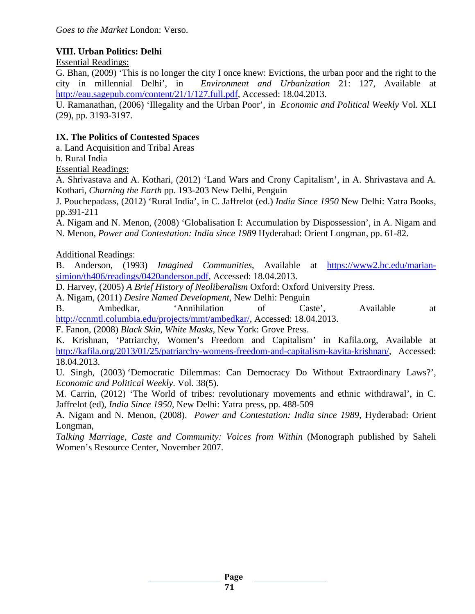# **VIII. Urban Politics: Delhi**

Essential Readings:

G. Bhan, (2009) 'This is no longer the city I once knew: Evictions, the urban poor and the right to the city in millennial Delhi', in *Environment and Urbanization* 21: 127, Available at [http://eau.sagepub.com/content/21/1/127.full.pdf,](http://eau.sagepub.com/content/21/1/127.full.pdf) Accessed: 18.04.2013.

U. Ramanathan, (2006) 'Illegality and the Urban Poor', in *Economic and Political Weekly* Vol. XLI (29), pp. 3193-3197.

# **IX. The Politics of Contested Spaces**

a. Land Acquisition and Tribal Areas

b. Rural India

Essential Readings:

A. Shrivastava and A. Kothari, (2012) 'Land Wars and Crony Capitalism', in A. Shrivastava and A. Kothari, *Churning the Earth* pp. 193-203 New Delhi, Penguin

J. Pouchepadass, (2012) 'Rural India', in C. Jaffrelot (ed.) *India Since 1950* New Delhi: Yatra Books, pp.391-211

A. Nigam and N. Menon, (2008) 'Globalisation I: Accumulation by Dispossession', in A. Nigam and N. Menon, *Power and Contestation: India since 1989* Hyderabad: Orient Longman, pp. 61-82.

Additional Readings:

B. Anderson, (1993) *Imagined Communities*, Available at [https://www2.bc.edu/marian](https://www2.bc.edu/marian-simion/th406/readings/0420anderson.pdf)[simion/th406/readings/0420anderson.pdf,](https://www2.bc.edu/marian-simion/th406/readings/0420anderson.pdf) Accessed: 18.04.2013.

D. Harvey, (2005) *A Brief History of Neoliberalism* Oxford: Oxford University Press.

A. Nigam, (2011) *Desire Named Development,* New Delhi: Penguin

B. Ambedkar, 'Annihilation of Caste', Available at [http://ccnmtl.columbia.edu/projects/mmt/ambedkar/,](http://ccnmtl.columbia.edu/projects/mmt/ambedkar/) Accessed: 18.04.2013.

F. Fanon, (2008) *Black Skin, White Masks,* New York: Grove Press.

K. Krishnan, 'Patriarchy, Women's Freedom and Capitalism' in Kafila.org, Available at [http://kafila.org/2013/01/25/patriarchy-womens-freedom-and-capitalism-kavita-krishnan/,](http://kafila.org/2013/01/25/patriarchy-womens-freedom-and-capitalism-kavita-krishnan/) Accessed: 18.04.2013.

U. Singh, (2003) 'Democratic Dilemmas: Can Democracy Do Without Extraordinary Laws?', *Economic and Political Weekly*. Vol. 38(5).

M. Carrin, (2012) 'The World of tribes: revolutionary movements and ethnic withdrawal', in C. Jaffrelot (ed), *India Since 1950,* New Delhi: Yatra press, pp. 488-509

A. Nigam and N. Menon, (2008). *Power and Contestation: India since 1989,* Hyderabad: Orient Longman,

*Talking Marriage, Caste and Community: Voices from Within* (Monograph published by Saheli Women's Resource Center, November 2007.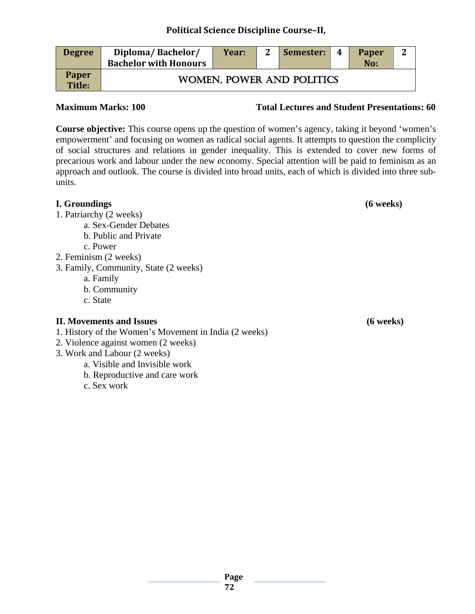| <b>Degree</b>                 | Diploma/Bachelor/<br><b>Bachelor with Honours</b> | Year: | $\mathbf 2$ | Semester:                 | 4 | <b>Paper</b><br>No: | $\mathbf{2}$ |
|-------------------------------|---------------------------------------------------|-------|-------------|---------------------------|---|---------------------|--------------|
| <b>Paper</b><br><b>Title:</b> |                                                   |       |             | WOMEN, POWER AND POLITICS |   |                     |              |

#### **Maximum Marks: 100 Total Lectures and Student Presentations: 60**

**Course objective:** This course opens up the question of women's agency, taking it beyond 'women's empowerment' and focusing on women as radical social agents. It attempts to question the complicity of social structures and relations in gender inequality. This is extended to cover new forms of precarious work and labour under the new economy. Special attention will be paid to feminism as an approach and outlook. The course is divided into broad units, each of which is divided into three subunits.

| I. Groundings                         | $(6$ weeks) |
|---------------------------------------|-------------|
| 1. Patriarchy (2 weeks)               |             |
| a. Sex-Gender Debates                 |             |
| b. Public and Private                 |             |
| c. Power                              |             |
| 2. Feminism (2 weeks)                 |             |
| 3. Family, Community, State (2 weeks) |             |
| a. Family                             |             |
| b. Community                          |             |

c. State

# **II. Movements and Issues (6 weeks)**

- 1. History of the Women's Movement in India (2 weeks)
- 2. Violence against women (2 weeks)
- 3. Work and Labour (2 weeks)
	- a. Visible and Invisible work
	- b. Reproductive and care work
	- c. Sex work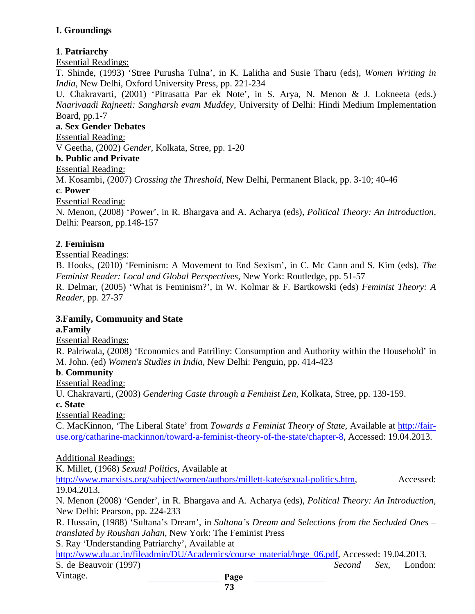# **I. Groundings**

# **1**. **Patriarchy**

#### Essential Readings:

T. Shinde, (1993) 'Stree Purusha Tulna', in K. Lalitha and Susie Tharu (eds), *Women Writing in India,* New Delhi, Oxford University Press, pp. 221-234

U. Chakravarti, (2001) 'Pitrasatta Par ek Note', in S. Arya, N. Menon & J. Lokneeta (eds.) *Naarivaadi Rajneeti: Sangharsh evam Muddey,* University of Delhi: Hindi Medium Implementation Board, pp.1-7

### **a. Sex Gender Debates**

Essential Reading:

V Geetha, (2002) *Gender,* Kolkata, Stree, pp. 1-20

#### **b. Public and Private**

Essential Reading:

M. Kosambi, (2007) *Crossing the Threshold,* New Delhi, Permanent Black, pp. 3-10; 40-46

#### **c**. **Power**

Essential Reading:

N. Menon, (2008) 'Power', in R. Bhargava and A. Acharya (eds), *Political Theory: An Introduction,*  Delhi: Pearson*,* pp.148-157

#### **2**. **Feminism**

Essential Readings:

B. Hooks, (2010) 'Feminism: A Movement to End Sexism', in C. Mc Cann and S. Kim (eds), *The Feminist Reader: Local and Global Perspectives,* New York: Routledge, pp. 51-57

R. Delmar, (2005) 'What is Feminism?', in W. Kolmar & F. Bartkowski (eds) *Feminist Theory: A Reader,* pp. 27-37

# **3.Family, Community and State**

#### **a.Family**

Essential Readings:

R. Palriwala, (2008) 'Economics and Patriliny: Consumption and Authority within the Household' in M. John. (ed) *Women's Studies in India,* New Delhi: Penguin, pp. 414-423

#### **b**. **Community**

Essential Reading:

U. Chakravarti, (2003) *Gendering Caste through a Feminist Len,* Kolkata, Stree, pp. 139-159.

**c. State**

Essential Reading:

C. MacKinnon, 'The Liberal State' from *Towards a Feminist Theory of State,* Available at [http://fair](http://fair-use.org/catharine-mackinnon/toward-a-feminist-theory-of-the-state/chapter-8)[use.org/catharine-mackinnon/toward-a-feminist-theory-of-the-state/chapter-8,](http://fair-use.org/catharine-mackinnon/toward-a-feminist-theory-of-the-state/chapter-8) Accessed: 19.04.2013.

Additional Readings:

K. Millet, (1968) *Sexual Politics,* Available at

[http://www.marxists.org/subject/women/authors/millett-kate/sexual-politics.htm,](http://www.marxists.org/subject/women/authors/millett-kate/sexual-politics.htm) Accessed: 19.04.2013.

N. Menon (2008) 'Gender', in R. Bhargava and A. Acharya (eds), *Political Theory: An Introduction,*  New Delhi: Pearson, pp. 224-233

R. Hussain, (1988) 'Sultana's Dream', in *Sultana's Dream and Selections from the Secluded Ones – translated by Roushan Jahan,* New York: The Feminist Press

S. Ray 'Understanding Patriarchy', Available at

**Page**  [http://www.du.ac.in/fileadmin/DU/Academics/course\\_material/hrge\\_06.pdf,](http://www.du.ac.in/fileadmin/DU/Academics/course_material/hrge_06.pdf) Accessed: 19.04.2013. S. de Beauvoir (1997) *Second Sex,* London: Vintage.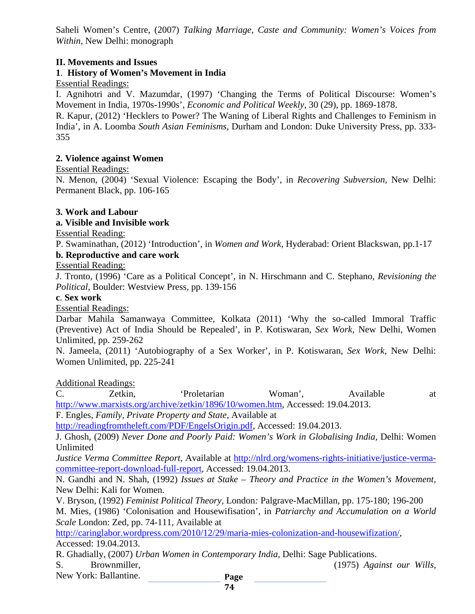Saheli Women's Centre, (2007) *Talking Marriage, Caste and Community: Women's Voices from Within,* New Delhi: monograph

### **II. Movements and Issues**

# **1**. **History of Women's Movement in India**

### Essential Readings:

I. Agnihotri and V. Mazumdar, (1997) 'Changing the Terms of Political Discourse: Women's Movement in India, 1970s-1990s', *Economic and Political Weekly*, 30 (29), pp. 1869-1878.

R. Kapur, (2012) 'Hecklers to Power? The Waning of Liberal Rights and Challenges to Feminism in India', in A. Loomba *South Asian Feminisms,* Durham and London: Duke University Press, pp. 333- 355

#### **2. Violence against Women**

#### Essential Readings:

N. Menon, (2004) 'Sexual Violence: Escaping the Body', in *Recovering Subversion,* New Delhi: Permanent Black, pp. 106-165

#### **3. Work and Labour**

#### **a. Visible and Invisible work**

Essential Reading:

P. Swaminathan, (2012) 'Introduction', in *Women and Work,* Hyderabad: Orient Blackswan, pp.1-17

# **b. Reproductive and care work**

Essential Reading:

J. Tronto, (1996) 'Care as a Political Concept', in N. Hirschmann and C. Stephano, *Revisioning the Political*, Boulder: Westview Press, pp. 139-156

#### **c**. **Sex work**

Essential Readings:

Darbar Mahila Samanwaya Committee, Kolkata (2011) 'Why the so-called Immoral Traffic (Preventive) Act of India Should be Repealed', in P. Kotiswaran, *Sex Work,* New Delhi, Women Unlimited, pp. 259-262

N. Jameela, (2011) 'Autobiography of a Sex Worker', in P. Kotiswaran, *Sex Work,* New Delhi: Women Unlimited, pp. 225-241

Additional Readings:

C. Zetkin, 'Proletarian Woman', Available at [http://www.marxists.org/archive/zetkin/1896/10/women.htm,](http://www.marxists.org/archive/zetkin/1896/10/women.htm) Accessed: 19.04.2013.

F. Engles, *Family, Private Property and State*, Available at

[http://readingfromtheleft.com/PDF/EngelsOrigin.pdf,](http://readingfromtheleft.com/PDF/EngelsOrigin.pdf) Accessed: 19.04.2013.

J. Ghosh, (2009) *Never Done and Poorly Paid: Women's Work in Globalising India,* Delhi: Women Unlimited

*Justice Verma Committee Report,* Available at [http://nlrd.org/womens-rights-initiative/justice-verma](http://nlrd.org/womens-rights-initiative/justice-verma-committee-report-download-full-report)[committee-report-download-full-report,](http://nlrd.org/womens-rights-initiative/justice-verma-committee-report-download-full-report) Accessed: 19.04.2013.

N. Gandhi and N. Shah, (1992) *Issues at Stake – Theory and Practice in the Women's Movement,* New Delhi: Kali for Women.

V. Bryson, (1992) *Feminist Political Theory,* London*:* Palgrave-MacMillan, pp. 175-180; 196-200 M. Mies, (1986) 'Colonisation and Housewifisation', in *Patriarchy and Accumulation on a World Scale* London: Zed, pp. 74-111, Available at

[http://caringlabor.wordpress.com/2010/12/29/maria-mies-colonization-and-housewifization/,](http://caringlabor.wordpress.com/2010/12/29/maria-mies-colonization-and-housewifization/) Accessed: 19.04.2013.

R. Ghadially, (2007) *Urban Women in Contemporary India,* Delhi: Sage Publications.

- 
- S. Brownmiller, (1975) *Against our Wills,*
- New York: Ballantine.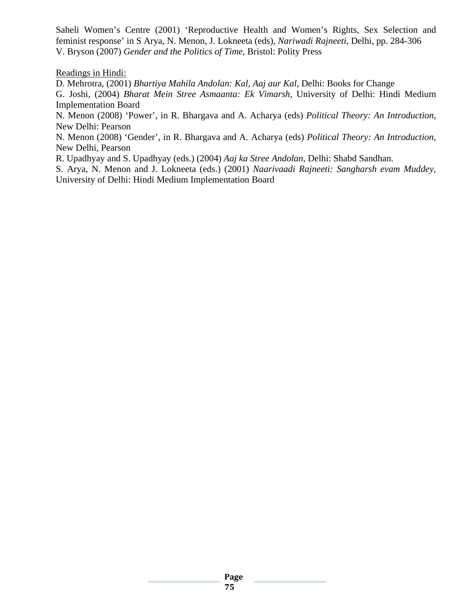Saheli Women's Centre (2001) 'Reproductive Health and Women's Rights, Sex Selection and feminist response' in S Arya, N. Menon, J. Lokneeta (eds), *Nariwadi Rajneeti,* Delhi, pp. 284-306 V. Bryson (2007) *Gender and the Politics of Time,* Bristol: Polity Press

Readings in Hindi:

D. Mehrotra, (2001) *Bhartiya Mahila Andolan: Kal, Aaj aur Kal,* Delhi: Books for Change

G. Joshi, (2004) *Bharat Mein Stree Asmaanta: Ek Vimarsh,* University of Delhi: Hindi Medium Implementation Board

N. Menon (2008) 'Power', in R. Bhargava and A. Acharya (eds) *Political Theory: An Introduction*, New Delhi: Pearson

N. Menon (2008) 'Gender', in R. Bhargava and A. Acharya (eds) *Political Theory: An Introduction,* New Delhi, Pearson

R. Upadhyay and S. Upadhyay (eds.) (2004) *Aaj ka Stree Andolan,* Delhi: Shabd Sandhan.

S. Arya, N. Menon and J. Lokneeta (eds.) (2001) *Naarivaadi Rajneeti: Sangharsh evam Muddey,* University of Delhi: Hindi Medium Implementation Board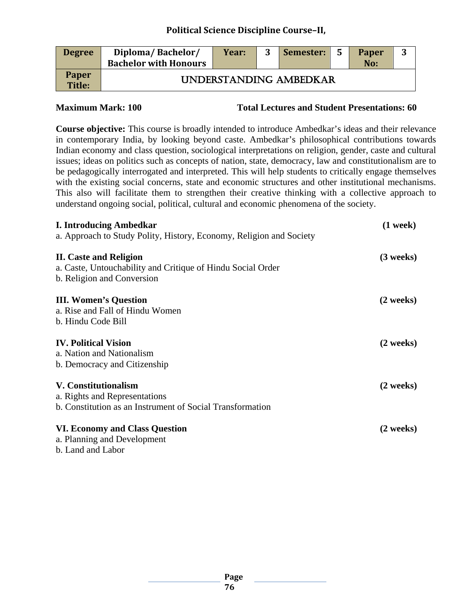### **Political Science Discipline Course–II,**

| <b>Degree</b>          | Diploma/Bachelor/<br><b>Bachelor with Honours</b> | Year: | Semester:              | - 5 | <b>Paper</b><br>No: | 3 |
|------------------------|---------------------------------------------------|-------|------------------------|-----|---------------------|---|
| <b>Paper</b><br>Title: |                                                   |       | UNDERSTANDING AMBEDKAR |     |                     |   |

**Maximum Mark: 100 Total Lectures and Student Presentations: 60**

**Course objective:** This course is broadly intended to introduce Ambedkar's ideas and their relevance in contemporary India, by looking beyond caste. Ambedkar's philosophical contributions towards Indian economy and class question, sociological interpretations on religion, gender, caste and cultural issues; ideas on politics such as concepts of nation, state, democracy, law and constitutionalism are to be pedagogically interrogated and interpreted. This will help students to critically engage themselves with the existing social concerns, state and economic structures and other institutional mechanisms. This also will facilitate them to strengthen their creative thinking with a collective approach to understand ongoing social, political, cultural and economic phenomena of the society.

| <b>I. Introducing Ambedkar</b>                                      | $(1$ week $)$       |
|---------------------------------------------------------------------|---------------------|
| a. Approach to Study Polity, History, Economy, Religion and Society |                     |
| <b>II.</b> Caste and Religion                                       | $(3$ weeks)         |
| a. Caste, Untouchability and Critique of Hindu Social Order         |                     |
| b. Religion and Conversion                                          |                     |
| <b>III. Women's Question</b>                                        | $(2 \text{ weeks})$ |
| a. Rise and Fall of Hindu Women                                     |                     |
| b. Hindu Code Bill                                                  |                     |
| <b>IV. Political Vision</b>                                         | $(2 \text{ weeks})$ |
| a. Nation and Nationalism                                           |                     |
| b. Democracy and Citizenship                                        |                     |
| <b>V. Constitutionalism</b>                                         | $(2 \text{ weeks})$ |
| a. Rights and Representations                                       |                     |
| b. Constitution as an Instrument of Social Transformation           |                     |
| VI. Economy and Class Question                                      | $(2 \text{ weeks})$ |
| a. Planning and Development                                         |                     |
| b. Land and Labor                                                   |                     |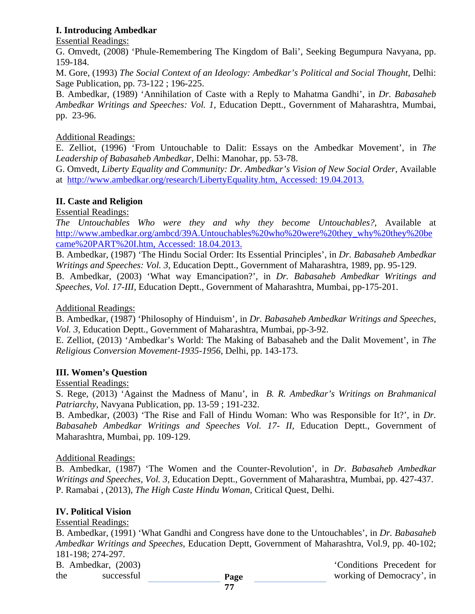### **I. Introducing Ambedkar**

Essential Readings:

G. Omvedt, (2008) 'Phule-Remembering The Kingdom of Bali', Seeking Begumpura Navyana, pp. 159-184.

M. Gore, (1993) *The Social Context of an Ideology: Ambedkar's Political and Social Thought,* Delhi: Sage Publication, pp. 73-122 ; 196-225.

B. Ambedkar, (1989) 'Annihilation of Caste with a Reply to Mahatma Gandhi', in *Dr. Babasaheb Ambedkar Writings and Speeches: Vol. 1*, Education Deptt., Government of Maharashtra, Mumbai, pp. 23-96.

### Additional Readings:

E. Zelliot, (1996) 'From Untouchable to Dalit: Essays on the Ambedkar Movement', in *The Leadership of Babasaheb Ambedkar*, Delhi: Manohar, pp. 53-78.

G. Omvedt, *Liberty Equality and Community: Dr. Ambedkar's Vision of New Social Order*, Available at [http://www.ambedkar.org/research/LibertyEquality.htm,](http://www.ambedkar.org/research/LibertyEquality.htm) Accessed: 19.04.2013.

# **II. Caste and Religion**

Essential Readings:

*The Untouchables Who were they and why they become Untouchables?*, Available at [http://www.ambedkar.org/ambcd/39A.Untouchables%20who%20were%20they\\_why%20they%20be](http://www.ambedkar.org/ambcd/39A.Untouchables%20who%20were%20they_why%20they%20became%20PART%20I.htm) [came%20PART%20I.htm,](http://www.ambedkar.org/ambcd/39A.Untouchables%20who%20were%20they_why%20they%20became%20PART%20I.htm) Accessed: 18.04.2013.

B. Ambedkar, (1987) 'The Hindu Social Order: Its Essential Principles', in *Dr. Babasaheb Ambedkar Writings and Speeches: Vol. 3*, Education Deptt., Government of Maharashtra, 1989, pp. 95-129.

B. Ambedkar, (2003) 'What way Emancipation?', in *Dr. Babasaheb Ambedkar Writings and Speeches, Vol. 17-III*, Education Deptt., Government of Maharashtra, Mumbai, pp-175-201.

Additional Readings:

B. Ambedkar, (1987) 'Philosophy of Hinduism', in *Dr. Babasaheb Ambedkar Writings and Speeches, Vol. 3,* Education Deptt., Government of Maharashtra, Mumbai, pp-3-92.

E. Zelliot, (2013) 'Ambedkar's World: The Making of Babasaheb and the Dalit Movement', in *The Religious Conversion Movement-1935-1956*, Delhi, pp. 143-173.

# **III. Women's Question**

#### Essential Readings:

S. Rege, (2013) 'Against the Madness of Manu', in *B. R. Ambedkar's Writings on Brahmanical Patriarchy*, Navyana Publication, pp. 13-59 ; 191-232.

B. Ambedkar, (2003) 'The Rise and Fall of Hindu Woman: Who was Responsible for It?', in *Dr. Babasaheb Ambedkar Writings and Speeches Vol. 17- II,* Education Deptt., Government of Maharashtra, Mumbai, pp. 109-129.

#### Additional Readings:

B. Ambedkar, (1987) 'The Women and the Counter-Revolution', in *Dr. Babasaheb Ambedkar Writings and Speeches, Vol. 3,* Education Deptt., Government of Maharashtra, Mumbai, pp. 427-437. P. Ramabai , (2013), *The High Caste Hindu Woman,* Critical Quest, Delhi.

#### **IV. Political Vision**

#### Essential Readings:

B. Ambedkar, (1991) 'What Gandhi and Congress have done to the Untouchables', in *Dr. Babasaheb Ambedkar Writings and Speeches*, Education Deptt, Government of Maharashtra, Vol.9, pp. 40-102; 181-198; 274-297.

|     | <b>B.</b> Ambedkar, (2003) |            |
|-----|----------------------------|------------|
| the |                            | successful |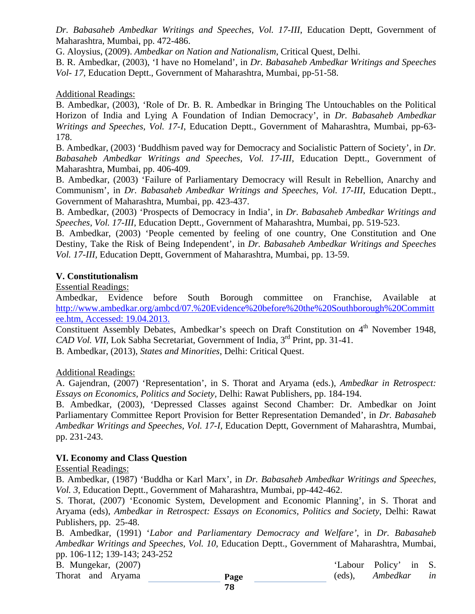*Dr. Babasaheb Ambedkar Writings and Speeches, Vol. 17-III*, Education Deptt, Government of Maharashtra, Mumbai, pp. 472-486.

G. Aloysius, (2009). *Ambedkar on Nation and Nationalism*, Critical Quest, Delhi.

B. R. Ambedkar, (2003), 'I have no Homeland', in *Dr. Babasaheb Ambedkar Writings and Speeches Vol- 17,* Education Deptt., Government of Maharashtra, Mumbai, pp-51-58.

#### Additional Readings:

B. Ambedkar, (2003), 'Role of Dr. B. R. Ambedkar in Bringing The Untouchables on the Political Horizon of India and Lying A Foundation of Indian Democracy', in *Dr. Babasaheb Ambedkar Writings and Speeches, Vol. 17-I*, Education Deptt., Government of Maharashtra, Mumbai, pp-63- 178.

B. Ambedkar, (2003) 'Buddhism paved way for Democracy and Socialistic Pattern of Society', in *Dr. Babasaheb Ambedkar Writings and Speeches, Vol. 17-III*, Education Deptt., Government of Maharashtra, Mumbai, pp. 406-409.

B. Ambedkar, (2003) 'Failure of Parliamentary Democracy will Result in Rebellion, Anarchy and Communism', in *Dr. Babasaheb Ambedkar Writings and Speeches, Vol. 17-III*, Education Deptt., Government of Maharashtra, Mumbai, pp. 423-437.

B. Ambedkar, (2003) 'Prospects of Democracy in India', in *Dr. Babasaheb Ambedkar Writings and Speeches, Vol. 17-III*, Education Deptt., Government of Maharashtra, Mumbai, pp. 519-523.

B. Ambedkar, (2003) 'People cemented by feeling of one country, One Constitution and One Destiny, Take the Risk of Being Independent', in *Dr. Babasaheb Ambedkar Writings and Speeches Vol. 17-III,* Education Deptt, Government of Maharashtra, Mumbai, pp. 13-59.

#### **V. Constitutionalism**

Essential Readings:

Ambedkar, Evidence before South Borough committee on Franchise, Available at [http://www.ambedkar.org/ambcd/07.%20Evidence%20before%20the%20Southborough%20Committ](http://www.ambedkar.org/ambcd/07.%20Evidence%20before%20the%20Southborough%20Committee.htm) [ee.htm,](http://www.ambedkar.org/ambcd/07.%20Evidence%20before%20the%20Southborough%20Committee.htm) Accessed: 19.04.2013.

Constituent Assembly Debates, Ambedkar's speech on Draft Constitution on 4<sup>th</sup> November 1948, *CAD Vol. VII*, Lok Sabha Secretariat, Government of India, 3<sup>rd</sup> Print, pp. 31-41.

B. Ambedkar, (2013), *States and Minorities*, Delhi: Critical Quest.

#### Additional Readings:

A. Gajendran, (2007) 'Representation', in S. Thorat and Aryama (eds.), *Ambedkar in Retrospect: Essays on Economics, Politics and Society,* Delhi: Rawat Publishers, pp. 184-194.

B. Ambedkar, (2003), 'Depressed Classes against Second Chamber: Dr. Ambedkar on Joint Parliamentary Committee Report Provision for Better Representation Demanded', in *Dr. Babasaheb Ambedkar Writings and Speeches, Vol. 17-I,* Education Deptt, Government of Maharashtra, Mumbai, pp. 231-243.

#### **VI. Economy and Class Question**

Essential Readings:

B. Ambedkar, (1987) 'Buddha or Karl Marx', in *Dr. Babasaheb Ambedkar Writings and Speeches, Vol. 3*, Education Deptt., Government of Maharashtra, Mumbai, pp-442-462.

S. Thorat, (2007) 'Economic System, Development and Economic Planning', in S. Thorat and Aryama (eds), *Ambedkar in Retrospect: Essays on Economics, Politics and Society*, Delhi: Rawat Publishers, pp. 25-48.

B. Ambedkar, (1991) '*Labor and Parliamentary Democracy and Welfare'*, in *Dr. Babasaheb Ambedkar Writings and Speeches, Vol. 10,* Education Deptt., Government of Maharashtra, Mumbai, pp. 106-112; 139-143; 243-252

B. Mungekar, (2007) 'Labour Policy' in S.

Thorat and Aryama **Page Page** (eds), *Ambedkar in*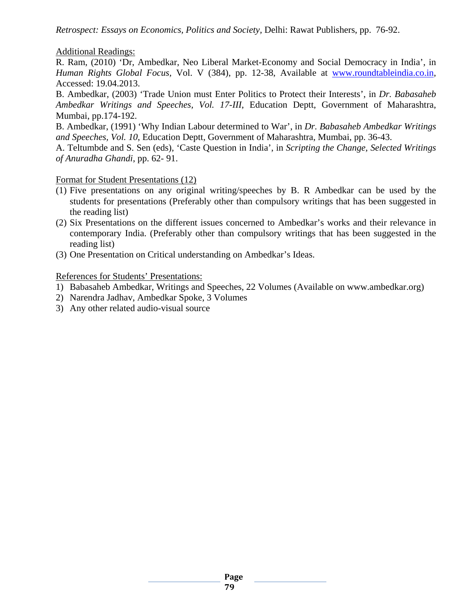*Retrospect: Essays on Economics, Politics and Society,* Delhi: Rawat Publishers, pp. 76-92.

#### Additional Readings:

R. Ram, (2010) 'Dr, Ambedkar, Neo Liberal Market-Economy and Social Democracy in India', in *Human Rights Global Focus,* Vol. V (384), pp. 12-38, Available at [www.roundtableindia.co.in,](http://www.roundtableindia.co.in/) Accessed: 19.04.2013.

B. Ambedkar, (2003) 'Trade Union must Enter Politics to Protect their Interests', in *Dr. Babasaheb Ambedkar Writings and Speeches, Vol. 17-III*, Education Deptt, Government of Maharashtra, Mumbai, pp.174-192.

B. Ambedkar, (1991) 'Why Indian Labour determined to War', in *Dr. Babasaheb Ambedkar Writings and Speeches, Vol. 10*, Education Deptt, Government of Maharashtra, Mumbai, pp. 36-43.

A. Teltumbde and S. Sen (eds), 'Caste Question in India', in *Scripting the Change, Selected Writings of Anuradha Ghandi*, pp. 62- 91.

#### Format for Student Presentations (12)

- (1) Five presentations on any original writing/speeches by B. R Ambedkar can be used by the students for presentations (Preferably other than compulsory writings that has been suggested in the reading list)
- (2) Six Presentations on the different issues concerned to Ambedkar's works and their relevance in contemporary India. (Preferably other than compulsory writings that has been suggested in the reading list)
- (3) One Presentation on Critical understanding on Ambedkar's Ideas.

References for Students' Presentations:

- 1) Babasaheb Ambedkar, Writings and Speeches, 22 Volumes (Available on www.ambedkar.org)
- 2) Narendra Jadhav, Ambedkar Spoke, 3 Volumes
- 3) Any other related audio-visual source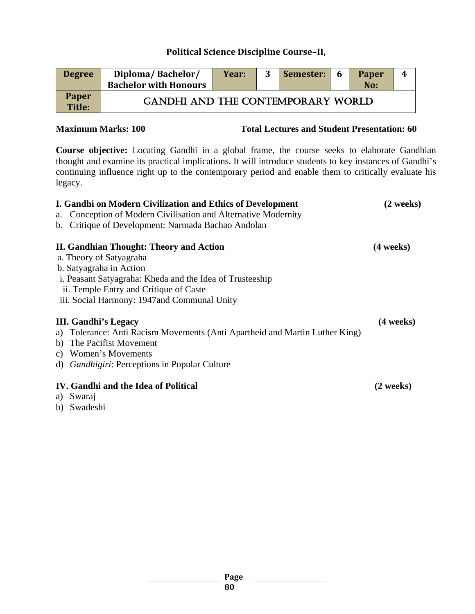# **Political Science Discipline Course–II,**

| <b>Degree</b>                 | Diploma/Bachelor/<br><b>Bachelor with Honours</b> | Year: | Semester: | -6 | <b>Paper</b><br>No: | Δ. |
|-------------------------------|---------------------------------------------------|-------|-----------|----|---------------------|----|
| <b>Paper</b><br><b>Title:</b> | <b>GANDHI AND THE CONTEMPORARY WORLD</b>          |       |           |    |                     |    |

**Maximum Marks: 100 Total Lectures and Student Presentation: 60**

**Course objective:** Locating Gandhi in a global frame, the course seeks to elaborate Gandhian thought and examine its practical implications. It will introduce students to key instances of Gandhi's continuing influence right up to the contemporary period and enable them to critically evaluate his legacy.

| I. Gandhi on Modern Civilization and Ethics of Development<br>Conception of Modern Civilisation and Alternative Modernity<br>a. | (2 weeks)           |
|---------------------------------------------------------------------------------------------------------------------------------|---------------------|
| Critique of Development: Narmada Bachao Andolan<br>b.                                                                           |                     |
| II. Gandhian Thought: Theory and Action                                                                                         | (4 weeks)           |
| a. Theory of Satyagraha                                                                                                         |                     |
| b. Satyagraha in Action                                                                                                         |                     |
| i. Peasant Satyagraha: Kheda and the Idea of Trusteeship                                                                        |                     |
| ii. Temple Entry and Critique of Caste                                                                                          |                     |
| iii. Social Harmony: 1947and Communal Unity                                                                                     |                     |
| <b>III.</b> Gandhi's Legacy                                                                                                     | $(4 \text{ weeks})$ |
| a) Tolerance: Anti Racism Movements (Anti Apartheid and Martin Luther King)                                                     |                     |
| b) The Pacifist Movement                                                                                                        |                     |
| Women's Movements<br>C)                                                                                                         |                     |
| d) <i>Gandhigiri</i> : Perceptions in Popular Culture                                                                           |                     |
| IV. Gandhi and the Idea of Political                                                                                            | (2 weeks)           |
| a) Swaraj                                                                                                                       |                     |
| b) Swadeshi                                                                                                                     |                     |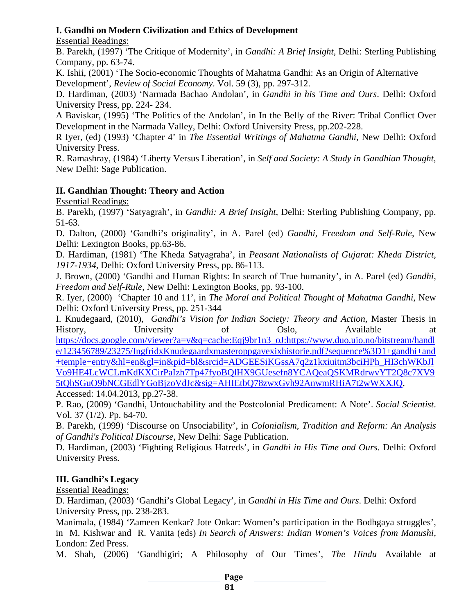### **I. Gandhi on Modern Civilization and Ethics of Development**

Essential Readings:

B. Parekh, (1997) 'The Critique of Modernity', in *Gandhi: A Brief Insight,* Delhi: Sterling Publishing Company, pp. 63-74.

K. Ishii, (2001) 'The Socio-economic Thoughts of Mahatma Gandhi: As an Origin of Alternative Development', *Review of Social Economy*. Vol. 59 (3), pp. 297-312.

D. Hardiman, (2003) 'Narmada Bachao Andolan', in *Gandhi in his Time and Ours*. Delhi: Oxford University Press, pp. 224- 234.

A Baviskar, (1995) 'The Politics of the Andolan', in In the Belly of the River: Tribal Conflict Over Development in the Narmada Valley, Delhi: Oxford University Press, pp.202-228.

R Iyer, (ed) (1993) 'Chapter 4' in *The Essential Writings of Mahatma Gandhi*, New Delhi: Oxford University Press.

R. Ramashray, (1984) 'Liberty Versus Liberation', in *Self and Society: A Study in Gandhian Thought*, New Delhi: Sage Publication.

# **II. Gandhian Thought: Theory and Action**

Essential Readings:

B. Parekh, (1997) 'Satyagrah', in *Gandhi: A Brief Insight,* Delhi: Sterling Publishing Company, pp. 51-63.

D. Dalton, (2000) 'Gandhi's originality', in A. Parel (ed) *Gandhi, Freedom and Self-Rule*, New Delhi: Lexington Books, pp.63-86.

D. Hardiman, (1981) 'The Kheda Satyagraha', in *Peasant Nationalists of Gujarat: Kheda District, 1917-1934*, Delhi: Oxford University Press, pp. 86-113.

J. Brown, (2000) 'Gandhi and Human Rights: In search of True humanity', in A. Parel (ed) *Gandhi, Freedom and Self-Rule*, New Delhi: Lexington Books, pp. 93-100.

R. Iyer, (2000) 'Chapter 10 and 11', in *The Moral and Political Thought of Mahatma Gandhi*, New Delhi: Oxford University Press, pp. 251-344

I. Knudegaard, (2010), *Gandhi's Vision for Indian Society: Theory and Action,* Master Thesis in History, University of Oslo, Available at

[https://docs.google.com/viewer?a=v&q=cache:Eqj9br1n3\\_oJ:https://www.duo.uio.no/bitstream/handl](https://docs.google.com/viewer?a=v&q=cache:Eqj9br1n3_oJ:https://www.duo.uio.no/bitstream/handle/123456789/23275/IngfridxKnudegaardxmasteroppgavexixhistorie.pdf?sequence%3D1+gandhi+and+temple+entry&hl=en&gl=in&pid=bl&srcid=ADGEESiKGssA7q2z1kxiuitm3bciHPh_HI3chWKbJlVo9HE4LcWCLmKdKXCirPaIzh7Tp47fyoBQlHX9GUesefn8YCAQeaQSKMRdrwvYT2Q8c7XV95tQhSGuO9bNCGEdlYGoBjzoVdJc&sig=AHIEtbQ78zwxGvh92AnwmRHiA7t2wWXXJQ) [e/123456789/23275/IngfridxKnudegaardxmasteroppgavexixhistorie.pdf?sequence%3D1+gandhi+and](https://docs.google.com/viewer?a=v&q=cache:Eqj9br1n3_oJ:https://www.duo.uio.no/bitstream/handle/123456789/23275/IngfridxKnudegaardxmasteroppgavexixhistorie.pdf?sequence%3D1+gandhi+and+temple+entry&hl=en&gl=in&pid=bl&srcid=ADGEESiKGssA7q2z1kxiuitm3bciHPh_HI3chWKbJlVo9HE4LcWCLmKdKXCirPaIzh7Tp47fyoBQlHX9GUesefn8YCAQeaQSKMRdrwvYT2Q8c7XV95tQhSGuO9bNCGEdlYGoBjzoVdJc&sig=AHIEtbQ78zwxGvh92AnwmRHiA7t2wWXXJQ) [+temple+entry&hl=en&gl=in&pid=bl&srcid=ADGEESiKGssA7q2z1kxiuitm3bciHPh\\_HI3chWKbJl](https://docs.google.com/viewer?a=v&q=cache:Eqj9br1n3_oJ:https://www.duo.uio.no/bitstream/handle/123456789/23275/IngfridxKnudegaardxmasteroppgavexixhistorie.pdf?sequence%3D1+gandhi+and+temple+entry&hl=en&gl=in&pid=bl&srcid=ADGEESiKGssA7q2z1kxiuitm3bciHPh_HI3chWKbJlVo9HE4LcWCLmKdKXCirPaIzh7Tp47fyoBQlHX9GUesefn8YCAQeaQSKMRdrwvYT2Q8c7XV95tQhSGuO9bNCGEdlYGoBjzoVdJc&sig=AHIEtbQ78zwxGvh92AnwmRHiA7t2wWXXJQ) [Vo9HE4LcWCLmKdKXCirPaIzh7Tp47fyoBQlHX9GUesefn8YCAQeaQSKMRdrwvYT2Q8c7XV9](https://docs.google.com/viewer?a=v&q=cache:Eqj9br1n3_oJ:https://www.duo.uio.no/bitstream/handle/123456789/23275/IngfridxKnudegaardxmasteroppgavexixhistorie.pdf?sequence%3D1+gandhi+and+temple+entry&hl=en&gl=in&pid=bl&srcid=ADGEESiKGssA7q2z1kxiuitm3bciHPh_HI3chWKbJlVo9HE4LcWCLmKdKXCirPaIzh7Tp47fyoBQlHX9GUesefn8YCAQeaQSKMRdrwvYT2Q8c7XV95tQhSGuO9bNCGEdlYGoBjzoVdJc&sig=AHIEtbQ78zwxGvh92AnwmRHiA7t2wWXXJQ) [5tQhSGuO9bNCGEdlYGoBjzoVdJc&sig=AHIEtbQ78zwxGvh92AnwmRHiA7t2wWXXJQ,](https://docs.google.com/viewer?a=v&q=cache:Eqj9br1n3_oJ:https://www.duo.uio.no/bitstream/handle/123456789/23275/IngfridxKnudegaardxmasteroppgavexixhistorie.pdf?sequence%3D1+gandhi+and+temple+entry&hl=en&gl=in&pid=bl&srcid=ADGEESiKGssA7q2z1kxiuitm3bciHPh_HI3chWKbJlVo9HE4LcWCLmKdKXCirPaIzh7Tp47fyoBQlHX9GUesefn8YCAQeaQSKMRdrwvYT2Q8c7XV95tQhSGuO9bNCGEdlYGoBjzoVdJc&sig=AHIEtbQ78zwxGvh92AnwmRHiA7t2wWXXJQ) Accessed: 14.04.2013, pp.27-38.

P. Rao, (2009) 'Gandhi, Untouchability and the Postcolonial Predicament: A Note'. *Social Scientist*. Vol. 37 (1/2). Pp. 64-70.

B. Parekh, (1999) 'Discourse on Unsociability', in *Colonialism, Tradition and Reform: An Analysis of Gandhi's Political Discourse*, New Delhi: Sage Publication.

D. Hardiman, (2003) 'Fighting Religious Hatreds', in *Gandhi in His Time and Ours*. Delhi: Oxford University Press.

# **III. Gandhi's Legacy**

Essential Readings:

D. Hardiman, (2003) 'Gandhi's Global Legacy', in *Gandhi in His Time and Ours*. Delhi: Oxford University Press, pp. 238-283.

Manimala, (1984) 'Zameen Kenkar? Jote Onkar: Women's participation in the Bodhgaya struggles', in M. Kishwar and R. Vanita (eds) *In Search of Answers: Indian Women's Voices from Manushi,* London: Zed Press.

M. Shah, (2006) 'Gandhigiri; A Philosophy of Our Times', *The Hindu* Available at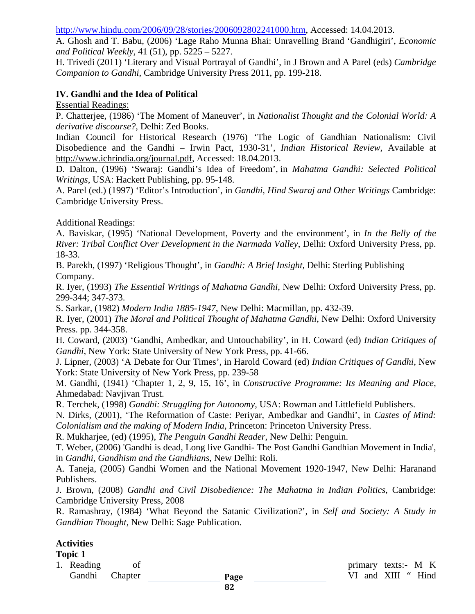[http://www.hindu.com/2006/09/28/stories/2006092802241000.htm,](http://www.hindu.com/2006/09/28/stories/2006092802241000.htm) Accessed: 14.04.2013.

A. Ghosh and T. Babu, (2006) 'Lage Raho Munna Bhai: Unravelling Brand 'Gandhigiri', *Economic and Political Weekly,* 41 (51), pp. 5225 – 5227.

H. Trivedi (2011) 'Literary and Visual Portrayal of Gandhi', in J Brown and A Parel (eds) *Cambridge Companion to Gandhi*, Cambridge University Press 2011, pp. 199-218.

#### **IV. Gandhi and the Idea of Political**

Essential Readings:

P. Chatterjee, (1986) 'The Moment of Maneuver', in *Nationalist Thought and the Colonial World: A derivative discourse?*, Delhi: Zed Books.

Indian Council for Historical Research (1976) 'The Logic of Gandhian Nationalism: Civil Disobedience and the Gandhi – Irwin Pact, 1930-31', *Indian Historical Review*, Available at [http://www.ichrindia.org/journal.pdf,](http://www.ichrindia.org/journal.pdf) Accessed: 18.04.2013.

D. Dalton, (1996) 'Swaraj: Gandhi's Idea of Freedom', in *Mahatma Gandhi: Selected Political Writings*, USA: Hackett Publishing, pp. 95-148.

A. Parel (ed.) (1997) 'Editor's Introduction', in *Gandhi, Hind Swaraj and Other Writings* Cambridge: Cambridge University Press.

#### Additional Readings:

A. Baviskar, (1995) 'National Development, Poverty and the environment', in *In the Belly of the River: Tribal Conflict Over Development in the Narmada Valley*, Delhi: Oxford University Press, pp. 18-33.

B. Parekh, (1997) 'Religious Thought', in *Gandhi: A Brief Insight,* Delhi: Sterling Publishing Company.

R. Iyer, (1993) *The Essential Writings of Mahatma Gandhi*, New Delhi: Oxford University Press, pp. 299-344; 347-373.

S. Sarkar, (1982) *Modern India 1885-1947*, New Delhi: Macmillan, pp. 432-39.

R. Iyer, (2001) *The Moral and Political Thought of Mahatma Gandhi*, New Delhi: Oxford University Press. pp. 344-358.

H. Coward, (2003) 'Gandhi, Ambedkar, and Untouchability', in H. Coward (ed) *Indian Critiques of Gandhi,* New York: State University of New York Press, pp. 41-66.

J. Lipner, (2003) 'A Debate for Our Times', in Harold Coward (ed) *Indian Critiques of Gandhi,* New York: State University of New York Press, pp. 239-58

M. Gandhi, (1941) 'Chapter 1, 2, 9, 15, 16', in *Constructive Programme: Its Meaning and Place*, Ahmedabad: Navjivan Trust.

R. Terchek, (1998) *Gandhi: Struggling for Autonomy*, USA: Rowman and Littlefield Publishers.

N. Dirks, (2001), 'The Reformation of Caste: Periyar, Ambedkar and Gandhi', in *Castes of Mind: Colonialism and the making of Modern India*, Princeton: Princeton University Press.

R. Mukharjee, (ed) (1995), *The Penguin Gandhi Reader*, New Delhi: Penguin.

T. Weber, (2006) 'Gandhi is dead, Long live Gandhi- The Post Gandhi Gandhian Movement in India', in *Gandhi, Gandhism and the Gandhians*, New Delhi: Roli.

A. Taneja, (2005) Gandhi Women and the National Movement 1920-1947, New Delhi: Haranand Publishers.

J. Brown, (2008) *Gandhi and Civil Disobedience: The Mahatma in Indian Politics*, Cambridge: Cambridge University Press, 2008

R. Ramashray, (1984) 'What Beyond the Satanic Civilization?', in *Self and Society: A Study in Gandhian Thought*, New Delhi: Sage Publication.

# **Activities**

### **Topic 1**

**Page**  1. Reading of primary texts:- M K Gandhi Chapter **Page** VI and XIII " Hind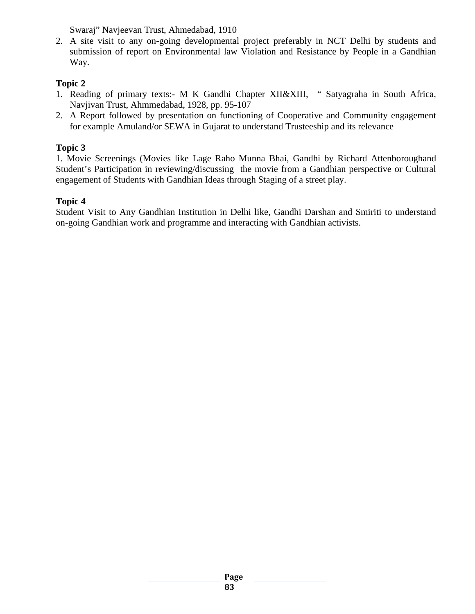Swaraj" Navjeevan Trust, Ahmedabad, 1910

2. A site visit to any on-going developmental project preferably in NCT Delhi by students and submission of report on Environmental law Violation and Resistance by People in a Gandhian Way*.*

# **Topic 2**

- 1. Reading of primary texts:- M K Gandhi Chapter XII&XIII, " Satyagraha in South Africa, Navjivan Trust, Ahmmedabad, 1928, pp. 95-107
- 2. A Report followed by presentation on functioning of Cooperative and Community engagement for example Amuland/or SEWA in Gujarat to understand Trusteeship and its relevance

# **Topic 3**

1. Movie Screenings (Movies like Lage Raho Munna Bhai, Gandhi by Richard Attenboroughand Student's Participation in reviewing/discussing the movie from a Gandhian perspective or Cultural engagement of Students with Gandhian Ideas through Staging of a street play.

# **Topic 4**

Student Visit to Any Gandhian Institution in Delhi like, Gandhi Darshan and Smiriti to understand on-going Gandhian work and programme and interacting with Gandhian activists.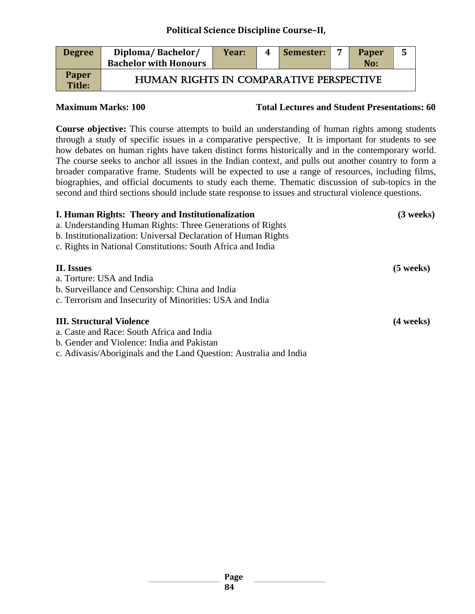### **Political Science Discipline Course–II,**

| <b>Degree</b>          | Diploma/Bachelor/<br><b>Bachelor with Honours</b> | Year: | 4 | Semester: | Paper<br>No: | 5 |
|------------------------|---------------------------------------------------|-------|---|-----------|--------------|---|
| <b>Paper</b><br>Title: | HUMAN RIGHTS IN COMPARATIVE PERSPECTIVE           |       |   |           |              |   |

**Maximum Marks: 100 Total Lectures and Student Presentations: 60** 

**Course objective:** This course attempts to build an understanding of human rights among students through a study of specific issues in a comparative perspective. It is important for students to see how debates on human rights have taken distinct forms historically and in the contemporary world. The course seeks to anchor all issues in the Indian context, and pulls out another country to form a broader comparative frame. Students will be expected to use a range of resources, including films, biographies, and official documents to study each theme. Thematic discussion of sub-topics in the second and third sections should include state response to issues and structural violence questions.

| I. Human Rights: Theory and Institutionalization                   | $(3$ weeks) |
|--------------------------------------------------------------------|-------------|
| a. Understanding Human Rights: Three Generations of Rights         |             |
| b. Institutionalization: Universal Declaration of Human Rights     |             |
| c. Rights in National Constitutions: South Africa and India        |             |
| II. Issues                                                         | $(5$ weeks) |
| a. Torture: USA and India                                          |             |
| b. Surveillance and Censorship: China and India                    |             |
| c. Terrorism and Insecurity of Minorities: USA and India           |             |
| <b>III. Structural Violence</b>                                    | (4 weeks)   |
| a. Caste and Race: South Africa and India                          |             |
| b. Gender and Violence: India and Pakistan                         |             |
| c. Adivasis/Aboriginals and the Land Question: Australia and India |             |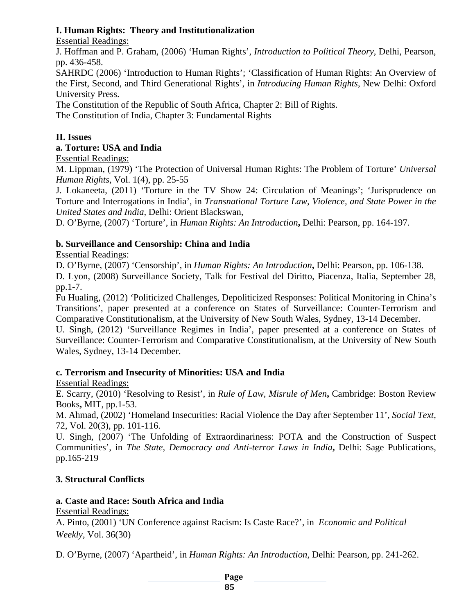### **I. Human Rights: Theory and Institutionalization**

Essential Readings:

J. Hoffman and P. Graham, (2006) 'Human Rights', *Introduction to Political Theory*, Delhi, Pearson, pp. 436-458.

SAHRDC (2006) 'Introduction to Human Rights'; 'Classification of Human Rights: An Overview of the First, Second, and Third Generational Rights', in *Introducing Human Rights*, New Delhi: Oxford University Press.

The Constitution of the Republic of South Africa, Chapter 2: Bill of Rights.

The Constitution of India, Chapter 3: Fundamental Rights

### **II. Issues**

### **a. Torture: USA and India**

Essential Readings:

M. Lippman, (1979) 'The Protection of Universal Human Rights: The Problem of Torture' *Universal Human Rights*, Vol. 1(4), pp. 25-55

J. Lokaneeta, (2011) 'Torture in the TV Show 24: Circulation of Meanings'; 'Jurisprudence on Torture and Interrogations in India', in *Transnational Torture Law, Violence, and State Power in the United States and India,* Delhi: Orient Blackswan,

D. O'Byrne, (2007) 'Torture', in *Human Rights: An Introduction***,** Delhi: Pearson, pp. 164-197.

### **b. Surveillance and Censorship: China and India**

#### Essential Readings:

D. O'Byrne, (2007) 'Censorship', in *Human Rights: An Introduction***,** Delhi: Pearson, pp. 106-138.

D. Lyon, (2008) Surveillance Society, Talk for Festival del Diritto, Piacenza, Italia, September 28, pp.1-7.

Fu Hualing, (2012) 'Politicized Challenges, Depoliticized Responses: Political Monitoring in China's Transitions', paper presented at a conference on States of Surveillance: Counter-Terrorism and Comparative Constitutionalism, at the University of New South Wales, Sydney, 13-14 December.

U. Singh, (2012) 'Surveillance Regimes in India', paper presented at a conference on States of Surveillance: Counter-Terrorism and Comparative Constitutionalism, at the University of New South Wales, Sydney, 13-14 December.

# **c. Terrorism and Insecurity of Minorities: USA and India**

Essential Readings:

E. Scarry, (2010) 'Resolving to Resist', in *Rule of Law, Misrule of Men***,** Cambridge: Boston Review Books**,** MIT, pp.1-53.

M. Ahmad, (2002) 'Homeland Insecurities: Racial Violence the Day after September 11', *Social Text*, 72, Vol. 20(3), pp. 101-116.

U. Singh, (2007) 'The Unfolding of Extraordinariness: POTA and the Construction of Suspect Communities', in *The State, Democracy and Anti-terror Laws in India***,** Delhi: Sage Publications, pp.165-219

# **3. Structural Conflicts**

# **a. Caste and Race: South Africa and India**

Essential Readings:

A. Pinto, (2001) 'UN Conference against Racism: Is Caste Race?', in *Economic and Political Weekly*, Vol. 36(30)

D. O'Byrne, (2007) 'Apartheid', in *Human Rights: An Introduction,* Delhi: Pearson, pp. 241-262.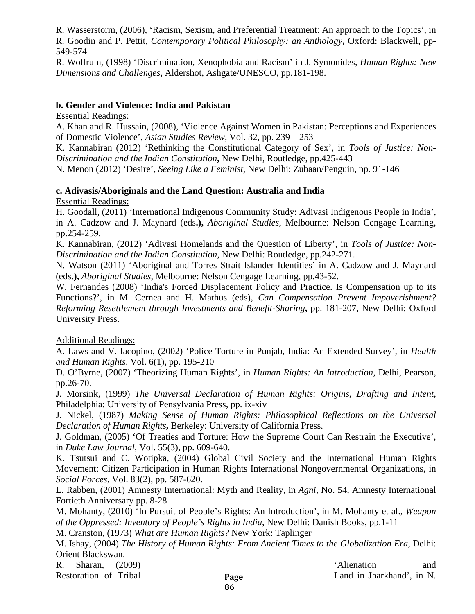R. Wasserstorm, (2006), 'Racism, Sexism, and Preferential Treatment: An approach to the Topics', in R. Goodin and P. Pettit, *Contemporary Political Philosophy: an Anthology***,** Oxford: Blackwell, pp-549-574

R. Wolfrum, (1998) 'Discrimination, Xenophobia and Racism' in J. Symonides, *Human Rights: New Dimensions and Challenges*, Aldershot, Ashgate/UNESCO, pp.181-198.

#### **b. Gender and Violence: India and Pakistan**

Essential Readings:

A. Khan and R. Hussain, (2008), 'Violence Against Women in Pakistan: Perceptions and Experiences of Domestic Violence', *Asian Studies Review*, Vol. 32, pp. 239 – 253

K. Kannabiran (2012) 'Rethinking the Constitutional Category of Sex', in *Tools of Justice: Non-Discrimination and the Indian Constitution***,** New Delhi, Routledge, pp.425-443

N. Menon (2012) 'Desire', *Seeing Like a Feminist*, New Delhi: Zubaan/Penguin, pp. 91-146

#### **c. Adivasis/Aboriginals and the Land Question: Australia and India**

Essential Readings:

H. Goodall, (2011) *'*International Indigenous Community Study: Adivasi Indigenous People in India', in A. Cadzow and J. Maynard (eds**.),** *Aboriginal Studies,* Melbourne: Nelson Cengage Learning, pp.254-259.

K. Kannabiran, (2012) 'Adivasi Homelands and the Question of Liberty', in *Tools of Justice: Non-Discrimination and the Indian Constitution*, New Delhi: Routledge, pp.242-271.

N. Watson (2011) 'Aboriginal and Torres Strait Islander Identities' in A. Cadzow and J. Maynard (eds**.),** *Aboriginal Studies*, Melbourne: Nelson Cengage Learning, pp.43-52.

W. Fernandes (2008) 'India's Forced Displacement Policy and Practice. Is Compensation up to its Functions?', in M. Cernea and H. Mathus (eds), *Can Compensation Prevent Impoverishment? Reforming Resettlement through Investments and Benefit-Sharing***,** pp. 181-207, New Delhi: Oxford University Press.

#### Additional Readings:

A. Laws and V. Iacopino, (2002) 'Police Torture in Punjab, India: An Extended Survey', in *Health and Human Rights,* Vol. 6(1), pp. 195-210

D. O'Byrne, (2007) 'Theorizing Human Rights', in *Human Rights: An Introduction,* Delhi, Pearson, pp.26-70.

J. Morsink, (1999) *The Universal Declaration of Human Rights: Origins, Drafting and Intent*, Philadelphia: University of Pensylvania Press, pp. ix-xiv

J. Nickel, (1987) *Making Sense of Human Rights: Philosophical Reflections on the Universal Declaration of Human Rights***,** Berkeley: University of California Press.

J. Goldman, (2005) 'Of Treaties and Torture: How the Supreme Court Can Restrain the Executive', in *Duke Law Journal*, Vol. 55(3), pp. 609-640.

K. Tsutsui and C. Wotipka, (2004) Global Civil Society and the International Human Rights Movement: Citizen Participation in Human Rights International Nongovernmental Organizations, in *Social Forces*, Vol. 83(2), pp. 587-620.

L. Rabben, (2001) Amnesty International: Myth and Reality, in *Agni*, No. 54, Amnesty International Fortieth Anniversary pp. 8-28

M. Mohanty, (2010) 'In Pursuit of People's Rights: An Introduction', in M. Mohanty et al., *Weapon of the Oppressed: Inventory of People's Rights in India*, New Delhi: Danish Books, pp.1-11

M. Cranston, (1973) *What are Human Rights?* New York: Taplinger

M. Ishay, (2004) *The History of Human Rights: From Ancient Times to the Globalization Era*, Delhi: Orient Blackswan.

R. Sharan, (2009) and the state of the Sharan, and the Sharan, and the Sharan and the Sharan and the Sharan and the Sharan and the Sharan and the Sharan and the Sharan and the Sharan and the Sharan and the Sharan and the S

Restoration of Tribal **Page Land in Jharkhand'**, in N.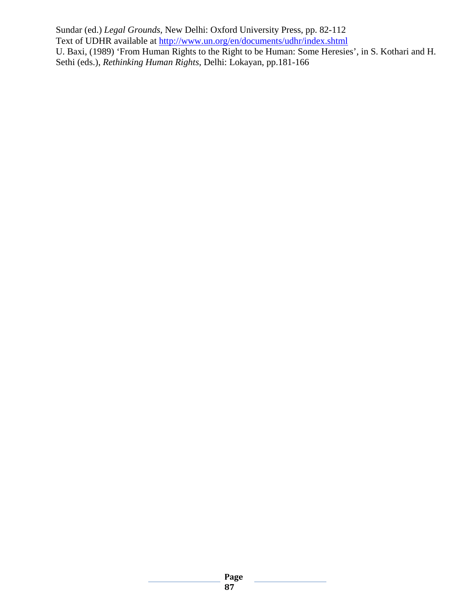Sundar (ed.) *Legal Grounds*, New Delhi: Oxford University Press, pp. 82-112 Text of UDHR available at<http://www.un.org/en/documents/udhr/index.shtml> U. Baxi, (1989) 'From Human Rights to the Right to be Human: Some Heresies', in S. Kothari and H. Sethi (eds.), *Rethinking Human Rights*, Delhi: Lokayan, pp.181-166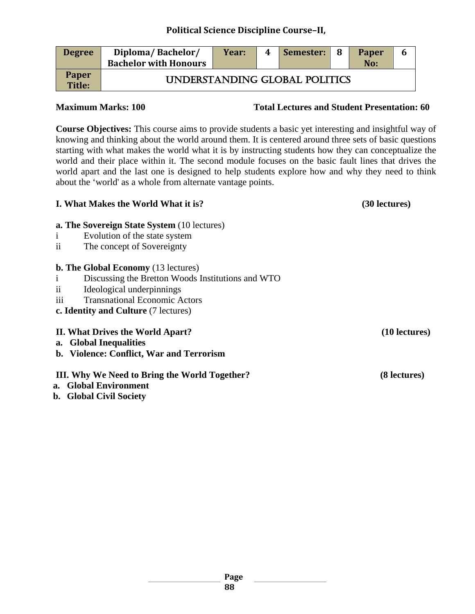### **Political Science Discipline Course–II,**

| <b>Degree</b>                 | Diploma/Bachelor/<br><b>Bachelor with Honours</b> | Year: | 4 | Semester:                     | -8 | <b>Paper</b><br>No: | b |
|-------------------------------|---------------------------------------------------|-------|---|-------------------------------|----|---------------------|---|
| <b>Paper</b><br><b>Title:</b> |                                                   |       |   | UNDERSTANDING GLOBAL POLITICS |    |                     |   |

**Maximum Marks: 100 Total Lectures and Student Presentation: 60**

**Course Objectives:** This course aims to provide students a basic yet interesting and insightful way of knowing and thinking about the world around them. It is centered around three sets of basic questions starting with what makes the world what it is by instructing students how they can conceptualize the world and their place within it. The second module focuses on the basic fault lines that drives the world apart and the last one is designed to help students explore how and why they need to think about the 'world' as a whole from alternate vantage points.

| I. What Makes the World What it is?                               | (30 lectures)   |
|-------------------------------------------------------------------|-----------------|
| <b>a. The Sovereign State System (10 lectures)</b>                |                 |
| Evolution of the state system<br>$\mathbf{1}$                     |                 |
| The concept of Sovereignty<br>11                                  |                 |
| <b>b. The Global Economy</b> (13 lectures)                        |                 |
| Discussing the Bretton Woods Institutions and WTO<br>$\mathbf{1}$ |                 |
| Ideological underpinnings<br>11                                   |                 |
| <b>Transnational Economic Actors</b><br>111                       |                 |
| c. Identity and Culture (7 lectures)                              |                 |
| II. What Drives the World Apart?                                  | $(10$ lectures) |
| a. Global Inequalities                                            |                 |
| b. Violence: Conflict, War and Terrorism                          |                 |
| III. Why We Need to Bring the World Together?                     | (8 lectures)    |
| a. Global Environment                                             |                 |
| <b>b.</b> Global Civil Society                                    |                 |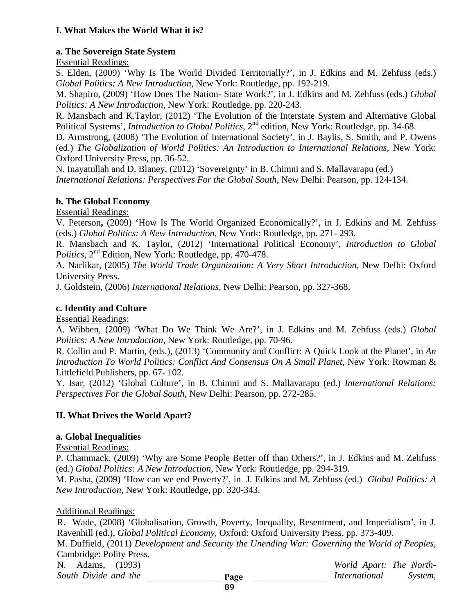### **I. What Makes the World What it is?**

#### **a. The Sovereign State System**

Essential Readings:

S. Elden, (2009) 'Why Is The World Divided Territorially?', in J. Edkins and M. Zehfuss (eds.) *Global Politics: A New Introduction*, New York: Routledge, pp. 192-219.

M. Shapiro, (2009) 'How Does The Nation- State Work?', in J. Edkins and M. Zehfuss (eds.) *Global Politics: A New Introduction*, New York: Routledge, pp. 220-243.

R. Mansbach and K.Taylor, (2012) 'The Evolution of the Interstate System and Alternative Global Political Systems', *Introduction to Global Politics*, 2<sup>nd</sup> edition, New York: Routledge, pp. 34-68.

D. Armstrong, (2008) 'The Evolution of International Society', in J. Baylis, S. Smith, and P. Owens (ed.) *The Globalization of World Politics: An Introduction to International Relations,* New York: Oxford University Press, pp. 36-52.

N. Inayatullah and D. Blaney, (2012) 'Sovereignty' in B. Chimni and S. Mallavarapu (ed.) *International Relations: Perspectives For the Global South*, New Delhi: Pearson, pp. 124-134.

#### **b. The Global Economy**

Essential Readings:

V. Peterson**,** (2009) 'How Is The World Organized Economically?', in J. Edkins and M. Zehfuss (eds.) *Global Politics: A New Introduction*, New York: Routledge, pp. 271- 293.

R. Mansbach and K. Taylor, (2012) 'International Political Economy', *Introduction to Global Politics,* 2nd Edition, New York: Routledge, pp. 470-478.

A. Narlikar, (2005) *The World Trade Organization: A Very Short Introduction*, New Delhi: Oxford University Press.

J. Goldstein, (2006) *International Relations*, New Delhi: Pearson, pp. 327-368.

#### **c. Identity and Culture**

Essential Readings:

A. Wibben, (2009) 'What Do We Think We Are?', in J. Edkins and M. Zehfuss (eds.) *Global Politics: A New Introduction,* New York: Routledge, pp. 70-96.

R. Collin and P. Martin, (eds.), (2013) 'Community and Conflict: A Quick Look at the Planet', in *An Introduction To World Politics: Conflict And Consensus On A Small Planet*, New York: Rowman & Littlefield Publishers, pp. 67- 102.

Y. Isar, (2012) 'Global Culture', in B. Chimni and S. Mallavarapu (ed.) *International Relations: Perspectives For the Global South*, New Delhi: Pearson, pp. 272-285.

#### **II. What Drives the World Apart?**

#### **a. Global Inequalities**

Essential Readings:

P. Chammack, (2009) 'Why are Some People Better off than Others?', in J. Edkins and M. Zehfuss (ed.) *Global Politics: A New Introduction,* New York: Routledge, pp. 294-319.

M. Pasha, (2009) 'How can we end Poverty?', in J. Edkins and M. Zehfuss (ed.) *Global Politics: A New Introduction,* New York: Routledge, pp. 320-343.

#### Additional Readings:

R. Wade, (2008) 'Globalisation, Growth, Poverty, Inequality, Resentment, and Imperialism', in J. Ravenhill (ed.), *Global Political Economy,* Oxford: Oxford University Press, pp. 373-409. M. Duffield, (2011) *Development and Security the Unending War: Governing the World of Peoples,* 

Cambridge: Polity Press.

N. Adams, (1993) *World Apart: The North-South Divide and the* **Page** *International System,*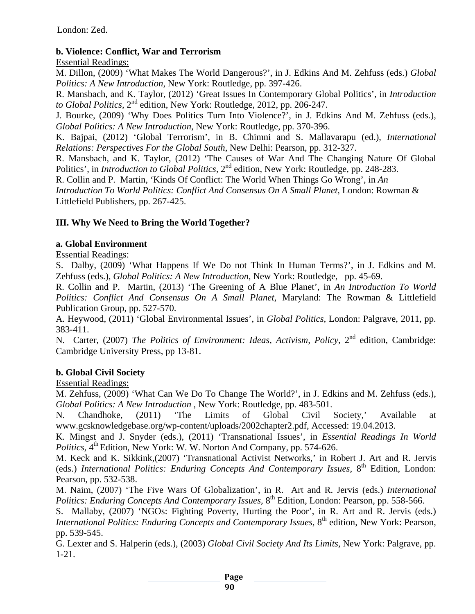### **b. Violence: Conflict, War and Terrorism**

#### Essential Readings:

M. Dillon, (2009) 'What Makes The World Dangerous?', in J. Edkins And M. Zehfuss (eds.) *Global Politics: A New Introduction*, New York: Routledge, pp. 397-426.

R. Mansbach, and K. Taylor, (2012) 'Great Issues In Contemporary Global Politics', in *Introduction to Global Politics,* 2nd edition, New York: Routledge, 2012, pp. 206-247.

J. Bourke, (2009) 'Why Does Politics Turn Into Violence?', in J. Edkins And M. Zehfuss (eds.), *Global Politics: A New Introduction*, New York: Routledge, pp. 370-396.

K. Bajpai, (2012) 'Global Terrorism', in B. Chimni and S. Mallavarapu (ed.), *International Relations: Perspectives For the Global South*, New Delhi: Pearson, pp. 312-327.

R. Mansbach, and K. Taylor, (2012) 'The Causes of War And The Changing Nature Of Global Politics', in *Introduction to Global Politics*, 2<sup>nd</sup> edition, New York: Routledge, pp. 248-283.

R. Collin and P. Martin, 'Kinds Of Conflict: The World When Things Go Wrong', in *An* 

*Introduction To World Politics: Conflict And Consensus On A Small Planet*, London: Rowman & Littlefield Publishers, pp. 267-425.

### **III. Why We Need to Bring the World Together?**

#### **a. Global Environment**

Essential Readings:

S. Dalby, (2009) 'What Happens If We Do not Think In Human Terms?', in J. Edkins and M. Zehfuss (eds.), *Global Politics: A New Introduction*, New York: Routledge, pp. 45-69.

R. Collin and P. Martin, (2013) 'The Greening of A Blue Planet', in *An Introduction To World Politics: Conflict And Consensus On A Small Planet*, Maryland: The Rowman & Littlefield Publication Group, pp. 527-570.

A. Heywood, (2011) 'Global Environmental Issues', in *Global Politics,* London: Palgrave, 2011, pp. 383-411.

N. Carter, (2007) *The Politics of Environment: Ideas, Activism, Policy*, 2<sup>nd</sup> edition, Cambridge: Cambridge University Press, pp 13-81.

#### **b. Global Civil Society**

#### Essential Readings:

M. Zehfuss, (2009) 'What Can We Do To Change The World?', in J. Edkins and M. Zehfuss (eds.), *Global Politics: A New Introduction* , New York: Routledge, pp. 483-501.

N. Chandhoke, (2011) 'The Limits of Global Civil Society,' Available at [www.gcsknowledgebase.org/wp-content/uploads/2002chapter2.pdf,](http://www.gcsknowledgebase.org/wp-content/uploads/2002chapter2.pdf) Accessed: 19.04.2013.

K. Mingst and J. Snyder (eds.), (2011) 'Transnational Issues', in *Essential Readings In World Politics*,  $4^{th}$  Edition, New York: W. W. Norton And Company, pp. 574-626.

M. Keck and K. Sikkink,(2007) 'Transnational Activist Networks,' in Robert J. Art and R. Jervis (eds.) *International Politics: Enduring Concepts And Contemporary Issues*, 8<sup>th</sup> Edition, London: Pearson, pp. 532-538.

M. Naim, (2007) 'The Five Wars Of Globalization', in R. Art and R. Jervis (eds.) *International Politics: Enduring Concepts And Contemporary Issues,* 8<sup>th</sup> Edition, London: Pearson, pp. 558-566.

S. Mallaby, (2007) 'NGOs: Fighting Poverty, Hurting the Poor', in R. Art and R. Jervis (eds.) *International Politics: Enduring Concepts and Contemporary Issues, 8<sup>th</sup> edition, New York: Pearson,* pp. 539-545.

G. Lexter and S. Halperin (eds.), (2003) *Global Civil Society And Its Limits,* New York: Palgrave, pp. 1-21.

**Page**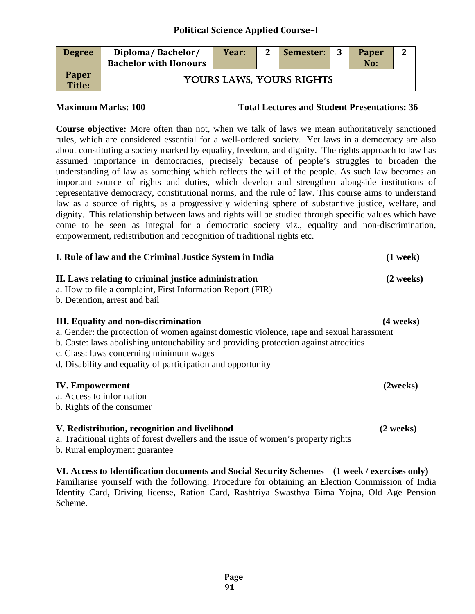### **Political Science Applied Course–I**

| <b>Degree</b>          | Diploma/Bachelor/<br><b>Bachelor with Honours</b> | Year: | $\overline{2}$ | Semester:                | -3 | Paper<br>No: | ∍ |
|------------------------|---------------------------------------------------|-------|----------------|--------------------------|----|--------------|---|
| <b>Paper</b><br>Title: |                                                   |       |                | YOURS LAWS, YOURS RIGHTS |    |              |   |

**Maximum Marks: 100 Total Lectures and Student Presentations: 36**

**Course objective:** More often than not, when we talk of laws we mean authoritatively sanctioned rules, which are considered essential for a well-ordered society. Yet laws in a democracy are also about constituting a society marked by equality, freedom, and dignity. The rights approach to law has assumed importance in democracies, precisely because of people's struggles to broaden the understanding of law as something which reflects the will of the people. As such law becomes an important source of rights and duties, which develop and strengthen alongside institutions of representative democracy, constitutional norms, and the rule of law. This course aims to understand law as a source of rights, as a progressively widening sphere of substantive justice, welfare, and dignity. This relationship between laws and rights will be studied through specific values which have come to be seen as integral for a democratic society viz., equality and non-discrimination, empowerment, redistribution and recognition of traditional rights etc.

| I. Rule of law and the Criminal Justice System in India                                                                                                                                                                                                                                                                                   | $(1$ week $)$       |
|-------------------------------------------------------------------------------------------------------------------------------------------------------------------------------------------------------------------------------------------------------------------------------------------------------------------------------------------|---------------------|
| II. Laws relating to criminal justice administration<br>a. How to file a complaint, First Information Report (FIR)<br>b. Detention, arrest and bail                                                                                                                                                                                       | (2 weeks)           |
| <b>III.</b> Equality and non-discrimination<br>a. Gender: the protection of women against domestic violence, rape and sexual harassment<br>b. Caste: laws abolishing untouchability and providing protection against atrocities<br>c. Class: laws concerning minimum wages<br>d. Disability and equality of participation and opportunity | $(4 \text{ weeks})$ |
| <b>IV.</b> Empowerment<br>a. Access to information<br>b. Rights of the consumer                                                                                                                                                                                                                                                           | (2weeks)            |
| V. Redistribution, recognition and livelihood<br>a. Traditional rights of forest dwellers and the issue of women's property rights<br>b. Rural employment guarantee                                                                                                                                                                       | $(2$ weeks)         |
| VI. Access to Identification documents and Social Security Schemes (1 week / exercises only)<br>Familiarise yourself with the following: Procedure for obtaining an Election Commission of Ind                                                                                                                                            |                     |

Familiarise yourself with the following: Procedure for obtaining an Election Commission of India Identity Card, Driving license, Ration Card, Rashtriya Swasthya Bima Yojna, Old Age Pension Scheme.

**Page**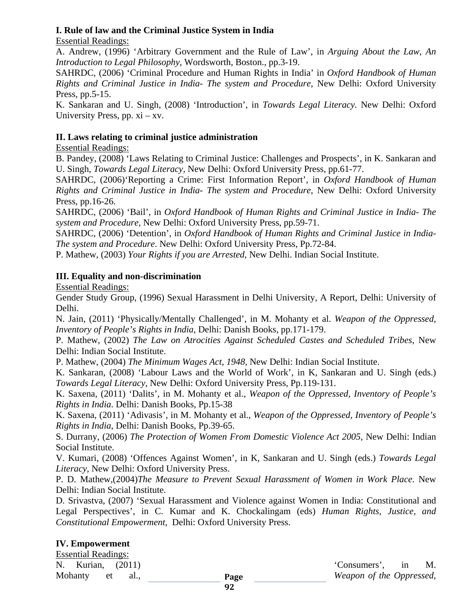#### **I. Rule of law and the Criminal Justice System in India**

Essential Readings:

A. Andrew, (1996) 'Arbitrary Government and the Rule of Law', in *Arguing About the Law, An Introduction to Legal Philosophy,* Wordsworth, Boston., pp.3-19.

SAHRDC, (2006) 'Criminal Procedure and Human Rights in India' in *Oxford Handbook of Human Rights and Criminal Justice in India*- *The system and Procedure*, New Delhi: Oxford University Press, pp.5-15.

K. Sankaran and U. Singh, (2008) 'Introduction', in *Towards Legal Literacy.* New Delhi: Oxford University Press, pp.  $xi - xy$ .

#### **II. Laws relating to criminal justice administration**

Essential Readings:

B. Pandey, (2008) 'Laws Relating to Criminal Justice: Challenges and Prospects', in K. Sankaran and U. Singh, *Towards Legal Literacy,* New Delhi: Oxford University Press, pp.61-77.

SAHRDC, (2006)'Reporting a Crime: First Information Report', in *Oxford Handbook of Human Rights and Criminal Justice in India*- *The system and Procedure*, New Delhi: Oxford University Press, pp.16-26.

SAHRDC, (2006) 'Bail', in *Oxford Handbook of Human Rights and Criminal Justice in India*- *The system and Procedure*, New Delhi: Oxford University Press, pp.59-71.

SAHRDC, (2006) 'Detention', in *Oxford Handbook of Human Rights and Criminal Justice in India*-*The system and Procedure*. New Delhi: Oxford University Press, Pp.72-84.

P. Mathew, (2003) *Your Rights if you are Arrested,* New Delhi. Indian Social Institute.

### **III. Equality and non-discrimination**

Essential Readings:

Gender Study Group, (1996) Sexual Harassment in Delhi University, A Report, Delhi: University of Delhi.

N. Jain, (2011) 'Physically/Mentally Challenged', in M. Mohanty et al. *Weapon of the Oppressed, Inventory of People's Rights in India*, Delhi: Danish Books, pp.171-179.

P. Mathew, (2002) *The Law on Atrocities Against Scheduled Castes and Scheduled Tribes,* New Delhi: Indian Social Institute.

P. Mathew, (2004) *The Minimum Wages Act, 1948,* New Delhi: Indian Social Institute.

K. Sankaran, (2008) 'Labour Laws and the World of Work', in K, Sankaran and U. Singh (eds.) *Towards Legal Literacy,* New Delhi: Oxford University Press, Pp.119-131.

K. Saxena, (2011) 'Dalits', in M. Mohanty et al., *Weapon of the Oppressed, Inventory of People's Rights in India*. Delhi: Danish Books, Pp.15-38

K. Saxena, (2011) 'Adivasis', in M. Mohanty et al., *Weapon of the Oppressed, Inventory of People's Rights in India*, Delhi: Danish Books, Pp.39-65.

S. Durrany, (2006) *The Protection of Women From Domestic Violence Act 2005*, New Delhi: Indian Social Institute.

V. Kumari, (2008) 'Offences Against Women', in K, Sankaran and U. Singh (eds.) *Towards Legal Literacy,* New Delhi: Oxford University Press.

P. D. Mathew,(2004)*The Measure to Prevent Sexual Harassment of Women in Work Place.* New Delhi: Indian Social Institute.

D. Srivastva, (2007) 'Sexual Harassment and Violence against Women in India: Constitutional and Legal Perspectives', in C. Kumar and K. Chockalingam (eds) *Human Rights, Justice, and Constitutional Empowerment*, Delhi: Oxford University Press.

# **IV. Empowerment**

Essential Readings:

N. Kurian, (2011)  $\blacksquare$  (Consumers', in M. Mohanty et al., *Weapon of the Oppressed,*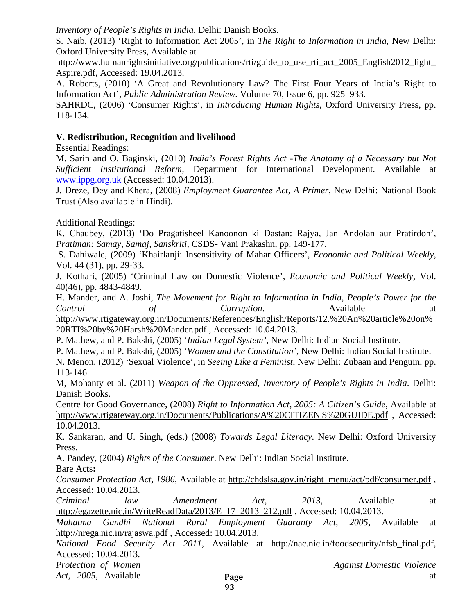#### *Inventory of People's Rights in India*. Delhi: Danish Books.

S. Naib, (2013) 'Right to Information Act 2005', in *The Right to Information in India,* New Delhi: Oxford University Press, Available at

[http://www.humanrightsinitiative.org/publications/rti/guide\\_to\\_use\\_rti\\_act\\_2005\\_English2012\\_light\\_](http://www.humanrightsinitiative.org/publications/rti/guide_to_use_rti_act_2005_English2012_light_Aspire.pdf) [Aspire.pdf,](http://www.humanrightsinitiative.org/publications/rti/guide_to_use_rti_act_2005_English2012_light_Aspire.pdf) Accessed: 19.04.2013.

A. Roberts, (2010) 'A Great and Revolutionary Law? The First Four Years of India's Right to Information Act', *Public Administration Review.* Volume 70, Issue 6, pp. 925–933.

SAHRDC, (2006) 'Consumer Rights', in *Introducing Human Rights*, Oxford University Press, pp. 118-134.

#### **V. Redistribution, Recognition and livelihood**

Essential Readings:

M. Sarin and O. Baginski, (2010) *India's Forest Rights Act -The Anatomy of a Necessary but Not Sufficient Institutional Reform,* Department for International Development. Available at [www.ippg.org.uk](http://www.ippg.org.uk/) (Accessed: 10.04.2013).

J. Dreze, Dey and Khera, (2008) *Employment Guarantee Act, A Primer*, New Delhi: National Book Trust (Also available in Hindi).

#### Additional Readings:

K. Chaubey, (2013) 'Do Pragatisheel Kanoonon ki Dastan: Rajya, Jan Andolan aur Pratirdoh', *Pratiman: Samay, Samaj, Sanskriti*, CSDS- Vani Prakashn, pp. 149-177.

S. Dahiwale, (2009) 'Khairlanji: Insensitivity of Mahar Officers', *Economic and Political Weekly*, Vol. 44 (31), pp. 29-33.

J. Kothari, (2005) 'Criminal Law on Domestic Violence', *Economic and Political Weekly,* Vol. 40(46), pp. 4843-4849.

H. Mander, and A. Joshi, *The Movement for Right to Information in India, People's Power for the Control of Corruption*. Available at

[http://www.rtigateway.org.in/Documents/References/English/Reports/12.%20An%20article%20on%](http://www.rtigateway.org.in/Documents/References/English/Reports/12.%20An%20article%20on%20RTI%20by%20Harsh%20Mander.pdf) [20RTI%20by%20Harsh%20Mander.pdf](http://www.rtigateway.org.in/Documents/References/English/Reports/12.%20An%20article%20on%20RTI%20by%20Harsh%20Mander.pdf) , Accessed: 10.04.2013.

P. Mathew, and P. Bakshi, (2005) '*Indian Legal System'*, New Delhi: Indian Social Institute.

P. Mathew, and P. Bakshi, (2005) '*Women and the Constitution'*, New Delhi: Indian Social Institute.

N. Menon, (2012) 'Sexual Violence', in *Seeing Like a Feminist*, New Delhi: Zubaan and Penguin, pp. 113-146.

M, Mohanty et al. (2011) *Weapon of the Oppressed, Inventory of People's Rights in India*. Delhi: Danish Books.

Centre for Good Governance, (2008) *Right to Information Act, 2005: A Citizen's Guide*, Available at [http://www.rtigateway.org.in/Documents/Publications/A%20CITIZEN'S%20GUIDE.pdf](http://www.rtigateway.org.in/Documents/Publications/A%20CITIZEN) , Accessed: 10.04.2013.

K. Sankaran, and U. Singh, (eds.) (2008) *Towards Legal Literacy.* New Delhi: Oxford University Press.

A. Pandey, (2004) *Rights of the Consumer*. New Delhi: Indian Social Institute.

Bare Acts**:** 

*Consumer Protection Act, 1986*, Available at [http://chdslsa.gov.in/right\\_menu/act/pdf/consumer.pdf](http://chdslsa.gov.in/right_menu/act/pdf/consumer.pdf) , Accessed: 10.04.2013.

*Criminal law Amendment Act, 2013*, Available at [http://egazette.nic.in/WriteReadData/2013/E\\_17\\_2013\\_212.pdf](http://egazette.nic.in/WriteReadData/2013/E_17_2013_212.pdf) , Accessed: 10.04.2013.

*Mahatma Gandhi National Rural Employment Guaranty Act, 2005*, Available at <http://nrega.nic.in/rajaswa.pdf> , Accessed: 10.04.2013.

*National Food Security Act 2011,* Available at [http://nac.nic.in/foodsecurity/nfsb\\_final.pdf,](http://nac.nic.in/foodsecurity/nfsb_final.pdf) Accessed: 10.04.2013.

*Act, 2005*, Available **at Page** at at at a page at a set of  $\alpha$  and  $\alpha$  at a set of  $\alpha$  and  $\alpha$  at a set of  $\alpha$  and  $\alpha$  and  $\alpha$  at a set of  $\alpha$  and  $\alpha$  and  $\alpha$  and  $\alpha$  and  $\alpha$  and  $\alpha$  and  $\alpha$  and  $\alpha$  and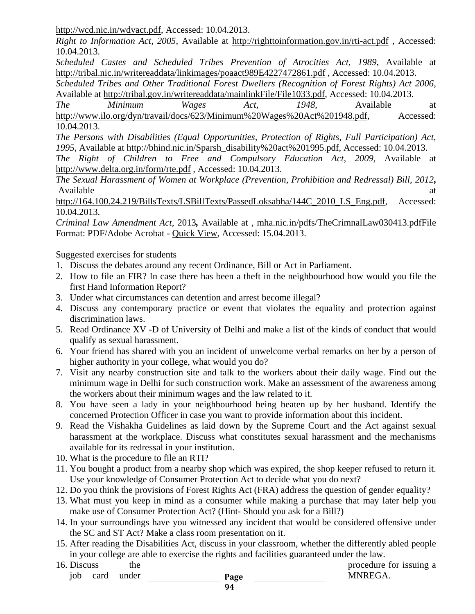[http://wcd.nic.in/wdvact.pdf,](http://wcd.nic.in/wdvact.pdf) Accessed: 10.04.2013.

*Right to Information Act, 2005*, Available at<http://righttoinformation.gov.in/rti-act.pdf> , Accessed: 10.04.2013.

*Scheduled Castes and Scheduled Tribes Prevention of Atrocities Act, 1989*, Available at <http://tribal.nic.in/writereaddata/linkimages/poaact989E4227472861.pdf> , Accessed: 10.04.2013.

*Scheduled Tribes and Other Traditional Forest Dwellers (Recognition of Forest Rights) Act 2006*, Available at [http://tribal.gov.in/writereaddata/mainlinkFile/File1033.pdf,](http://tribal.gov.in/writereaddata/mainlinkFile/File1033.pdf) Accessed: 10.04.2013.

*The Minimum Wages Act, 1948*, Available at [http://www.ilo.org/dyn/travail/docs/623/Minimum%20Wages%20Act%201948.pdf,](http://www.ilo.org/dyn/travail/docs/623/Minimum%20Wages%20Act%201948.pdf) Accessed: 10.04.2013.

*The Persons with Disabilities (Equal Opportunities, Protection of Rights, Full Participation) Act, 1995*, Available at [http://bhind.nic.in/Sparsh\\_disability%20act%201995.pdf,](http://bhind.nic.in/Sparsh_disability%20act%201995.pdf) Accessed: 10.04.2013.

*The Right of Children to Free and Compulsory Education Act, 2009*, Available at <http://www.delta.org.in/form/rte.pdf> , Accessed: 10.04.2013.

*The Sexual Harassment of Women at Workplace (Prevention, Prohibition and Redressal) Bill, 2012***,**  Available at a state of  $\alpha$  at a state of  $\alpha$  at a state of  $\alpha$  at a state of  $\alpha$  at a state of  $\alpha$  at a state of  $\alpha$  at a state of  $\alpha$  at a state of  $\alpha$  at a state of  $\alpha$  at a state of  $\alpha$  at a state of  $\alpha$  at

[http://164.100.24.219/BillsTexts/LSBillTexts/PassedLoksabha/144C\\_2010\\_LS\\_Eng.pdf,](http://164.100.24.219/BillsTexts/LSBillTexts/PassedLoksabha/144C_2010_LS_Eng.pdf) Accessed: 10.04.2013.

*Criminal Law Amendment Act,* 2013*,* Available at , mha.nic.in/pdfs/TheCrimnalLaw030413.pdfFile Format: PDF/Adobe Acrobat - [Quick View,](http://docs.google.com/viewer?a=v&q=cache:z1fkll_FlMkJ:mha.nic.in/pdfs/TheCrimnalLaw030413.pdf+criminal+law+amendment+act+2013+MHA&hl=en&gl=in&pid=bl&srcid=ADGEESjhoNoCXSo-5Mw95uKURjwxjWpMzRmoKEQtnFxICYeiJPHKbuB9RWGMa6ayg7k3026ueoPmS8N-6qaM1LDJ7BMAQ7ooT37JZ7r8ljcXDfKYkPEjYsPZzmInnS2xnfTEAtdT3qB9&sig=AHIEtbRbj3LeqSuXu7RID3GPs5cQkyww6w) Accessed: 15.04.2013.

Suggested exercises for students

- 1. Discuss the debates around any recent Ordinance, Bill or Act in Parliament.
- 2. How to file an FIR? In case there has been a theft in the neighbourhood how would you file the first Hand Information Report?
- 3. Under what circumstances can detention and arrest become illegal?
- 4. Discuss any contemporary practice or event that violates the equality and protection against discrimination laws.
- 5. Read Ordinance XV -D of University of Delhi and make a list of the kinds of conduct that would qualify as sexual harassment.
- 6. Your friend has shared with you an incident of unwelcome verbal remarks on her by a person of higher authority in your college, what would you do?
- 7. Visit any nearby construction site and talk to the workers about their daily wage. Find out the minimum wage in Delhi for such construction work. Make an assessment of the awareness among the workers about their minimum wages and the law related to it.
- 8. You have seen a lady in your neighbourhood being beaten up by her husband. Identify the concerned Protection Officer in case you want to provide information about this incident.
- 9. Read the Vishakha Guidelines as laid down by the Supreme Court and the Act against sexual harassment at the workplace. Discuss what constitutes sexual harassment and the mechanisms available for its redressal in your institution.
- 10. What is the procedure to file an RTI?
- 11. You bought a product from a nearby shop which was expired, the shop keeper refused to return it. Use your knowledge of Consumer Protection Act to decide what you do next?
- 12. Do you think the provisions of Forest Rights Act (FRA) address the question of gender equality?
- 13. What must you keep in mind as a consumer while making a purchase that may later help you make use of Consumer Protection Act? (Hint- Should you ask for a Bill?)
- 14. In your surroundings have you witnessed any incident that would be considered offensive under the SC and ST Act? Make a class room presentation on it.
- 15. After reading the Disabilities Act, discuss in your classroom, whether the differently abled people in your college are able to exercise the rights and facilities guaranteed under the law.
- **Page**  16. Discuss the procedure for issuing a job card under **Page MNREGA.**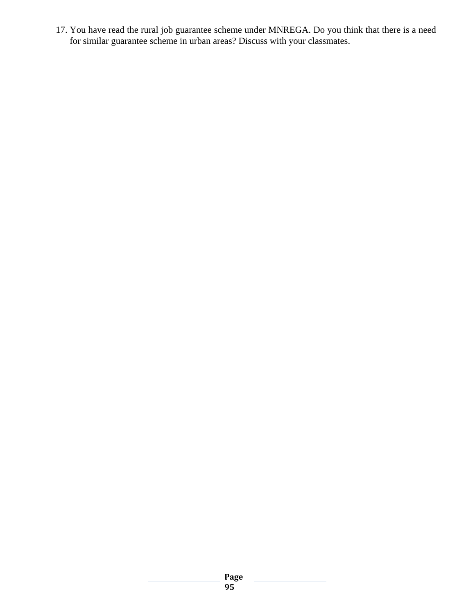17. You have read the rural job guarantee scheme under MNREGA. Do you think that there is a need for similar guarantee scheme in urban areas? Discuss with your classmates.

# **Page**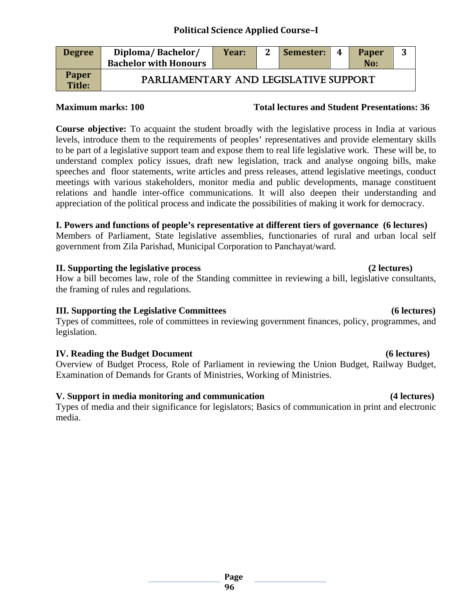# **Political Science Applied Course–I**

| <b>Degree</b>                 | Diploma/Bachelor/<br><b>Bachelor with Honours</b> | Year: | $\mathbf{2}$ | Semester: | 4 | <b>Paper</b><br>No: | 3 |
|-------------------------------|---------------------------------------------------|-------|--------------|-----------|---|---------------------|---|
| <b>Paper</b><br><b>Title:</b> | PARLIAMENTARY AND LEGISLATIVE SUPPORT             |       |              |           |   |                     |   |

#### **Maximum marks: 100 Total lectures and Student Presentations: 36**

**Course objective:** To acquaint the student broadly with the legislative process in India at various levels, introduce them to the requirements of peoples' representatives and provide elementary skills to be part of a legislative support team and expose them to real life legislative work. These will be, to understand complex policy issues, draft new legislation, track and analyse ongoing bills, make speeches and floor statements, write articles and press releases, attend legislative meetings, conduct meetings with various stakeholders, monitor media and public developments, manage constituent relations and handle inter-office communications. It will also deepen their understanding and appreciation of the political process and indicate the possibilities of making it work for democracy.

### **I. Powers and functions of people's representative at different tiers of governance (6 lectures)**

Members of Parliament, State legislative assemblies, functionaries of rural and urban local self government from Zila Parishad, Municipal Corporation to Panchayat/ward.

#### **II. Supporting the legislative process (2 lectures)**

How a bill becomes law, role of the Standing committee in reviewing a bill, legislative consultants, the framing of rules and regulations.

#### **III. Supporting the Legislative Committees (6 lectures)**

Types of committees, role of committees in reviewing government finances, policy, programmes, and legislation.

#### **IV. Reading the Budget Document** (6 lectures)

Overview of Budget Process, Role of Parliament in reviewing the Union Budget, Railway Budget, Examination of Demands for Grants of Ministries, Working of Ministries.

#### **V. Support in media monitoring and communication (4 lectures)**

Types of media and their significance for legislators; Basics of communication in print and electronic media.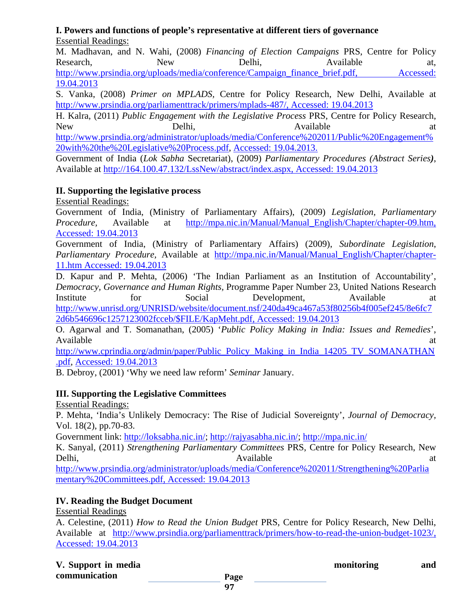#### **I. Powers and functions of people's representative at different tiers of governance** Essential Readings:

M. Madhavan, and N. Wahi, (2008) *Financing of Election Campaigns* PRS, Centre for Policy Research, New Delhi, Available at, [http://www.prsindia.org/uploads/media/conference/Campaign\\_finance\\_brief.pdf,](http://www.prsindia.org/uploads/media/conference/Campaign_finance_brief.pdf) Accessed: 19.04.2013

S. Vanka, (2008) *Primer on MPLADS,* Centre for Policy Research, New Delhi, Available at [http://www.prsindia.org/parliamenttrack/primers/mplads-487/,](http://www.prsindia.org/parliamenttrack/primers/mplads-487/) Accessed: 19.04.2013

H. Kalra, (2011) *Public Engagement with the Legislative Process* PRS, Centre for Policy Research, New Delhi,  $D$ elhi,  $A$ vailable at

[http://www.prsindia.org/administrator/uploads/media/Conference%202011/Public%20Engagement%](http://www.prsindia.org/administrator/uploads/media/Conference%202011/Public%20Engagement%20with%20the%20Legislative%20Process.pdf) [20with%20the%20Legislative%20Process.pdf,](http://www.prsindia.org/administrator/uploads/media/Conference%202011/Public%20Engagement%20with%20the%20Legislative%20Process.pdf) Accessed: 19.04.2013.

Government of India (*Lok Sabha* Secretariat), (2009) *Parliamentary Procedures (Abstract Series)*, Available at [http://164.100.47.132/LssNew/abstract/index.aspx,](http://164.100.47.132/LssNew/abstract/index.aspx) Accessed: 19.04.2013

### **II. Supporting the legislative process**

Essential Readings:

Government of India, (Ministry of Parliamentary Affairs), (2009) *Legislation, Parliamentary Procedure,* Available at [http://mpa.nic.in/Manual/Manual\\_English/Chapter/chapter-09.htm,](http://mpa.nic.in/Manual/Manual_English/Chapter/chapter-09.htm) Accessed: 19.04.2013

Government of India, (Ministry of Parliamentary Affairs) (2009), *Subordinate Legislation*, *Parliamentary Procedure,* Available at [http://mpa.nic.in/Manual/Manual\\_English/Chapter/chapter-](http://mpa.nic.in/Manual/Manual_English/Chapter/chapter-11.htm)[11.htm](http://mpa.nic.in/Manual/Manual_English/Chapter/chapter-11.htm) Accessed: 19.04.2013

D. Kapur and P. Mehta, (2006) 'The Indian Parliament as an Institution of Accountability', *Democracy, Governance and Human Rights,* Programme Paper Number 23, United Nations Research Institute for Social Development, Available at [http://www.unrisd.org/UNRISD/website/document.nsf/240da49ca467a53f80256b4f005ef245/8e6fc7](http://www.unrisd.org/UNRISD/website/document.nsf/240da49ca467a53f80256b4f005ef245/8e6fc72d6b546696c1257123002fcceb/$FILE/KapMeht.pdf) [2d6b546696c1257123002fcceb/\\$FILE/KapMeht.pdf,](http://www.unrisd.org/UNRISD/website/document.nsf/240da49ca467a53f80256b4f005ef245/8e6fc72d6b546696c1257123002fcceb/$FILE/KapMeht.pdf) Accessed: 19.04.2013

O. Agarwal and T. Somanathan, (2005) '*Public Policy Making in India: Issues and Remedies*', Available at a state of  $\alpha$  at a state of  $\alpha$  at a state of  $\alpha$  at a state of  $\alpha$  at a state of  $\alpha$  at a state of  $\alpha$  at a state of  $\alpha$  at a state of  $\alpha$  at a state of  $\alpha$  at a state of  $\alpha$  at a state of  $\alpha$  at

[http://www.cprindia.org/admin/paper/Public\\_Policy\\_Making\\_in\\_India\\_14205\\_TV\\_SOMANATHAN](http://www.cprindia.org/admin/paper/Public_Policy_Making_in_India_14205_TV_SOMANATHAN.pdf) [.pdf,](http://www.cprindia.org/admin/paper/Public_Policy_Making_in_India_14205_TV_SOMANATHAN.pdf) Accessed: 19.04.2013

B. Debroy, (2001) 'Why we need law reform' *Seminar* January.

# **III. Supporting the Legislative Committees**

Essential Readings:

P. Mehta, 'India's Unlikely Democracy: The Rise of Judicial Sovereignty', *Journal of Democracy,* Vol. 18(2), pp.70-83.

Government link: [http://loksabha.nic.in/; http://rajyasabha.nic.in/;](http://loksabha.nic.in/)<http://mpa.nic.in/>

K. Sanyal, (2011) *Strengthening Parliamentary Committees* PRS, Centre for Policy Research, New Delhi, and a controlled a controlled a controlled a controlled a controlled a controlled a controlled a controlled a controlled a controlled a controlled a controlled a controlled a controlled a controlled a controlled a c

[http://www.prsindia.org/administrator/uploads/media/Conference%202011/Strengthening%20Parlia](http://www.prsindia.org/administrator/uploads/media/Conference%202011/Strengthening%20Parliamentary%20Committees.pdf) [mentary%20Committees.pdf,](http://www.prsindia.org/administrator/uploads/media/Conference%202011/Strengthening%20Parliamentary%20Committees.pdf) Accessed: 19.04.2013

# **IV. Reading the Budget Document**

Essential Readings

A. Celestine, (2011) *How to Read the Union Budget* PRS, Centre for Policy Research, New Delhi, Available at [http://www.prsindia.org/parliamenttrack/primers/how-to-read-the-union-budget-1023/,](http://www.prsindia.org/parliamenttrack/primers/how-to-read-the-union-budget-1023/) Accessed: 19.04.2013

|               | V. Support in media |  |  |  |  |  |
|---------------|---------------------|--|--|--|--|--|
| communication |                     |  |  |  |  |  |

**Proposition** monitoring and **and**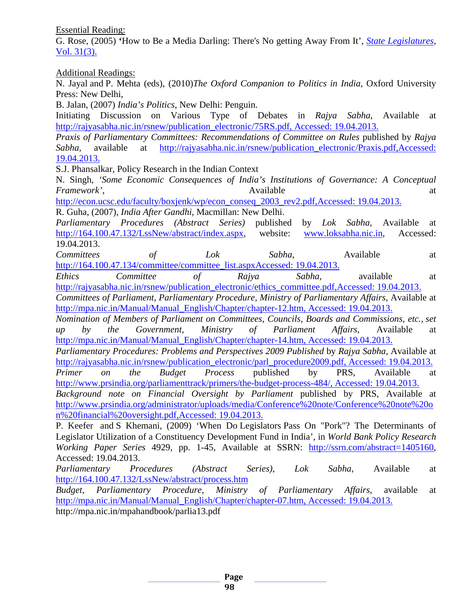Essential Reading:

G. Rose, (2005) **'**How to Be a Media Darling: There's No getting Away From It', *[State Legislatures](http://law-journals-books.vlex.com/source/state-legislatures-2840)*, [Vol. 31\(3\).](http://law-journals-books.vlex.com/source/state-legislatures-2840/issue_nbr/%2331%233) 

Additional Readings:

N. Jayal and P. Mehta (eds), (2010)*The Oxford Companion to Politics in India,* Oxford University Press: New Delhi,

B. Jalan, (2007) *India's Politics,* New Delhi: Penguin.

Initiating Discussion on Various Type of Debates in *Rajya Sabha*, Available at [http://rajyasabha.nic.in/rsnew/publication\\_electronic/75RS.pdf,](http://rajyasabha.nic.in/rsnew/publication_electronic/75RS.pdf) Accessed: 19.04.2013.

*Praxis of Parliamentary Committees: Recommendations of Committee on Rules* published by *Rajya Sabha,* available at [http://rajyasabha.nic.in/rsnew/publication\\_electronic/Praxis.pdf,](http://rajyasabha.nic.in/rsnew/publication_electronic/Praxis.pdf)Accessed: 19.04.2013.

S.J. Phansalkar, Policy Research in the Indian Context

N. Singh, *'Some Economic Consequences of India's Institutions of Governance: A Conceptual Framework'*, and a structure at a structure  $\alpha$  and  $\alpha$  at a structure at a structure at a structure at a structure at a structure at a structure at a structure at a structure at a structure at a structure at a structur

[http://econ.ucsc.edu/faculty/boxjenk/wp/econ\\_conseq\\_2003\\_rev2.pdf,](http://econ.ucsc.edu/faculty/boxjenk/wp/econ_conseq_2003_rev2.pdf)Accessed: 19.04.2013. R. Guha, (2007), *India After Gandhi*, Macmillan: New Delhi.

*Parliamentary Procedures (Abstract Series)* published by *Lok Sabha*, Available at [http://164.100.47.132/LssNew/abstract/index.aspx,](http://164.100.47.132/LssNew/abstract/index.aspx) website: [www.loksabha.nic.in,](http://www.loksabha.nic.in/) Accessed: 19.04.2013.

*Committees of Lok Sabha*, Available at [http://164.100.47.134/committee/committee\\_list.aspxA](http://164.100.47.134/committee/committee_list.aspx)ccessed: 19.04.2013.

*Ethics Committee of Rajya Sabha*, available at [http://rajyasabha.nic.in/rsnew/publication\\_electronic/ethics\\_committee.pdf,](http://rajyasabha.nic.in/rsnew/publication_electronic/ethics_committee.pdf)Accessed: 19.04.2013.

*Committees of Parliament, Parliamentary Procedure, Ministry of Parliamentary Affairs*, Available at [http://mpa.nic.in/Manual/Manual\\_English/Chapter/chapter-12.htm,](http://mpa.nic.in/Manual/Manual_English/Chapter/chapter-12.htm) Accessed: 19.04.2013.

*Nomination of Members of Parliament on Committees, Councils, Boards and Commissions, etc., set up by the Government, Ministry of Parliament Affairs*, Available at [http://mpa.nic.in/Manual/Manual\\_English/Chapter/chapter-14.htm,](http://mpa.nic.in/Manual/Manual_English/Chapter/chapter-14.htm) Accessed: 19.04.2013.

*Parliamentary Procedures: Problems and Perspectives 2009 Published* by *Rajya Sabha*, Available at [http://rajyasabha.nic.in/rsnew/publication\\_electronic/parl\\_procedure2009.pdf,](http://rajyasabha.nic.in/rsnew/publication_electronic/parl_procedure2009.pdf) Accessed: 19.04.2013.

*Primer on the Budget Process* published by PRS, Available at [http://www.prsindia.org/parliamenttrack/primers/the-budget-process-484/,](http://www.prsindia.org/parliamenttrack/primers/the-budget-process-484/) Accessed: 19.04.2013.

*Background note on Financial Oversight by Parliament* published by PRS, Available at [http://www.prsindia.org/administrator/uploads/media/Conference%20note/Conference%20note%20o](http://www.prsindia.org/administrator/uploads/media/Conference%20note/Conference%20note%20on%20financial%20oversight.pdf) [n%20financial%20oversight.pdf,](http://www.prsindia.org/administrator/uploads/media/Conference%20note/Conference%20note%20on%20financial%20oversight.pdf)Accessed: 19.04.2013.

P. Keefer and S Khemani, (2009) 'When Do Legislators Pass On "Pork"? The Determinants of Legislator Utilization of a Constituency Development Fund in India', in *World Bank Policy Research Working Paper Series* 4929, pp. 1-45, Available at SSRN: [http://ssrn.com/abstract=1405160,](http://ssrn.com/abstract=1405160) Accessed: 19.04.2013.

*Parliamentary Procedures (Abstract Series)*, *Lok Sabha*, Available at <http://164.100.47.132/LssNew/abstract/process.htm>

*Budget, Parliamentary Procedure, Ministry of Parliamentary Affairs*, available at [http://mpa.nic.in/Manual/Manual\\_English/Chapter/chapter-07.htm,](http://mpa.nic.in/Manual/Manual_English/Chapter/chapter-07.htm) Accessed: 19.04.2013. http://mpa.nic.in/mpahandbook/parlia13.pdf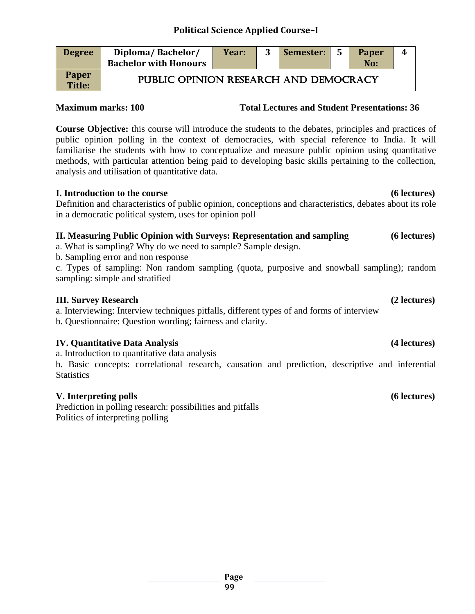# **Political Science Applied Course–I**

| <b>Degree</b>                 | Diploma/Bachelor/<br><b>Bachelor with Honours</b> | Year: | 3 | Semester: | <b>Paper</b><br>No: | 4 |
|-------------------------------|---------------------------------------------------|-------|---|-----------|---------------------|---|
| <b>Paper</b><br><b>Title:</b> | PUBLIC OPINION RESEARCH AND DEMOCRACY             |       |   |           |                     |   |

#### **Maximum marks: 100 Total Lectures and Student Presentations: 36**

**Course Objective:** this course will introduce the students to the debates, principles and practices of public opinion polling in the context of democracies, with special reference to India. It will familiarise the students with how to conceptualize and measure public opinion using quantitative methods, with particular attention being paid to developing basic skills pertaining to the collection, analysis and utilisation of quantitative data.

#### **I. Introduction to the course (6 lectures)**

Definition and characteristics of public opinion, conceptions and characteristics, debates about its role in a democratic political system, uses for opinion poll

#### **II. Measuring Public Opinion with Surveys: Representation and sampling (6 lectures)**

a. What is sampling? Why do we need to sample? Sample design.

b. Sampling error and non response

c. Types of sampling: Non random sampling (quota, purposive and snowball sampling); random sampling: simple and stratified

#### **III. Survey Research (2 lectures)**

a. Interviewing: Interview techniques pitfalls, different types of and forms of interview

b. Questionnaire: Question wording; fairness and clarity.

#### **IV. Quantitative Data Analysis (4 lectures)**

a. Introduction to quantitative data analysis

b. Basic concepts: correlational research, causation and prediction, descriptive and inferential **Statistics** 

#### **V. Interpreting polls (6 lectures)**

Prediction in polling research: possibilities and pitfalls Politics of interpreting polling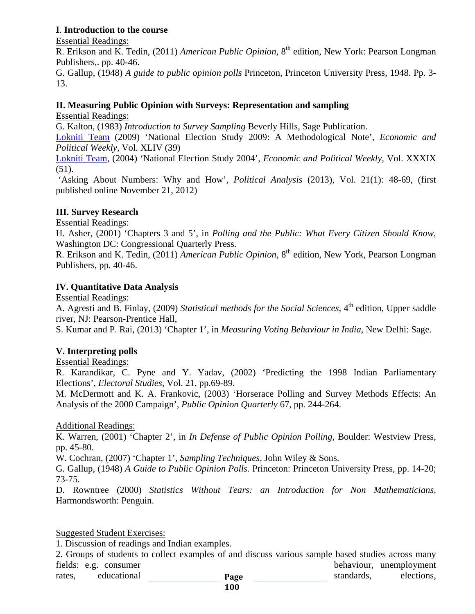#### **I**. **Introduction to the course**

Essential Readings:

R. Erikson and K. Tedin, (2011) *American Public Opinion,* 8th edition, New York: Pearson Longman Publishers,. pp. 40-46.

G. Gallup, (1948) *A guide to public opinion polls* Princeton, Princeton University Press, 1948. Pp. 3- 13.

#### **II. Measuring Public Opinion with Surveys: Representation and sampling**

Essential Readings:

G. Kalton, (1983) *Introduction to Survey Sampling* Beverly Hills, Sage Publication.

[Lokniti Team](http://www.epw.in/authors/lokniti-team) (2009) 'National Election Study 2009: A Methodological Note', *Economic and Political Weekly,* Vol. XLIV (39)

[Lokniti Team,](http://www.epw.in/authors/lokniti-team) (2004) 'National Election Study 2004', *Economic and Political Weekly,* Vol. XXXIX  $(51)$ .

'Asking About Numbers: Why and How', *Political Analysis* (2013), Vol. 21(1): 48-69, (first published online November 21, 2012)

#### **III. Survey Research**

Essential Readings:

H. Asher, (2001) 'Chapters 3 and 5', in *Polling and the Public: What Every Citizen Should Know,* Washington DC: Congressional Quarterly Press.

R. Erikson and K. Tedin, (2011) *American Public Opinion*, 8<sup>th</sup> edition, New York, Pearson Longman Publishers, pp. 40-46.

#### **IV. Quantitative Data Analysis**

Essential Readings:

A. Agresti and B. Finlay, (2009) *Statistical methods for the Social Sciences*, 4<sup>th</sup> edition, Upper saddle river, NJ: Pearson-Prentice Hall,

S. Kumar and P. Rai, (2013) 'Chapter 1', in *Measuring Voting Behaviour in India*, New Delhi: Sage.

#### **V. Interpreting polls**

#### Essential Readings:

R. Karandikar, C. Pyne and Y. Yadav, (2002) 'Predicting the 1998 Indian Parliamentary Elections', *Electoral Studies*, Vol. 21, pp.69-89.

M. McDermott and K. A. Frankovic, (2003) 'Horserace Polling and Survey Methods Effects: An Analysis of the 2000 Campaign', *Public Opinion Quarterly* 67, pp. 244-264.

#### Additional Readings:

K. Warren, (2001) 'Chapter 2', in *In Defense of Public Opinion Polling,* Boulder: Westview Press, pp. 45-80.

W. Cochran, (2007) 'Chapter 1', *Sampling Techniques,* John Wiley & Sons.

G. Gallup, (1948) *A Guide to Public Opinion Polls.* Princeton: Princeton University Press, pp. 14-20; 73-75.

D. Rowntree (2000) *Statistics Without Tears: an Introduction for Non Mathematicians,*  Harmondsworth: Penguin.

#### Suggested Student Exercises:

1. Discussion of readings and Indian examples.

**Page**  2. Groups of students to collect examples of and discuss various sample based studies across many fields: e.g. consumer behaviour, unemployment rates, educational **Page rates**, elections, elections,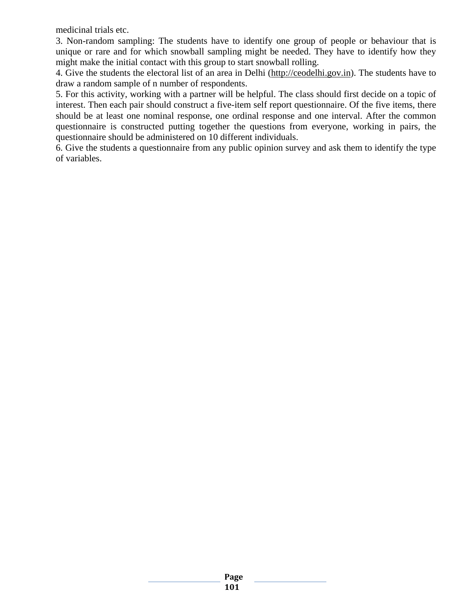medicinal trials etc.

3. Non-random sampling: The students have to identify one group of people or behaviour that is unique or rare and for which snowball sampling might be needed. They have to identify how they might make the initial contact with this group to start snowball rolling.

4. Give the students the electoral list of an area in Delhi [\(http://ceodelhi.gov.in\)](http://ceodelhi.gov.in/). The students have to draw a random sample of n number of respondents.

5. For this activity, working with a partner will be helpful. The class should first decide on a topic of interest. Then each pair should construct a five-item self report questionnaire. Of the five items, there should be at least one nominal response, one ordinal response and one interval. After the common questionnaire is constructed putting together the questions from everyone, working in pairs, the questionnaire should be administered on 10 different individuals.

6. Give the students a questionnaire from any public opinion survey and ask them to identify the type of variables.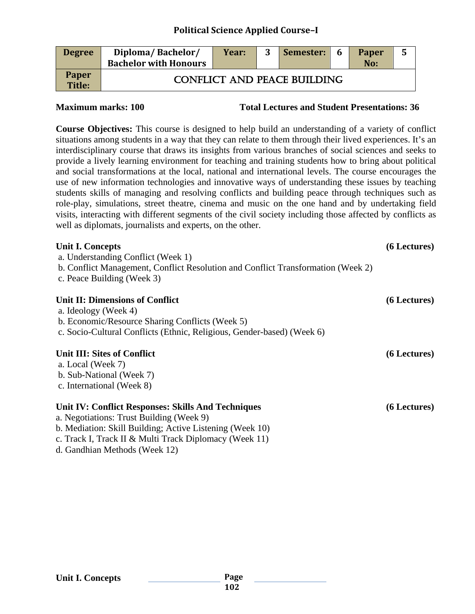### **Political Science Applied Course–I**

| <b>Degree</b>                 | Diploma/Bachelor/<br><b>Bachelor with Honours</b> | Year: | 3 | Semester: | 6 | Paper<br>No: | 5 |
|-------------------------------|---------------------------------------------------|-------|---|-----------|---|--------------|---|
| <b>Paper</b><br><b>Title:</b> | <b>CONFLICT AND PEACE BUILDING</b>                |       |   |           |   |              |   |

**Maximum marks: 100 Total Lectures and Student Presentations: 36**

**Course Objectives:** This course is designed to help build an understanding of a variety of conflict situations among students in a way that they can relate to them through their lived experiences. It's an interdisciplinary course that draws its insights from various branches of social sciences and seeks to provide a lively learning environment for teaching and training students how to bring about political and social transformations at the local, national and international levels. The course encourages the use of new information technologies and innovative ways of understanding these issues by teaching students skills of managing and resolving conflicts and building peace through techniques such as role-play, simulations, street theatre, cinema and music on the one hand and by undertaking field visits, interacting with different segments of the civil society including those affected by conflicts as well as diplomats, journalists and experts, on the other.

| <b>Unit I. Concepts</b>                                                          | (6 Lectures) |
|----------------------------------------------------------------------------------|--------------|
| a. Understanding Conflict (Week 1)                                               |              |
| b. Conflict Management, Conflict Resolution and Conflict Transformation (Week 2) |              |
| c. Peace Building (Week 3)                                                       |              |
| Unit II: Dimensions of Conflict                                                  | (6 Lectures) |
| a. Ideology (Week 4)                                                             |              |
| b. Economic/Resource Sharing Conflicts (Week 5)                                  |              |
| c. Socio-Cultural Conflicts (Ethnic, Religious, Gender-based) (Week 6)           |              |
| <b>Unit III: Sites of Conflict</b>                                               | (6 Lectures) |
| a. Local (Week 7)                                                                |              |
| b. Sub-National (Week 7)                                                         |              |
| c. International (Week 8)                                                        |              |
| Unit IV: Conflict Responses: Skills And Techniques                               | (6 Lectures) |
| a. Negotiations: Trust Building (Week 9)                                         |              |
| b. Mediation: Skill Building; Active Listening (Week 10)                         |              |
| c. Track I, Track II & Multi Track Diplomacy (Week 11)                           |              |
| d. Gandhian Methods (Week 12)                                                    |              |
|                                                                                  |              |

#### **Unit I. Concepts**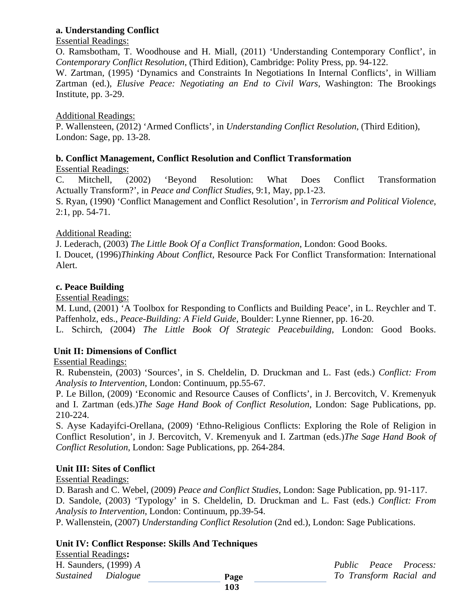#### **a. Understanding Conflict**

#### Essential Readings:

O. Ramsbotham, T. Woodhouse and H. Miall, (2011) 'Understanding Contemporary Conflict', in *Contemporary Conflict Resolution*, (Third Edition), Cambridge: Polity Press, pp. 94-122.

W. Zartman, (1995) 'Dynamics and Constraints In Negotiations In Internal Conflicts', in William Zartman (ed.), *Elusive Peace: Negotiating an End to Civil Wars,* Washington: The Brookings Institute, pp. 3-29.

#### Additional Readings:

P. Wallensteen, (2012) 'Armed Conflicts', in *Understanding Conflict Resolution*, (Third Edition), London: Sage, pp. 13-28.

#### **b. Conflict Management, Conflict Resolution and Conflict Transformation**

Essential Readings:

C. Mitchell, (2002) 'Beyond Resolution: What Does Conflict Transformation Actually Transform?', in *Peace and Conflict Studies*, 9:1, May, pp.1-23.

S. Ryan, (1990) 'Conflict Management and Conflict Resolution', in *Terrorism and Political Violence*, 2:1, pp. 54-71.

#### Additional Reading:

J. Lederach, (2003) *The Little Book Of a Conflict Transformation*, London: Good Books. I. Doucet, (1996)*Thinking About Conflict,* Resource Pack For Conflict Transformation: International Alert.

#### **c. Peace Building**

Essential Readings:

M. Lund, (2001) 'A Toolbox for Responding to Conflicts and Building Peace', in L. Reychler and T. Paffenholz, eds., *Peace-Building: A Field Guide,* Boulder: Lynne Rienner, pp. 16-20.

L. Schirch, (2004) *The Little Book Of Strategic Peacebuilding*, London: Good Books.

#### **Unit II: Dimensions of Conflict**

Essential Readings:

R. Rubenstein, (2003) 'Sources', in S. Cheldelin, D. Druckman and L. Fast (eds.) *Conflict: From Analysis to Intervention*, London: Continuum, pp.55-67.

P. Le Billon, (2009) 'Economic and Resource Causes of Conflicts', in J. Bercovitch, V. Kremenyuk and I. Zartman (eds.)*The Sage Hand Book of Conflict Resolution*, London: Sage Publications, pp. 210-224.

S. Ayse Kadayifci-Orellana, (2009) 'Ethno-Religious Conflicts: Exploring the Role of Religion in Conflict Resolution', in J. Bercovitch, V. Kremenyuk and I. Zartman (eds.)*The Sage Hand Book of Conflict Resolution*, London: Sage Publications, pp. 264-284.

#### **Unit III: Sites of Conflict**

Essential Readings:

D. Barash and C. Webel, (2009) *Peace and Conflict Studies*, London: Sage Publication, pp. 91-117. D. Sandole, (2003) 'Typology' in S. Cheldelin, D. Druckman and L. Fast (eds.) *Conflict: From Analysis to Intervention*, London: Continuum, pp.39-54.

P. Wallenstein, (2007) *Understanding Conflict Resolution* (2nd ed.), London: Sage Publications.

#### **Unit IV: Conflict Response: Skills And Techniques**

Essential Readings:<br>**H. Saunders**, (1999) *A* 

Public Peace Process: *Sustained Dialogue To Transform Racial and*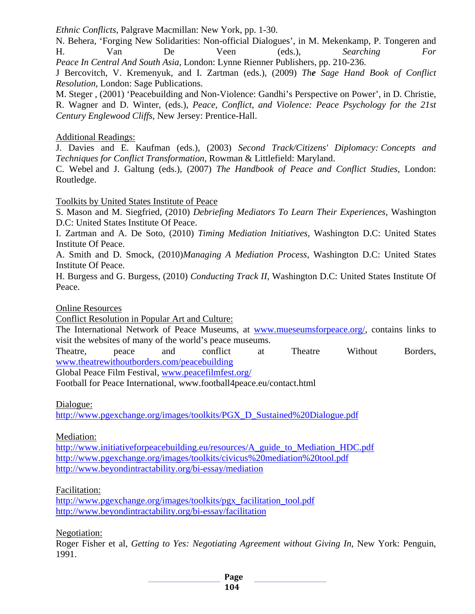*Ethnic Conflicts,* Palgrave Macmillan: New York, pp. 1-30.

N. Behera, 'Forging New Solidarities: Non-official Dialogues', in M. Mekenkamp, P. Tongeren and H. Van De Veen (eds.), *Searching For Peace In Central And South Asia*, London: Lynne Rienner Publishers, pp. 210-236.

J Bercovitch, V. Kremenyuk, and I. Zartman (eds.), (2009) *The Sage Hand Book of Conflict Resolution*, London: Sage Publications.

M. Steger , (2001) 'Peacebuilding and Non-Violence: Gandhi's Perspective on Power', in D. Christie, R. Wagner and D. Winter, (eds.), *Peace, Conflict, and Violence: Peace Psychology for the 21st Century Englewood Cliffs,* New Jersey: Prentice-Hall.

Additional Readings:

J. Davies and E. Kaufman (eds.), (2003) *Second Track/Citizens' Diplomacy: Concepts and Techniques for Conflict Transformation*, Rowman & Littlefield: Maryland.

C. Webel and J. Galtung (eds.), (2007) *The Handbook of Peace and Conflict Studies*, London: Routledge.

Toolkits by United States Institute of Peace

S. Mason and M. Siegfried, (2010) *Debriefing Mediators To Learn Their Experiences*, Washington D.C: United States Institute Of Peace.

I. Zartman and A. De Soto, (2010) *Timing Mediation Initiatives*, Washington D.C: United States Institute Of Peace.

A. Smith and D. Smock, (2010)*Managing A Mediation Process,* Washington D.C: United States Institute Of Peace.

H. Burgess and G. Burgess, (2010) *Conducting Track II*, Washington D.C: United States Institute Of Peace.

Online Resources

Conflict Resolution in Popular Art and Culture:

The International Network of Peace Museums, at [www.mueseumsforpeace.org/,](http://www.mueseumsforpeace.org/) contains links to visit the websites of many of the world's peace museums.

Theatre, peace and conflict at Theatre Without Borders, [www.theatrewithoutborders.com/peacebuilding](http://www.theatrewithoutborders.com/peacebuilding)

Global Peace Film Festival, [www.peacefilmfest.org/](http://www.peacefilmfest.org/)

Football for Peace International, www.football4peace.eu/contact.html

Dialogue:

[http://www.pgexchange.org/images/toolkits/PGX\\_D\\_Sustained%20Dialogue.pdf](http://www.pgexchange.org/images/toolkits/PGX_D_Sustained%20Dialogue.pdf)

Mediation:

[http://www.initiativeforpeacebuilding.eu/resources/A\\_guide\\_to\\_Mediation\\_HDC.pdf](http://www.initiativeforpeacebuilding.eu/resources/A_guide_to_Mediation_HDC.pdf) <http://www.pgexchange.org/images/toolkits/civicus%20mediation%20tool.pdf> <http://www.beyondintractability.org/bi-essay/mediation>

Facilitation:

[http://www.pgexchange.org/images/toolkits/pgx\\_facilitation\\_tool.pdf](http://www.pgexchange.org/images/toolkits/pgx_facilitation_tool.pdf) <http://www.beyondintractability.org/bi-essay/facilitation>

Negotiation:

Roger Fisher et al, *Getting to Yes: Negotiating Agreement without Giving In*, New York: Penguin, 1991.

**Page**